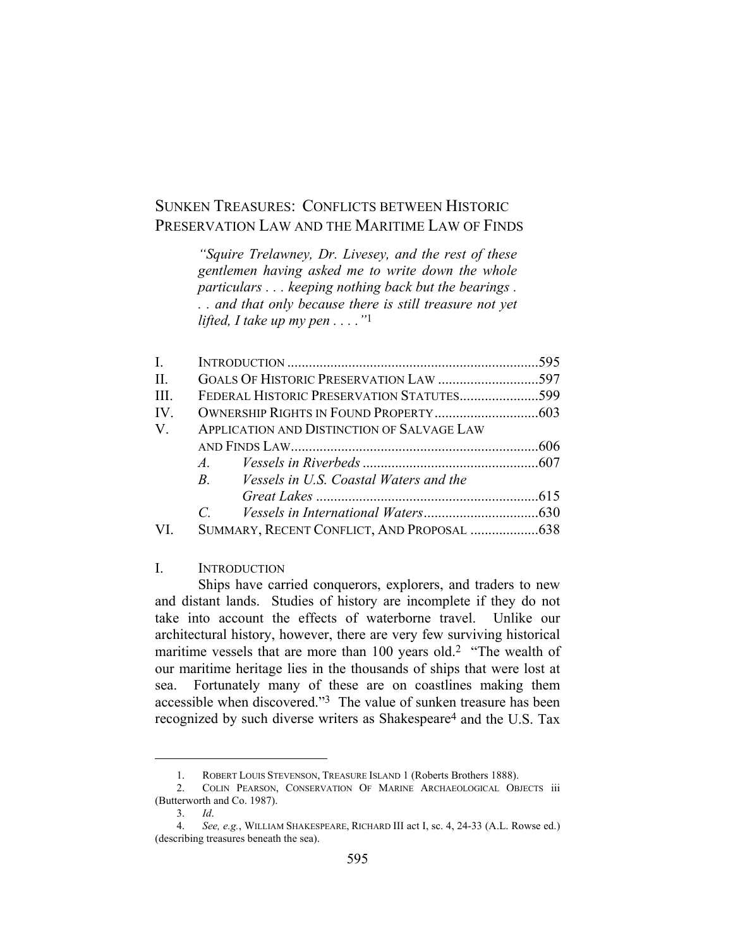# SUNKEN TREASURES: CONFLICTS BETWEEN HISTORIC PRESERVATION LAW AND THE MARITIME LAW OF FINDS

*"Squire Trelawney, Dr. Livesey, and the rest of these gentlemen having asked me to write down the whole particulars . . . keeping nothing back but the bearings . . . and that only because there is still treasure not yet lifted, I take up my pen . . . ."*1

| $\mathbf{I}$ . |                                                  |  |
|----------------|--------------------------------------------------|--|
| II.            |                                                  |  |
| III.           | FEDERAL HISTORIC PRESERVATION STATUTES599        |  |
| IV.            |                                                  |  |
| V.             | APPLICATION AND DISTINCTION OF SALVAGE LAW       |  |
|                |                                                  |  |
|                | $A$ .                                            |  |
|                | B. <i>Vessels in U.S. Coastal Waters and the</i> |  |
|                |                                                  |  |
|                | $\mathcal{C}$ and $\mathcal{C}$                  |  |
|                |                                                  |  |

I. INTRODUCTION

 Ships have carried conquerors, explorers, and traders to new and distant lands. Studies of history are incomplete if they do not take into account the effects of waterborne travel. Unlike our architectural history, however, there are very few surviving historical maritime vessels that are more than 100 years old.2 "The wealth of our maritime heritage lies in the thousands of ships that were lost at sea. Fortunately many of these are on coastlines making them accessible when discovered."3 The value of sunken treasure has been recognized by such diverse writers as Shakespeare4 and the U.S. Tax

 <sup>1.</sup> ROBERT LOUIS STEVENSON, TREASURE ISLAND 1 (Roberts Brothers 1888).

 <sup>2.</sup> COLIN PEARSON, CONSERVATION OF MARINE ARCHAEOLOGICAL OBJECTS iii (Butterworth and Co. 1987).

 <sup>3.</sup> *Id*.

 <sup>4.</sup> *See, e.g.*, WILLIAM SHAKESPEARE, RICHARD III act I, sc. 4, 24-33 (A.L. Rowse ed.) (describing treasures beneath the sea).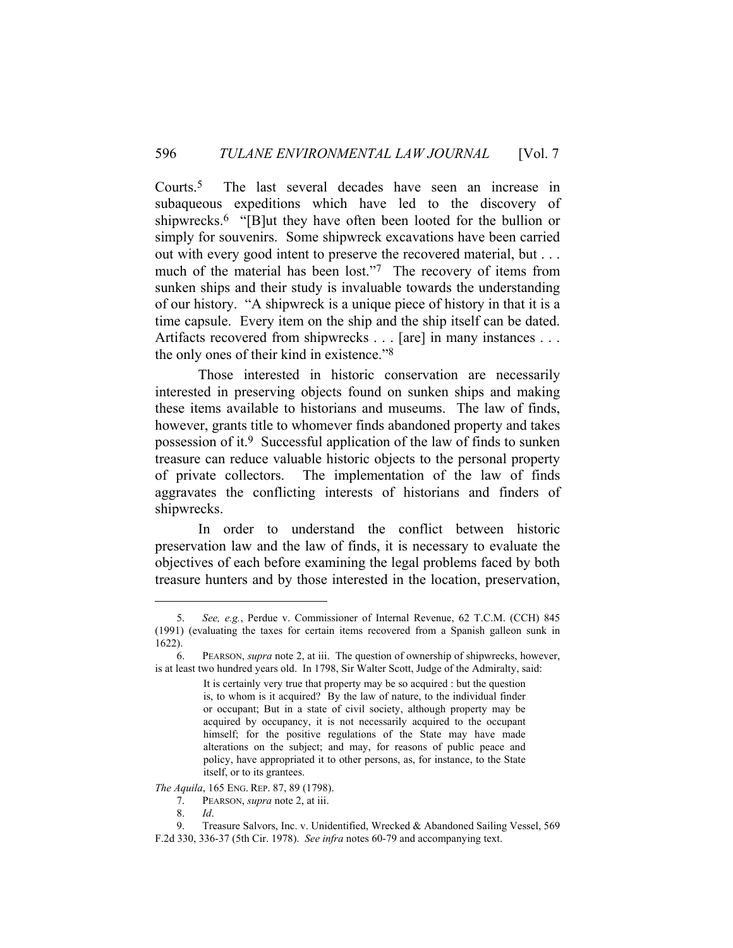Courts.5 The last several decades have seen an increase in subaqueous expeditions which have led to the discovery of shipwrecks.<sup>6</sup> "[B]ut they have often been looted for the bullion or simply for souvenirs. Some shipwreck excavations have been carried out with every good intent to preserve the recovered material, but . . . much of the material has been lost."7 The recovery of items from sunken ships and their study is invaluable towards the understanding of our history. "A shipwreck is a unique piece of history in that it is a time capsule. Every item on the ship and the ship itself can be dated. Artifacts recovered from shipwrecks . . . [are] in many instances . . . the only ones of their kind in existence."8

 Those interested in historic conservation are necessarily interested in preserving objects found on sunken ships and making these items available to historians and museums. The law of finds, however, grants title to whomever finds abandoned property and takes possession of it.9 Successful application of the law of finds to sunken treasure can reduce valuable historic objects to the personal property of private collectors. The implementation of the law of finds aggravates the conflicting interests of historians and finders of shipwrecks.

 In order to understand the conflict between historic preservation law and the law of finds, it is necessary to evaluate the objectives of each before examining the legal problems faced by both treasure hunters and by those interested in the location, preservation,

*The Aquila*, 165 ENG. REP. 87, 89 (1798).

 <sup>5.</sup> *See, e.g.*, Perdue v. Commissioner of Internal Revenue, 62 T.C.M. (CCH) 845 (1991) (evaluating the taxes for certain items recovered from a Spanish galleon sunk in 1622).

 <sup>6.</sup> PEARSON, *supra* note 2, at iii. The question of ownership of shipwrecks, however, is at least two hundred years old. In 1798, Sir Walter Scott, Judge of the Admiralty, said:

It is certainly very true that property may be so acquired : but the question is, to whom is it acquired? By the law of nature, to the individual finder or occupant; But in a state of civil society, although property may be acquired by occupancy, it is not necessarily acquired to the occupant himself; for the positive regulations of the State may have made alterations on the subject; and may, for reasons of public peace and policy, have appropriated it to other persons, as, for instance, to the State itself, or to its grantees.

 <sup>7.</sup> PEARSON, *supra* note 2, at iii.

 <sup>8.</sup> *Id*.

 <sup>9.</sup> Treasure Salvors, Inc. v. Unidentified, Wrecked & Abandoned Sailing Vessel, 569 F.2d 330, 336-37 (5th Cir. 1978). *See infra* notes 60-79 and accompanying text.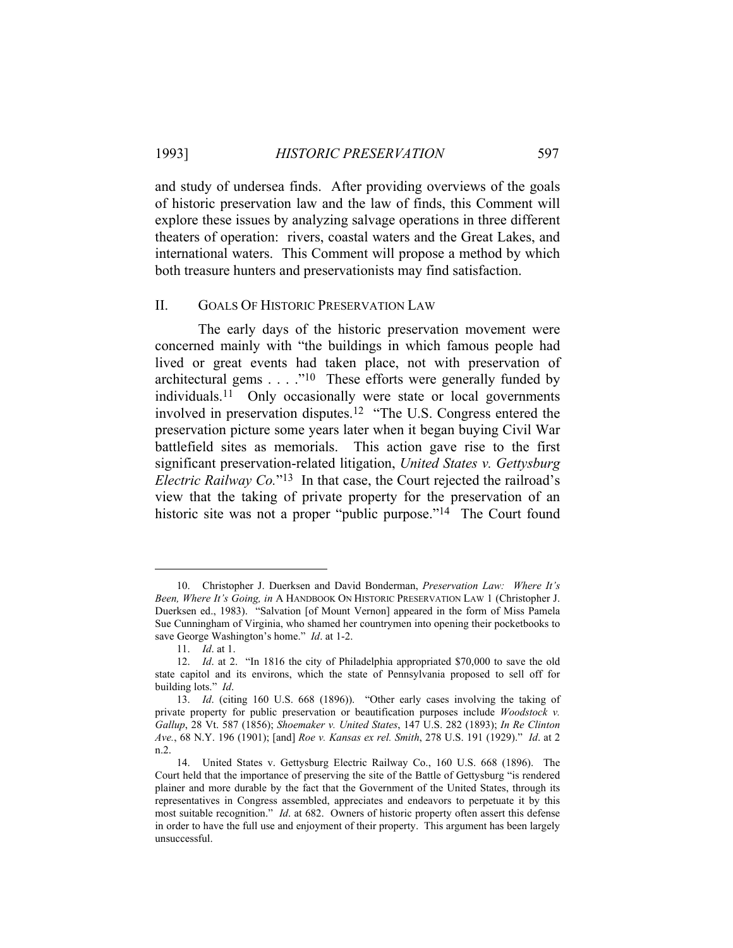and study of undersea finds. After providing overviews of the goals of historic preservation law and the law of finds, this Comment will explore these issues by analyzing salvage operations in three different theaters of operation: rivers, coastal waters and the Great Lakes, and international waters. This Comment will propose a method by which both treasure hunters and preservationists may find satisfaction.

### II. GOALS OF HISTORIC PRESERVATION LAW

 The early days of the historic preservation movement were concerned mainly with "the buildings in which famous people had lived or great events had taken place, not with preservation of architectural gems . . . ."<sup>10</sup> These efforts were generally funded by individuals.11 Only occasionally were state or local governments involved in preservation disputes.12 "The U.S. Congress entered the preservation picture some years later when it began buying Civil War battlefield sites as memorials. This action gave rise to the first significant preservation-related litigation, *United States v. Gettysburg Electric Railway Co.*"13 In that case, the Court rejected the railroad's view that the taking of private property for the preservation of an historic site was not a proper "public purpose."<sup>14</sup> The Court found

 <sup>10.</sup> Christopher J. Duerksen and David Bonderman, *Preservation Law: Where It's Been, Where It's Going, in* A HANDBOOK ON HISTORIC PRESERVATION LAW 1 (Christopher J. Duerksen ed., 1983). "Salvation [of Mount Vernon] appeared in the form of Miss Pamela Sue Cunningham of Virginia, who shamed her countrymen into opening their pocketbooks to save George Washington's home." *Id*. at 1-2.

 <sup>11.</sup> *Id*. at 1.

 <sup>12.</sup> *Id*. at 2. "In 1816 the city of Philadelphia appropriated \$70,000 to save the old state capitol and its environs, which the state of Pennsylvania proposed to sell off for building lots." *Id*.

 <sup>13.</sup> *Id*. (citing 160 U.S. 668 (1896)). "Other early cases involving the taking of private property for public preservation or beautification purposes include *Woodstock v. Gallup*, 28 Vt. 587 (1856); *Shoemaker v. United States*, 147 U.S. 282 (1893); *In Re Clinton Ave.*, 68 N.Y. 196 (1901); [and] *Roe v. Kansas ex rel. Smith*, 278 U.S. 191 (1929)." *Id*. at 2 n.2.

 <sup>14.</sup> United States v. Gettysburg Electric Railway Co., 160 U.S. 668 (1896). The Court held that the importance of preserving the site of the Battle of Gettysburg "is rendered plainer and more durable by the fact that the Government of the United States, through its representatives in Congress assembled, appreciates and endeavors to perpetuate it by this most suitable recognition." *Id*. at 682. Owners of historic property often assert this defense in order to have the full use and enjoyment of their property. This argument has been largely unsuccessful.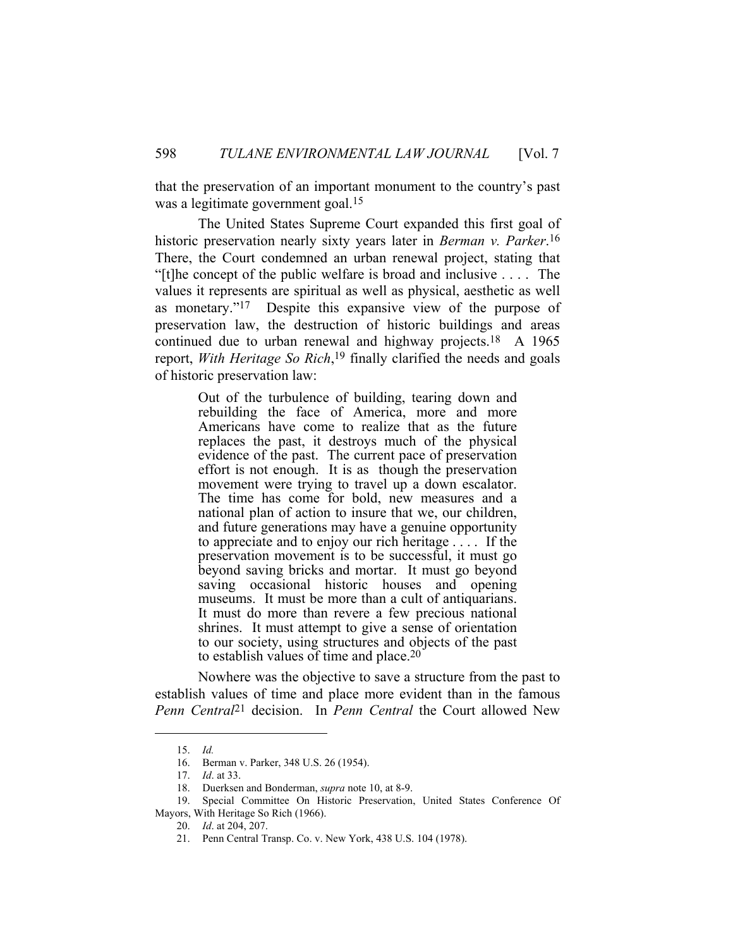that the preservation of an important monument to the country's past was a legitimate government goal.15

 The United States Supreme Court expanded this first goal of historic preservation nearly sixty years later in *Berman v. Parker*.16 There, the Court condemned an urban renewal project, stating that "[t]he concept of the public welfare is broad and inclusive  $\dots$ . The values it represents are spiritual as well as physical, aesthetic as well as monetary."17 Despite this expansive view of the purpose of preservation law, the destruction of historic buildings and areas continued due to urban renewal and highway projects.18 A 1965 report, *With Heritage So Rich*,<sup>19</sup> finally clarified the needs and goals of historic preservation law:

> Out of the turbulence of building, tearing down and rebuilding the face of America, more and more Americans have come to realize that as the future replaces the past, it destroys much of the physical evidence of the past. The current pace of preservation effort is not enough. It is as though the preservation movement were trying to travel up a down escalator. The time has come for bold, new measures and a national plan of action to insure that we, our children, and future generations may have a genuine opportunity to appreciate and to enjoy our rich heritage . . . . If the preservation movement is to be successful, it must go beyond saving bricks and mortar. It must go beyond saving occasional historic houses and opening museums. It must be more than a cult of antiquarians. It must do more than revere a few precious national shrines. It must attempt to give a sense of orientation to our society, using structures and objects of the past to establish values of time and place.20

 Nowhere was the objective to save a structure from the past to establish values of time and place more evident than in the famous *Penn Central*21 decision. In *Penn Central* the Court allowed New

 <sup>15.</sup> *Id.*

 <sup>16.</sup> Berman v. Parker, 348 U.S. 26 (1954).

 <sup>17.</sup> *Id*. at 33.

 <sup>18.</sup> Duerksen and Bonderman, *supra* note 10, at 8-9.

 <sup>19.</sup> Special Committee On Historic Preservation, United States Conference Of

Mayors, With Heritage So Rich (1966).

 <sup>20.</sup> *Id*. at 204, 207.

 <sup>21.</sup> Penn Central Transp. Co. v. New York, 438 U.S. 104 (1978).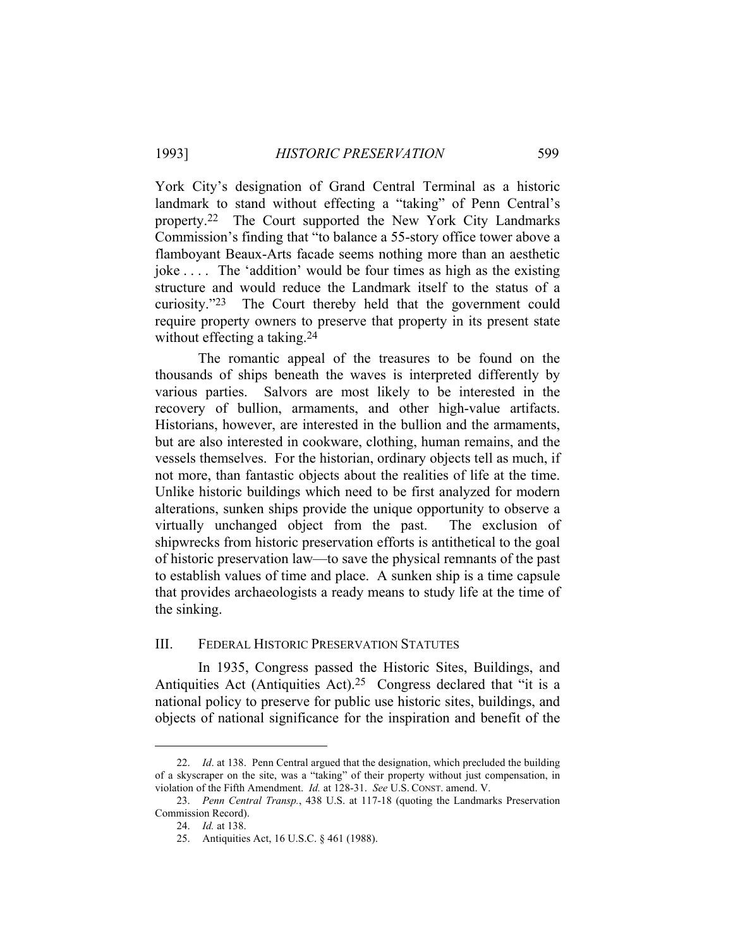York City's designation of Grand Central Terminal as a historic landmark to stand without effecting a "taking" of Penn Central's property.22 The Court supported the New York City Landmarks Commission's finding that "to balance a 55-story office tower above a flamboyant Beaux-Arts facade seems nothing more than an aesthetic joke . . . . The 'addition' would be four times as high as the existing structure and would reduce the Landmark itself to the status of a curiosity."23 The Court thereby held that the government could require property owners to preserve that property in its present state without effecting a taking.<sup>24</sup>

 The romantic appeal of the treasures to be found on the thousands of ships beneath the waves is interpreted differently by various parties. Salvors are most likely to be interested in the recovery of bullion, armaments, and other high-value artifacts. Historians, however, are interested in the bullion and the armaments, but are also interested in cookware, clothing, human remains, and the vessels themselves. For the historian, ordinary objects tell as much, if not more, than fantastic objects about the realities of life at the time. Unlike historic buildings which need to be first analyzed for modern alterations, sunken ships provide the unique opportunity to observe a virtually unchanged object from the past. The exclusion of shipwrecks from historic preservation efforts is antithetical to the goal of historic preservation law—to save the physical remnants of the past to establish values of time and place. A sunken ship is a time capsule that provides archaeologists a ready means to study life at the time of the sinking.

### III. FEDERAL HISTORIC PRESERVATION STATUTES

 In 1935, Congress passed the Historic Sites, Buildings, and Antiquities Act (Antiquities Act).25 Congress declared that "it is a national policy to preserve for public use historic sites, buildings, and objects of national significance for the inspiration and benefit of the

 <sup>22.</sup> *Id*. at 138. Penn Central argued that the designation, which precluded the building of a skyscraper on the site, was a "taking" of their property without just compensation, in violation of the Fifth Amendment. *Id.* at 128-31. *See* U.S. CONST. amend. V.

 <sup>23.</sup> *Penn Central Transp.*, 438 U.S. at 117-18 (quoting the Landmarks Preservation Commission Record).

 <sup>24.</sup> *Id.* at 138.

 <sup>25.</sup> Antiquities Act, 16 U.S.C. § 461 (1988).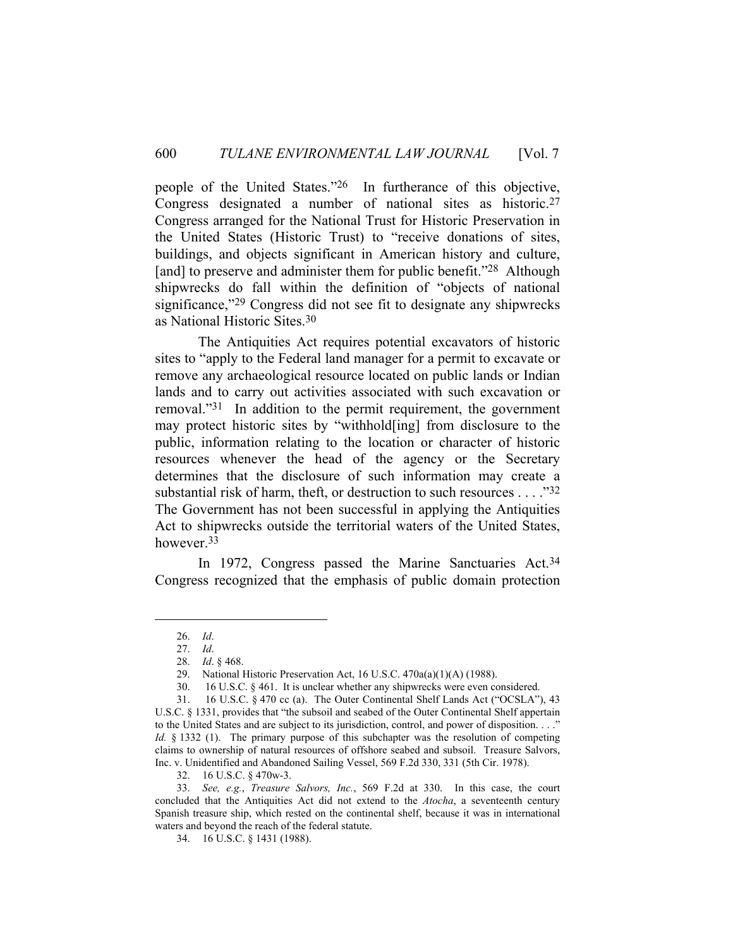people of the United States."26 In furtherance of this objective, Congress designated a number of national sites as historic.27 Congress arranged for the National Trust for Historic Preservation in the United States (Historic Trust) to "receive donations of sites, buildings, and objects significant in American history and culture, [and] to preserve and administer them for public benefit."<sup>28</sup> Although shipwrecks do fall within the definition of "objects of national significance,"<sup>29</sup> Congress did not see fit to designate any shipwrecks as National Historic Sites.30

 The Antiquities Act requires potential excavators of historic sites to "apply to the Federal land manager for a permit to excavate or remove any archaeological resource located on public lands or Indian lands and to carry out activities associated with such excavation or removal."31 In addition to the permit requirement, the government may protect historic sites by "withhold[ing] from disclosure to the public, information relating to the location or character of historic resources whenever the head of the agency or the Secretary determines that the disclosure of such information may create a substantial risk of harm, theft, or destruction to such resources . . . ."32 The Government has not been successful in applying the Antiquities Act to shipwrecks outside the territorial waters of the United States, however.33

In 1972, Congress passed the Marine Sanctuaries Act.<sup>34</sup> Congress recognized that the emphasis of public domain protection

 <sup>26.</sup> *Id*.

 <sup>27.</sup> *Id*.

 <sup>28.</sup> *Id*. § 468.

 <sup>29.</sup> National Historic Preservation Act, 16 U.S.C. 470a(a)(1)(A) (1988).

 <sup>30. 16</sup> U.S.C. § 461. It is unclear whether any shipwrecks were even considered.

 <sup>31. 16</sup> U.S.C. § 470 cc (a). The Outer Continental Shelf Lands Act ("OCSLA"), 43 U.S.C. § 1331, provides that "the subsoil and seabed of the Outer Continental Shelf appertain to the United States and are subject to its jurisdiction, control, and power of disposition. . . ." *Id.* § 1332 (1). The primary purpose of this subchapter was the resolution of competing claims to ownership of natural resources of offshore seabed and subsoil. Treasure Salvors, Inc. v. Unidentified and Abandoned Sailing Vessel, 569 F.2d 330, 331 (5th Cir. 1978).

 <sup>32. 16</sup> U.S.C. § 470w-3.

 <sup>33.</sup> *See, e.g.*, *Treasure Salvors, Inc.*, 569 F.2d at 330. In this case, the court concluded that the Antiquities Act did not extend to the *Atocha*, a seventeenth century Spanish treasure ship, which rested on the continental shelf, because it was in international waters and beyond the reach of the federal statute.

 <sup>34. 16</sup> U.S.C. § 1431 (1988).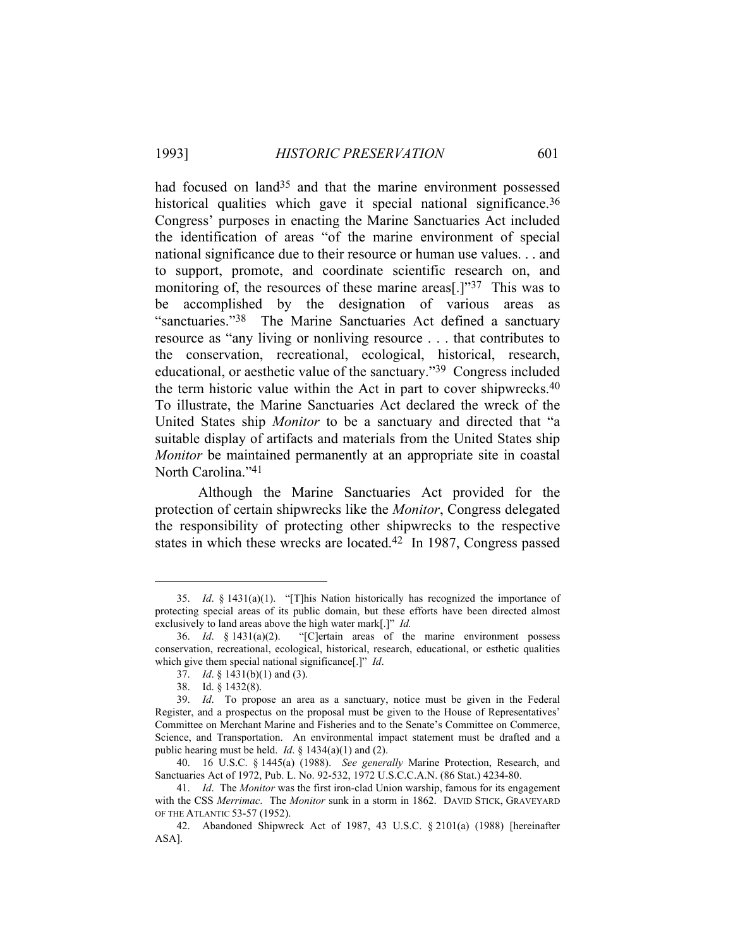had focused on land<sup>35</sup> and that the marine environment possessed historical qualities which gave it special national significance.<sup>36</sup> Congress' purposes in enacting the Marine Sanctuaries Act included the identification of areas "of the marine environment of special national significance due to their resource or human use values. . . and to support, promote, and coordinate scientific research on, and monitoring of, the resources of these marine areas<sup>[1]</sup><sup>37</sup>. This was to be accomplished by the designation of various areas as "sanctuaries."38 The Marine Sanctuaries Act defined a sanctuary resource as "any living or nonliving resource . . . that contributes to the conservation, recreational, ecological, historical, research, educational, or aesthetic value of the sanctuary."39 Congress included the term historic value within the Act in part to cover shipwrecks.40 To illustrate, the Marine Sanctuaries Act declared the wreck of the United States ship *Monitor* to be a sanctuary and directed that "a suitable display of artifacts and materials from the United States ship *Monitor* be maintained permanently at an appropriate site in coastal North Carolina."41

 Although the Marine Sanctuaries Act provided for the protection of certain shipwrecks like the *Monitor*, Congress delegated the responsibility of protecting other shipwrecks to the respective states in which these wrecks are located.42 In 1987, Congress passed

 <sup>35.</sup> *Id*. § 1431(a)(1). "[T]his Nation historically has recognized the importance of protecting special areas of its public domain, but these efforts have been directed almost exclusively to land areas above the high water mark[.]" *Id.*

 <sup>36.</sup> *Id*. § 1431(a)(2). "[C]ertain areas of the marine environment possess conservation, recreational, ecological, historical, research, educational, or esthetic qualities which give them special national significance[.]" *Id*.

 <sup>37.</sup> *Id*. § 1431(b)(1) and (3).

 <sup>38.</sup> Id. § 1432(8).

 <sup>39.</sup> *Id*. To propose an area as a sanctuary, notice must be given in the Federal Register, and a prospectus on the proposal must be given to the House of Representatives' Committee on Merchant Marine and Fisheries and to the Senate's Committee on Commerce, Science, and Transportation. An environmental impact statement must be drafted and a public hearing must be held. *Id*. § 1434(a)(1) and (2).

 <sup>40. 16</sup> U.S.C. § 1445(a) (1988). *See generally* Marine Protection, Research, and Sanctuaries Act of 1972, Pub. L. No. 92-532, 1972 U.S.C.C.A.N. (86 Stat.) 4234-80.

 <sup>41.</sup> *Id*. The *Monitor* was the first iron-clad Union warship, famous for its engagement with the CSS *Merrimac*. The *Monitor* sunk in a storm in 1862. DAVID STICK, GRAVEYARD OF THE ATLANTIC 53-57 (1952).

 <sup>42.</sup> Abandoned Shipwreck Act of 1987, 43 U.S.C. § 2101(a) (1988) [hereinafter ASA].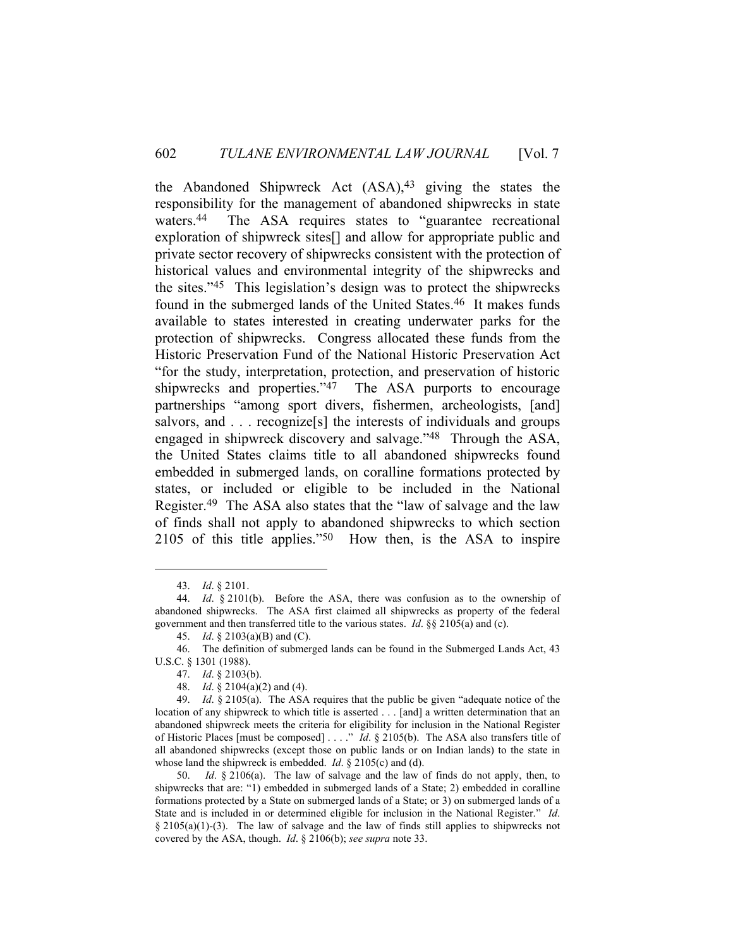the Abandoned Shipwreck Act  $(ASA)^{43}$  giving the states the responsibility for the management of abandoned shipwrecks in state waters.44 The ASA requires states to "guarantee recreational exploration of shipwreck sites[] and allow for appropriate public and private sector recovery of shipwrecks consistent with the protection of historical values and environmental integrity of the shipwrecks and the sites."45 This legislation's design was to protect the shipwrecks found in the submerged lands of the United States.46 It makes funds available to states interested in creating underwater parks for the protection of shipwrecks. Congress allocated these funds from the Historic Preservation Fund of the National Historic Preservation Act "for the study, interpretation, protection, and preservation of historic shipwrecks and properties."<sup>47</sup> The ASA purports to encourage partnerships "among sport divers, fishermen, archeologists, [and] salvors, and . . . recognize<sup>[s]</sup> the interests of individuals and groups engaged in shipwreck discovery and salvage."48 Through the ASA, the United States claims title to all abandoned shipwrecks found embedded in submerged lands, on coralline formations protected by states, or included or eligible to be included in the National Register.49 The ASA also states that the "law of salvage and the law of finds shall not apply to abandoned shipwrecks to which section 2105 of this title applies."50 How then, is the ASA to inspire

 <sup>43.</sup> *Id*. § 2101.

 <sup>44.</sup> *Id*. § 2101(b). Before the ASA, there was confusion as to the ownership of abandoned shipwrecks. The ASA first claimed all shipwrecks as property of the federal government and then transferred title to the various states. *Id*. §§ 2105(a) and (c).

 <sup>45.</sup> *Id*. § 2103(a)(B) and (C).

 <sup>46.</sup> The definition of submerged lands can be found in the Submerged Lands Act, 43 U.S.C. § 1301 (1988).

 <sup>47.</sup> *Id*. § 2103(b).

 <sup>48.</sup> *Id*. § 2104(a)(2) and (4).

 <sup>49.</sup> *Id*. § 2105(a). The ASA requires that the public be given "adequate notice of the location of any shipwreck to which title is asserted . . . [and] a written determination that an abandoned shipwreck meets the criteria for eligibility for inclusion in the National Register of Historic Places [must be composed] . . . ." *Id*. § 2105(b). The ASA also transfers title of all abandoned shipwrecks (except those on public lands or on Indian lands) to the state in whose land the shipwreck is embedded. *Id*. § 2105(c) and (d).

 <sup>50.</sup> *Id*. § 2106(a). The law of salvage and the law of finds do not apply, then, to shipwrecks that are: "1) embedded in submerged lands of a State; 2) embedded in coralline formations protected by a State on submerged lands of a State; or 3) on submerged lands of a State and is included in or determined eligible for inclusion in the National Register." *Id*. § 2105(a)(1)-(3). The law of salvage and the law of finds still applies to shipwrecks not covered by the ASA, though. *Id*. § 2106(b); *see supra* note 33.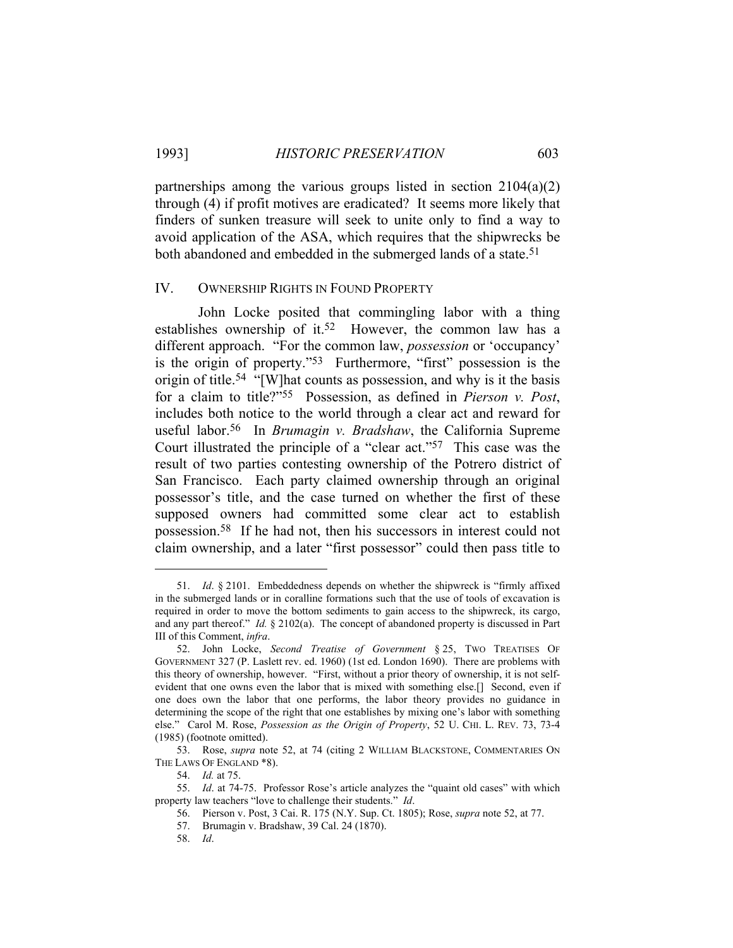partnerships among the various groups listed in section 2104(a)(2) through (4) if profit motives are eradicated? It seems more likely that finders of sunken treasure will seek to unite only to find a way to avoid application of the ASA, which requires that the shipwrecks be both abandoned and embedded in the submerged lands of a state.<sup>51</sup>

### IV. OWNERSHIP RIGHTS IN FOUND PROPERTY

 John Locke posited that commingling labor with a thing establishes ownership of it.<sup>52</sup> However, the common law has a different approach. "For the common law, *possession* or 'occupancy' is the origin of property."53 Furthermore, "first" possession is the origin of title.54 "[W]hat counts as possession, and why is it the basis for a claim to title?"55 Possession, as defined in *Pierson v. Post*, includes both notice to the world through a clear act and reward for useful labor.56 In *Brumagin v. Bradshaw*, the California Supreme Court illustrated the principle of a "clear act."57 This case was the result of two parties contesting ownership of the Potrero district of San Francisco. Each party claimed ownership through an original possessor's title, and the case turned on whether the first of these supposed owners had committed some clear act to establish possession.58 If he had not, then his successors in interest could not claim ownership, and a later "first possessor" could then pass title to

56. Pierson v. Post, 3 Cai. R. 175 (N.Y. Sup. Ct. 1805); Rose, *supra* note 52, at 77.

 <sup>51.</sup> *Id*. § 2101. Embeddedness depends on whether the shipwreck is "firmly affixed in the submerged lands or in coralline formations such that the use of tools of excavation is required in order to move the bottom sediments to gain access to the shipwreck, its cargo, and any part thereof." *Id.* § 2102(a). The concept of abandoned property is discussed in Part III of this Comment, *infra*.

 <sup>52.</sup> John Locke, *Second Treatise of Government* § 25, TWO TREATISES OF GOVERNMENT 327 (P. Laslett rev. ed. 1960) (1st ed. London 1690). There are problems with this theory of ownership, however. "First, without a prior theory of ownership, it is not selfevident that one owns even the labor that is mixed with something else.[] Second, even if one does own the labor that one performs, the labor theory provides no guidance in determining the scope of the right that one establishes by mixing one's labor with something else." Carol M. Rose, *Possession as the Origin of Property*, 52 U. CHI. L. REV. 73, 73-4 (1985) (footnote omitted).

 <sup>53.</sup> Rose, *supra* note 52, at 74 (citing 2 WILLIAM BLACKSTONE, COMMENTARIES ON THE LAWS OF ENGLAND \*8).

 <sup>54.</sup> *Id.* at 75.

 <sup>55.</sup> *Id*. at 74-75. Professor Rose's article analyzes the "quaint old cases" with which property law teachers "love to challenge their students." *Id*.

 <sup>57.</sup> Brumagin v. Bradshaw, 39 Cal. 24 (1870).

 <sup>58.</sup> *Id*.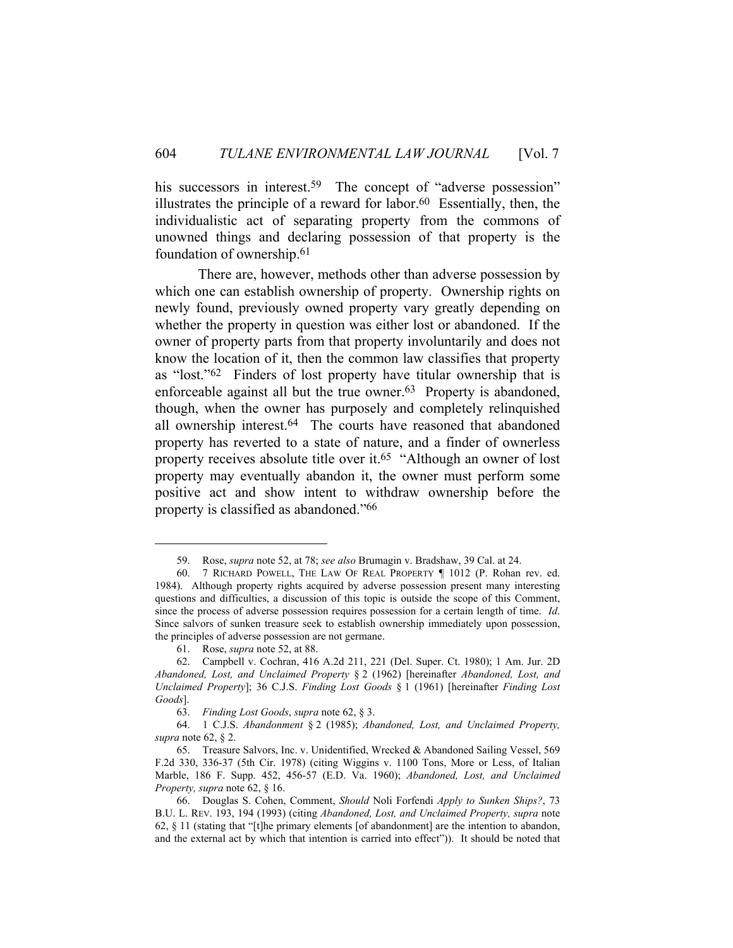his successors in interest.<sup>59</sup> The concept of "adverse possession" illustrates the principle of a reward for labor. $60$  Essentially, then, the individualistic act of separating property from the commons of unowned things and declaring possession of that property is the foundation of ownership.61

 There are, however, methods other than adverse possession by which one can establish ownership of property. Ownership rights on newly found, previously owned property vary greatly depending on whether the property in question was either lost or abandoned. If the owner of property parts from that property involuntarily and does not know the location of it, then the common law classifies that property as "lost."62 Finders of lost property have titular ownership that is enforceable against all but the true owner.<sup>63</sup> Property is abandoned, though, when the owner has purposely and completely relinquished all ownership interest.<sup>64</sup> The courts have reasoned that abandoned property has reverted to a state of nature, and a finder of ownerless property receives absolute title over it.65 "Although an owner of lost property may eventually abandon it, the owner must perform some positive act and show intent to withdraw ownership before the property is classified as abandoned."66

 <sup>59.</sup> Rose, *supra* note 52, at 78; *see also* Brumagin v. Bradshaw, 39 Cal. at 24.

 <sup>60. 7</sup> RICHARD POWELL, THE LAW OF REAL PROPERTY ¶ 1012 (P. Rohan rev. ed. 1984). Although property rights acquired by adverse possession present many interesting questions and difficulties, a discussion of this topic is outside the scope of this Comment, since the process of adverse possession requires possession for a certain length of time. *Id*. Since salvors of sunken treasure seek to establish ownership immediately upon possession, the principles of adverse possession are not germane.

 <sup>61.</sup> Rose, *supra* note 52, at 88.

 <sup>62.</sup> Campbell v. Cochran, 416 A.2d 211, 221 (Del. Super. Ct. 1980); 1 Am. Jur. 2D *Abandoned, Lost, and Unclaimed Property* § 2 (1962) [hereinafter *Abandoned, Lost, and Unclaimed Property*]; 36 C.J.S. *Finding Lost Goods* § 1 (1961) [hereinafter *Finding Lost Goods*].

 <sup>63.</sup> *Finding Lost Goods*, *supra* note 62, § 3.

 <sup>64. 1</sup> C.J.S. *Abandonment* § 2 (1985); *Abandoned, Lost, and Unclaimed Property, supra* note 62, § 2.

 <sup>65.</sup> Treasure Salvors, Inc. v. Unidentified, Wrecked & Abandoned Sailing Vessel, 569 F.2d 330, 336-37 (5th Cir. 1978) (citing Wiggins v. 1100 Tons, More or Less, of Italian Marble, 186 F. Supp. 452, 456-57 (E.D. Va. 1960); *Abandoned, Lost, and Unclaimed Property, supra* note 62, § 16.

 <sup>66.</sup> Douglas S. Cohen, Comment, *Should* Noli Forfendi *Apply to Sunken Ships?*, 73 B.U. L. REV. 193, 194 (1993) (citing *Abandoned, Lost, and Unclaimed Property, supra* note 62, § 11 (stating that "[t]he primary elements [of abandonment] are the intention to abandon, and the external act by which that intention is carried into effect")). It should be noted that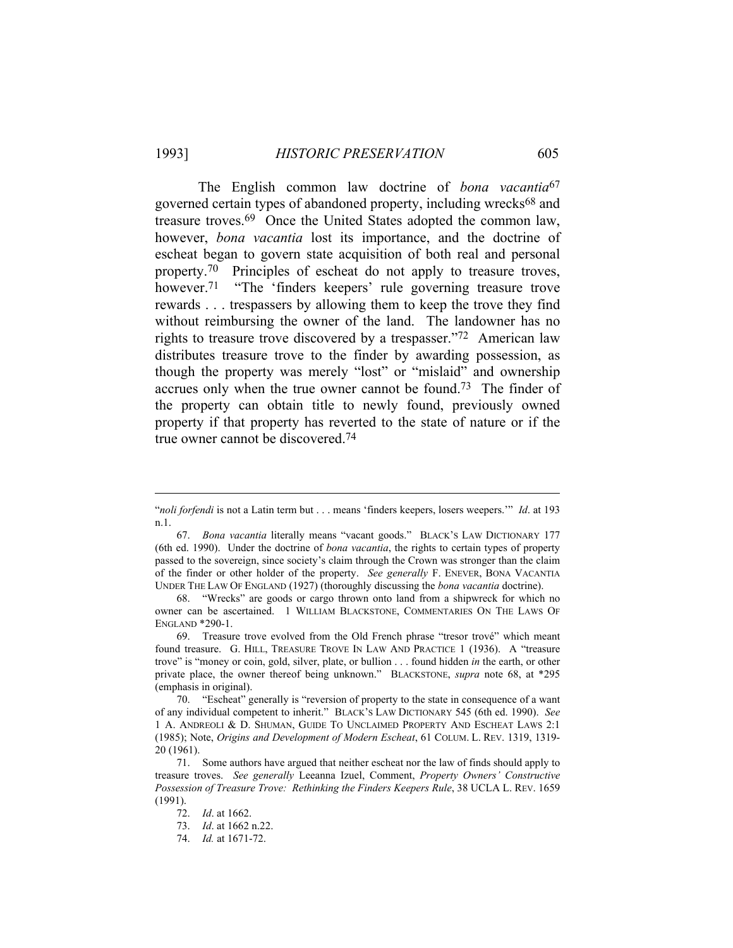The English common law doctrine of *bona vacantia*67 governed certain types of abandoned property, including wrecks<sup>68</sup> and treasure troves.69 Once the United States adopted the common law, however, *bona vacantia* lost its importance, and the doctrine of escheat began to govern state acquisition of both real and personal property.70 Principles of escheat do not apply to treasure troves, however.<sup>71</sup> "The 'finders keepers' rule governing treasure trove rewards . . . trespassers by allowing them to keep the trove they find without reimbursing the owner of the land. The landowner has no rights to treasure trove discovered by a trespasser."72 American law distributes treasure trove to the finder by awarding possession, as though the property was merely "lost" or "mislaid" and ownership accrues only when the true owner cannot be found.73 The finder of the property can obtain title to newly found, previously owned property if that property has reverted to the state of nature or if the true owner cannot be discovered.74

<sup>&</sup>quot;*noli forfendi* is not a Latin term but . . . means 'finders keepers, losers weepers.'" *Id*. at 193 n.1.

 <sup>67.</sup> *Bona vacantia* literally means "vacant goods." BLACK'S LAW DICTIONARY 177 (6th ed. 1990). Under the doctrine of *bona vacantia*, the rights to certain types of property passed to the sovereign, since society's claim through the Crown was stronger than the claim of the finder or other holder of the property. *See generally* F. ENEVER, BONA VACANTIA UNDER THE LAW OF ENGLAND (1927) (thoroughly discussing the *bona vacantia* doctrine).

 <sup>68. &</sup>quot;Wrecks" are goods or cargo thrown onto land from a shipwreck for which no owner can be ascertained. 1 WILLIAM BLACKSTONE, COMMENTARIES ON THE LAWS OF ENGLAND \*290-1.

 <sup>69.</sup> Treasure trove evolved from the Old French phrase "tresor trové" which meant found treasure. G. HILL, TREASURE TROVE IN LAW AND PRACTICE 1 (1936). A "treasure trove" is "money or coin, gold, silver, plate, or bullion . . . found hidden *in* the earth, or other private place, the owner thereof being unknown." BLACKSTONE, *supra* note 68, at \*295 (emphasis in original).

 <sup>70. &</sup>quot;Escheat" generally is "reversion of property to the state in consequence of a want of any individual competent to inherit." BLACK'S LAW DICTIONARY 545 (6th ed. 1990). *See* 1 A. ANDREOLI & D. SHUMAN, GUIDE TO UNCLAIMED PROPERTY AND ESCHEAT LAWS 2:1 (1985); Note, *Origins and Development of Modern Escheat*, 61 COLUM. L. REV. 1319, 1319- 20 (1961).

 <sup>71.</sup> Some authors have argued that neither escheat nor the law of finds should apply to treasure troves. *See generally* Leeanna Izuel, Comment, *Property Owners' Constructive Possession of Treasure Trove: Rethinking the Finders Keepers Rule*, 38 UCLA L. REV. 1659 (1991).

 <sup>72.</sup> *Id*. at 1662.

 <sup>73.</sup> *Id*. at 1662 n.22.

 <sup>74.</sup> *Id.* at 1671-72.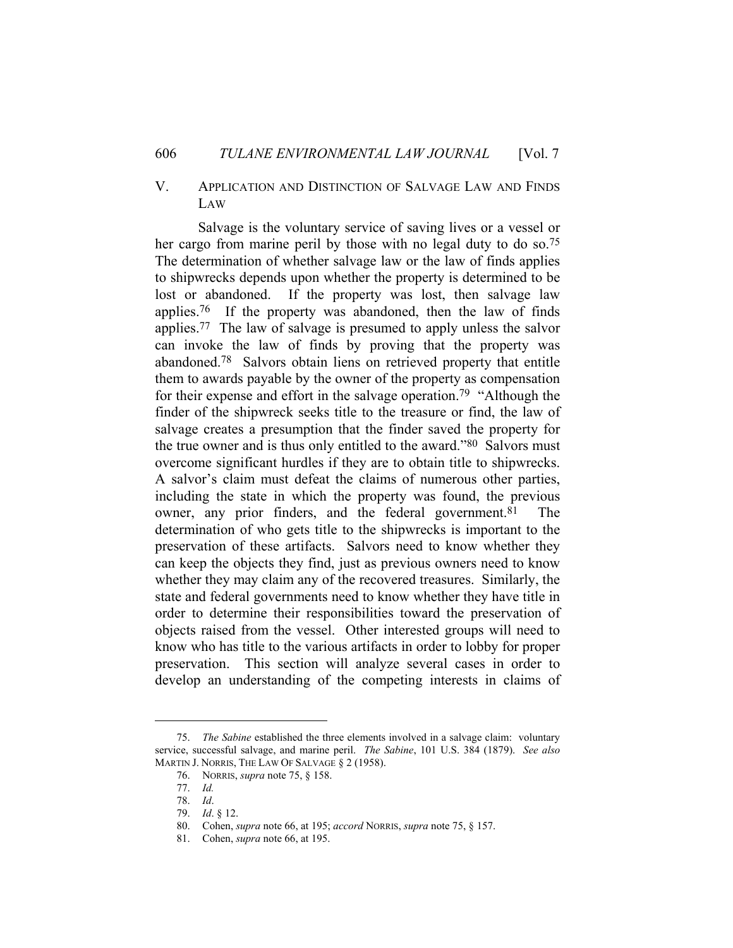# V. APPLICATION AND DISTINCTION OF SALVAGE LAW AND FINDS LAW

 Salvage is the voluntary service of saving lives or a vessel or her cargo from marine peril by those with no legal duty to do so.<sup>75</sup> The determination of whether salvage law or the law of finds applies to shipwrecks depends upon whether the property is determined to be lost or abandoned. If the property was lost, then salvage law applies.76 If the property was abandoned, then the law of finds applies.77 The law of salvage is presumed to apply unless the salvor can invoke the law of finds by proving that the property was abandoned.78 Salvors obtain liens on retrieved property that entitle them to awards payable by the owner of the property as compensation for their expense and effort in the salvage operation.<sup>79</sup> "Although the finder of the shipwreck seeks title to the treasure or find, the law of salvage creates a presumption that the finder saved the property for the true owner and is thus only entitled to the award."80 Salvors must overcome significant hurdles if they are to obtain title to shipwrecks. A salvor's claim must defeat the claims of numerous other parties, including the state in which the property was found, the previous owner, any prior finders, and the federal government.<sup>81</sup> The determination of who gets title to the shipwrecks is important to the preservation of these artifacts. Salvors need to know whether they can keep the objects they find, just as previous owners need to know whether they may claim any of the recovered treasures. Similarly, the state and federal governments need to know whether they have title in order to determine their responsibilities toward the preservation of objects raised from the vessel. Other interested groups will need to know who has title to the various artifacts in order to lobby for proper preservation. This section will analyze several cases in order to develop an understanding of the competing interests in claims of

 <sup>75.</sup> *The Sabine* established the three elements involved in a salvage claim: voluntary service, successful salvage, and marine peril. *The Sabine*, 101 U.S. 384 (1879). *See also* MARTIN J. NORRIS, THE LAW OF SALVAGE § 2 (1958).

 <sup>76.</sup> NORRIS, *supra* note 75, § 158.

 <sup>77.</sup> *Id.*

 <sup>78.</sup> *Id*.

 <sup>79.</sup> *Id*. § 12.

 <sup>80.</sup> Cohen, *supra* note 66, at 195; *accord* NORRIS, *supra* note 75, § 157.

 <sup>81.</sup> Cohen, *supra* note 66, at 195.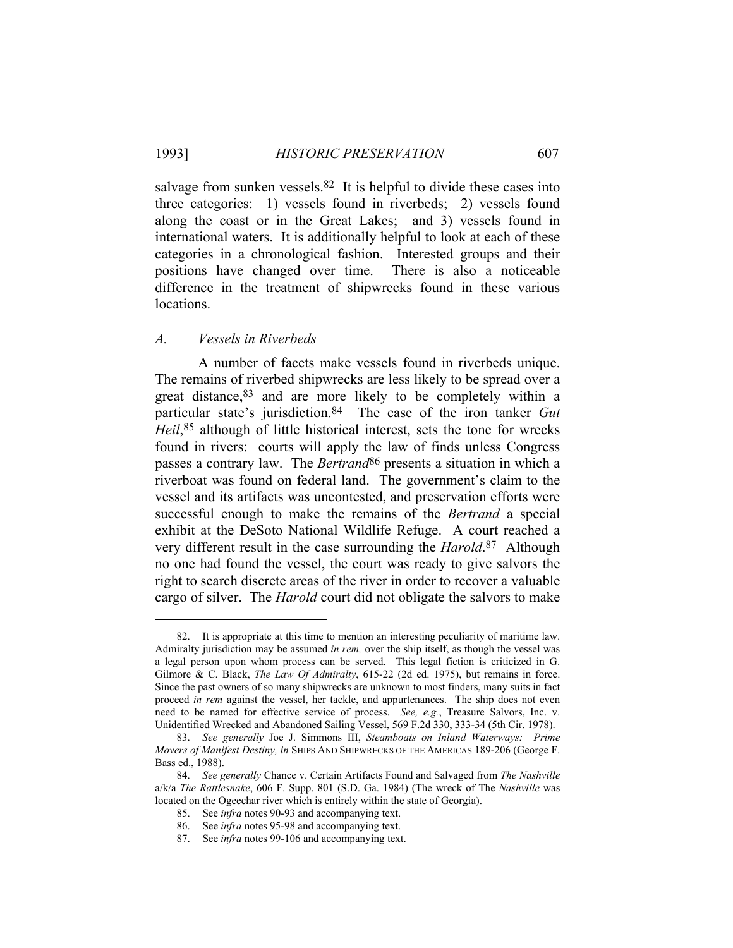salvage from sunken vessels. $82$  It is helpful to divide these cases into three categories: 1) vessels found in riverbeds; 2) vessels found along the coast or in the Great Lakes; and 3) vessels found in international waters. It is additionally helpful to look at each of these categories in a chronological fashion. Interested groups and their positions have changed over time. There is also a noticeable difference in the treatment of shipwrecks found in these various locations.

### *A. Vessels in Riverbeds*

 A number of facets make vessels found in riverbeds unique. The remains of riverbed shipwrecks are less likely to be spread over a great distance, <sup>83</sup> and are more likely to be completely within a particular state's jurisdiction.84 The case of the iron tanker *Gut Heil*,85 although of little historical interest, sets the tone for wrecks found in rivers: courts will apply the law of finds unless Congress passes a contrary law. The *Bertrand*86 presents a situation in which a riverboat was found on federal land. The government's claim to the vessel and its artifacts was uncontested, and preservation efforts were successful enough to make the remains of the *Bertrand* a special exhibit at the DeSoto National Wildlife Refuge. A court reached a very different result in the case surrounding the *Harold*.87 Although no one had found the vessel, the court was ready to give salvors the right to search discrete areas of the river in order to recover a valuable cargo of silver. The *Harold* court did not obligate the salvors to make

 <sup>82.</sup> It is appropriate at this time to mention an interesting peculiarity of maritime law. Admiralty jurisdiction may be assumed *in rem,* over the ship itself, as though the vessel was a legal person upon whom process can be served. This legal fiction is criticized in G. Gilmore & C. Black, *The Law Of Admiralty*, 615-22 (2d ed. 1975), but remains in force. Since the past owners of so many shipwrecks are unknown to most finders, many suits in fact proceed *in rem* against the vessel, her tackle, and appurtenances. The ship does not even need to be named for effective service of process. *See, e.g.*, Treasure Salvors, Inc. v. Unidentified Wrecked and Abandoned Sailing Vessel, 569 F.2d 330, 333-34 (5th Cir. 1978).

 <sup>83.</sup> *See generally* Joe J. Simmons III, *Steamboats on Inland Waterways: Prime Movers of Manifest Destiny, in* SHIPS AND SHIPWRECKS OF THE AMERICAS 189-206 (George F. Bass ed., 1988).

 <sup>84.</sup> *See generally* Chance v. Certain Artifacts Found and Salvaged from *The Nashville* a/k/a *The Rattlesnake*, 606 F. Supp. 801 (S.D. Ga. 1984) (The wreck of The *Nashville* was located on the Ogeechar river which is entirely within the state of Georgia).

 <sup>85.</sup> See *infra* notes 90-93 and accompanying text.

 <sup>86.</sup> See *infra* notes 95-98 and accompanying text.

 <sup>87.</sup> See *infra* notes 99-106 and accompanying text.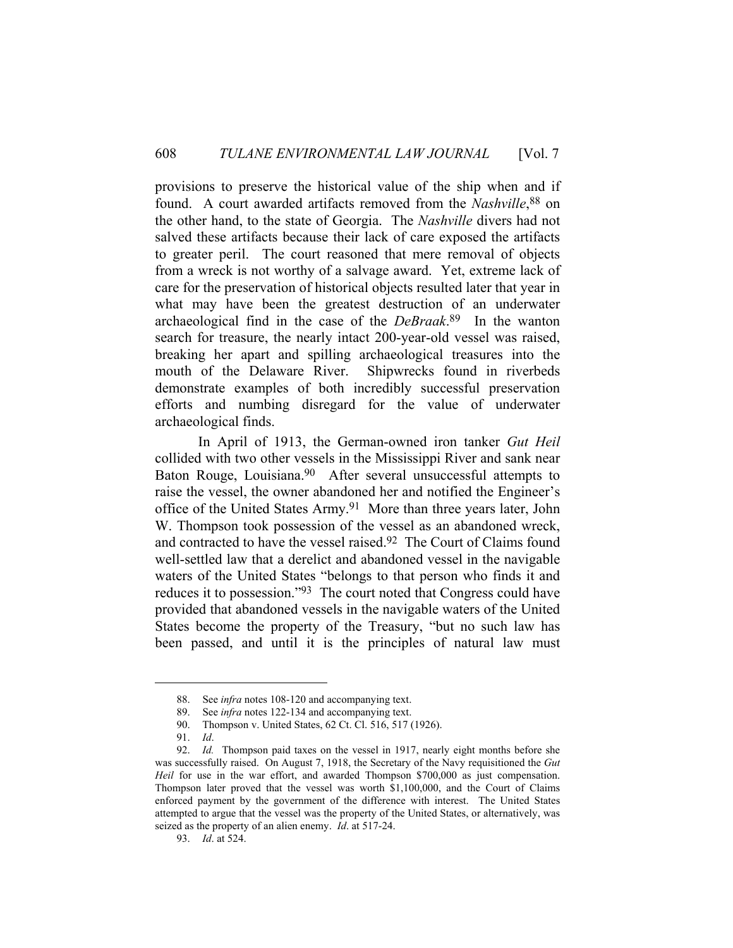provisions to preserve the historical value of the ship when and if found. A court awarded artifacts removed from the *Nashville*,<sup>88</sup> on the other hand, to the state of Georgia. The *Nashville* divers had not salved these artifacts because their lack of care exposed the artifacts to greater peril. The court reasoned that mere removal of objects from a wreck is not worthy of a salvage award. Yet, extreme lack of care for the preservation of historical objects resulted later that year in what may have been the greatest destruction of an underwater archaeological find in the case of the *DeBraak*. 89 In the wanton search for treasure, the nearly intact 200-year-old vessel was raised, breaking her apart and spilling archaeological treasures into the mouth of the Delaware River. Shipwrecks found in riverbeds demonstrate examples of both incredibly successful preservation efforts and numbing disregard for the value of underwater archaeological finds.

 In April of 1913, the German-owned iron tanker *Gut Heil* collided with two other vessels in the Mississippi River and sank near Baton Rouge, Louisiana.<sup>90</sup> After several unsuccessful attempts to raise the vessel, the owner abandoned her and notified the Engineer's office of the United States Army.91 More than three years later, John W. Thompson took possession of the vessel as an abandoned wreck, and contracted to have the vessel raised.92 The Court of Claims found well-settled law that a derelict and abandoned vessel in the navigable waters of the United States "belongs to that person who finds it and reduces it to possession."93 The court noted that Congress could have provided that abandoned vessels in the navigable waters of the United States become the property of the Treasury, "but no such law has been passed, and until it is the principles of natural law must

 <sup>88.</sup> See *infra* notes 108-120 and accompanying text.

 <sup>89.</sup> See *infra* notes 122-134 and accompanying text.

 <sup>90.</sup> Thompson v. United States, 62 Ct. Cl. 516, 517 (1926).

 <sup>91.</sup> *Id*.

 <sup>92.</sup> *Id.* Thompson paid taxes on the vessel in 1917, nearly eight months before she was successfully raised. On August 7, 1918, the Secretary of the Navy requisitioned the *Gut Heil* for use in the war effort, and awarded Thompson \$700,000 as just compensation. Thompson later proved that the vessel was worth \$1,100,000, and the Court of Claims enforced payment by the government of the difference with interest. The United States attempted to argue that the vessel was the property of the United States, or alternatively, was seized as the property of an alien enemy. *Id*. at 517-24.

 <sup>93.</sup> *Id*. at 524.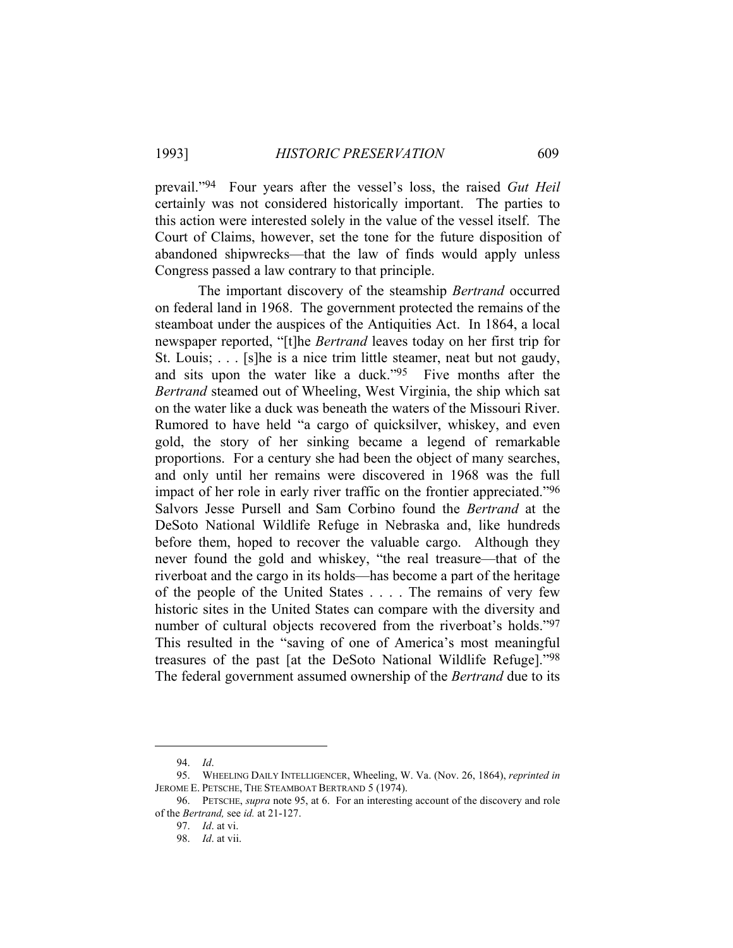prevail."94 Four years after the vessel's loss, the raised *Gut Heil* certainly was not considered historically important. The parties to this action were interested solely in the value of the vessel itself. The Court of Claims, however, set the tone for the future disposition of abandoned shipwrecks—that the law of finds would apply unless Congress passed a law contrary to that principle.

 The important discovery of the steamship *Bertrand* occurred on federal land in 1968. The government protected the remains of the steamboat under the auspices of the Antiquities Act. In 1864, a local newspaper reported, "[t]he *Bertrand* leaves today on her first trip for St. Louis; . . . [s]he is a nice trim little steamer, neat but not gaudy, and sits upon the water like a duck."95 Five months after the *Bertrand* steamed out of Wheeling, West Virginia, the ship which sat on the water like a duck was beneath the waters of the Missouri River. Rumored to have held "a cargo of quicksilver, whiskey, and even gold, the story of her sinking became a legend of remarkable proportions. For a century she had been the object of many searches, and only until her remains were discovered in 1968 was the full impact of her role in early river traffic on the frontier appreciated."96 Salvors Jesse Pursell and Sam Corbino found the *Bertrand* at the DeSoto National Wildlife Refuge in Nebraska and, like hundreds before them, hoped to recover the valuable cargo. Although they never found the gold and whiskey, "the real treasure—that of the riverboat and the cargo in its holds—has become a part of the heritage of the people of the United States . . . . The remains of very few historic sites in the United States can compare with the diversity and number of cultural objects recovered from the riverboat's holds."97 This resulted in the "saving of one of America's most meaningful treasures of the past [at the DeSoto National Wildlife Refuge]."98 The federal government assumed ownership of the *Bertrand* due to its

 <sup>94.</sup> *Id*.

 <sup>95.</sup> WHEELING DAILY INTELLIGENCER, Wheeling, W. Va. (Nov. 26, 1864), *reprinted in* JEROME E. PETSCHE, THE STEAMBOAT BERTRAND 5 (1974).

 <sup>96.</sup> PETSCHE, *supra* note 95, at 6. For an interesting account of the discovery and role of the *Bertrand,* see *id.* at 21-127.

 <sup>97.</sup> *Id*. at vi.

 <sup>98.</sup> *Id*. at vii.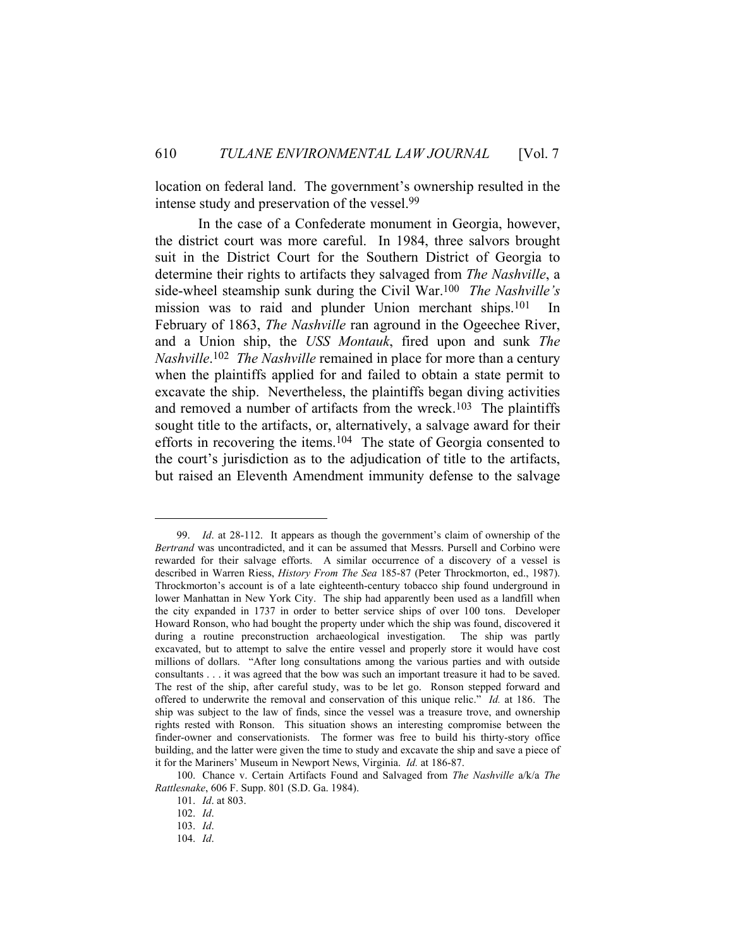location on federal land. The government's ownership resulted in the intense study and preservation of the vessel.99

 In the case of a Confederate monument in Georgia, however, the district court was more careful. In 1984, three salvors brought suit in the District Court for the Southern District of Georgia to determine their rights to artifacts they salvaged from *The Nashville*, a side-wheel steamship sunk during the Civil War.100 *The Nashville's* mission was to raid and plunder Union merchant ships.<sup>101</sup> In February of 1863, *The Nashville* ran aground in the Ogeechee River, and a Union ship, the *USS Montauk*, fired upon and sunk *The Nashville*.102 *The Nashville* remained in place for more than a century when the plaintiffs applied for and failed to obtain a state permit to excavate the ship. Nevertheless, the plaintiffs began diving activities and removed a number of artifacts from the wreck.<sup>103</sup> The plaintiffs sought title to the artifacts, or, alternatively, a salvage award for their efforts in recovering the items.<sup>104</sup> The state of Georgia consented to the court's jurisdiction as to the adjudication of title to the artifacts, but raised an Eleventh Amendment immunity defense to the salvage

 <sup>99.</sup> *Id*. at 28-112. It appears as though the government's claim of ownership of the *Bertrand* was uncontradicted, and it can be assumed that Messrs. Pursell and Corbino were rewarded for their salvage efforts. A similar occurrence of a discovery of a vessel is described in Warren Riess, *History From The Sea* 185-87 (Peter Throckmorton, ed., 1987). Throckmorton's account is of a late eighteenth-century tobacco ship found underground in lower Manhattan in New York City. The ship had apparently been used as a landfill when the city expanded in 1737 in order to better service ships of over 100 tons. Developer Howard Ronson, who had bought the property under which the ship was found, discovered it during a routine preconstruction archaeological investigation. The ship was partly excavated, but to attempt to salve the entire vessel and properly store it would have cost millions of dollars. "After long consultations among the various parties and with outside consultants . . . it was agreed that the bow was such an important treasure it had to be saved. The rest of the ship, after careful study, was to be let go. Ronson stepped forward and offered to underwrite the removal and conservation of this unique relic." *Id.* at 186. The ship was subject to the law of finds, since the vessel was a treasure trove, and ownership rights rested with Ronson. This situation shows an interesting compromise between the finder-owner and conservationists. The former was free to build his thirty-story office building, and the latter were given the time to study and excavate the ship and save a piece of it for the Mariners' Museum in Newport News, Virginia. *Id.* at 186-87.

 <sup>100.</sup> Chance v. Certain Artifacts Found and Salvaged from *The Nashville* a/k/a *The Rattlesnake*, 606 F. Supp. 801 (S.D. Ga. 1984).

 <sup>101.</sup> *Id*. at 803.

 <sup>102.</sup> *Id*. 103. *Id*.

 <sup>104.</sup> *Id*.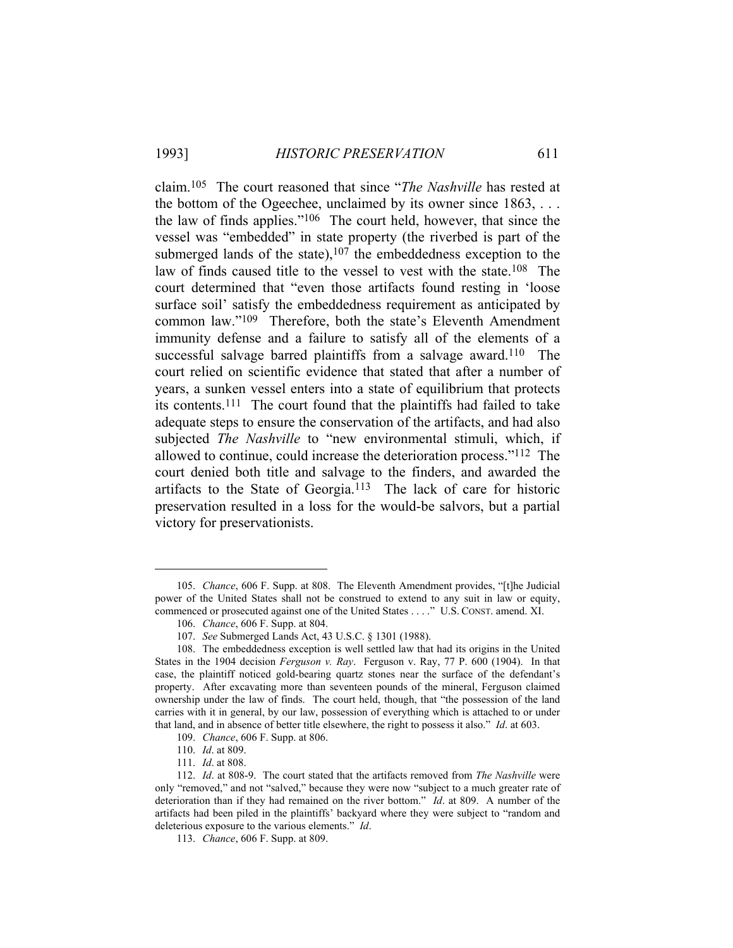claim.105 The court reasoned that since "*The Nashville* has rested at the bottom of the Ogeechee, unclaimed by its owner since 1863, . . . the law of finds applies."106 The court held, however, that since the vessel was "embedded" in state property (the riverbed is part of the submerged lands of the state), $107$  the embeddedness exception to the law of finds caused title to the vessel to vest with the state.<sup>108</sup> The court determined that "even those artifacts found resting in 'loose surface soil' satisfy the embeddedness requirement as anticipated by common law."109 Therefore, both the state's Eleventh Amendment immunity defense and a failure to satisfy all of the elements of a successful salvage barred plaintiffs from a salvage award.<sup>110</sup> The court relied on scientific evidence that stated that after a number of years, a sunken vessel enters into a state of equilibrium that protects its contents.111 The court found that the plaintiffs had failed to take adequate steps to ensure the conservation of the artifacts, and had also subjected *The Nashville* to "new environmental stimuli, which, if allowed to continue, could increase the deterioration process."112 The court denied both title and salvage to the finders, and awarded the artifacts to the State of Georgia.113 The lack of care for historic preservation resulted in a loss for the would-be salvors, but a partial victory for preservationists.

 <sup>105.</sup> *Chance*, 606 F. Supp. at 808. The Eleventh Amendment provides, "[t]he Judicial power of the United States shall not be construed to extend to any suit in law or equity, commenced or prosecuted against one of the United States . . . ." U.S. CONST. amend. XI.

 <sup>106.</sup> *Chance*, 606 F. Supp. at 804.

 <sup>107.</sup> *See* Submerged Lands Act, 43 U.S.C. § 1301 (1988).

 <sup>108.</sup> The embeddedness exception is well settled law that had its origins in the United States in the 1904 decision *Ferguson v. Ray*. Ferguson v. Ray, 77 P. 600 (1904). In that case, the plaintiff noticed gold-bearing quartz stones near the surface of the defendant's property. After excavating more than seventeen pounds of the mineral, Ferguson claimed ownership under the law of finds. The court held, though, that "the possession of the land carries with it in general, by our law, possession of everything which is attached to or under that land, and in absence of better title elsewhere, the right to possess it also." *Id*. at 603.

 <sup>109.</sup> *Chance*, 606 F. Supp. at 806.

 <sup>110.</sup> *Id*. at 809.

 <sup>111.</sup> *Id*. at 808.

 <sup>112.</sup> *Id*. at 808-9. The court stated that the artifacts removed from *The Nashville* were only "removed," and not "salved," because they were now "subject to a much greater rate of deterioration than if they had remained on the river bottom." *Id*. at 809. A number of the artifacts had been piled in the plaintiffs' backyard where they were subject to "random and deleterious exposure to the various elements." *Id*.

 <sup>113.</sup> *Chance*, 606 F. Supp. at 809.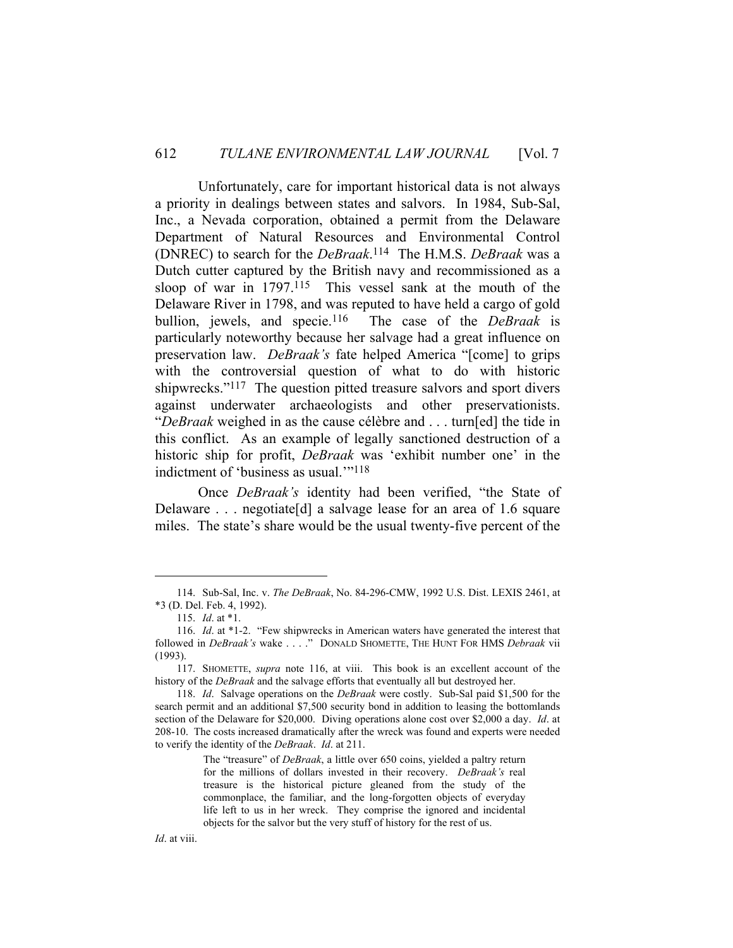Unfortunately, care for important historical data is not always a priority in dealings between states and salvors. In 1984, Sub-Sal, Inc., a Nevada corporation, obtained a permit from the Delaware Department of Natural Resources and Environmental Control (DNREC) to search for the *DeBraak*.114 The H.M.S. *DeBraak* was a Dutch cutter captured by the British navy and recommissioned as a sloop of war in 1797.115 This vessel sank at the mouth of the Delaware River in 1798, and was reputed to have held a cargo of gold bullion, jewels, and specie.116 The case of the *DeBraak* is particularly noteworthy because her salvage had a great influence on preservation law. *DeBraak's* fate helped America "[come] to grips with the controversial question of what to do with historic shipwrecks."117 The question pitted treasure salvors and sport divers against underwater archaeologists and other preservationists. "*DeBraak* weighed in as the cause célèbre and . . . turn[ed] the tide in this conflict. As an example of legally sanctioned destruction of a historic ship for profit, *DeBraak* was 'exhibit number one' in the indictment of 'business as usual.'"118

 Once *DeBraak's* identity had been verified, "the State of Delaware . . . negotiate[d] a salvage lease for an area of 1.6 square miles. The state's share would be the usual twenty-five percent of the

The "treasure" of *DeBraak*, a little over 650 coins, yielded a paltry return for the millions of dollars invested in their recovery. *DeBraak's* real treasure is the historical picture gleaned from the study of the commonplace, the familiar, and the long-forgotten objects of everyday life left to us in her wreck. They comprise the ignored and incidental objects for the salvor but the very stuff of history for the rest of us.

 <sup>114.</sup> Sub-Sal, Inc. v. *The DeBraak*, No. 84-296-CMW, 1992 U.S. Dist. LEXIS 2461, at \*3 (D. Del. Feb. 4, 1992).

 <sup>115.</sup> *Id*. at \*1.

 <sup>116.</sup> *Id*. at \*1-2. "Few shipwrecks in American waters have generated the interest that followed in *DeBraak's* wake . . . ." DONALD SHOMETTE, THE HUNT FOR HMS *Debraak* vii (1993).

 <sup>117.</sup> SHOMETTE, *supra* note 116, at viii. This book is an excellent account of the history of the *DeBraak* and the salvage efforts that eventually all but destroyed her.

 <sup>118.</sup> *Id*. Salvage operations on the *DeBraak* were costly. Sub-Sal paid \$1,500 for the search permit and an additional \$7,500 security bond in addition to leasing the bottomlands section of the Delaware for \$20,000. Diving operations alone cost over \$2,000 a day. *Id*. at 208-10. The costs increased dramatically after the wreck was found and experts were needed to verify the identity of the *DeBraak*. *Id*. at 211.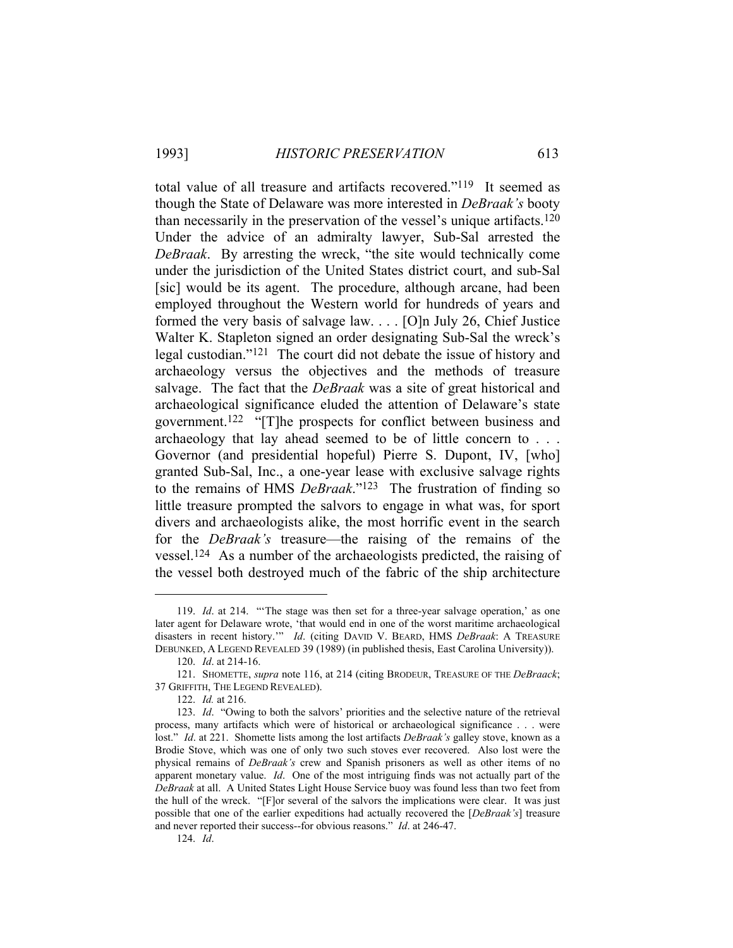total value of all treasure and artifacts recovered."119 It seemed as though the State of Delaware was more interested in *DeBraak's* booty than necessarily in the preservation of the vessel's unique artifacts.120 Under the advice of an admiralty lawyer, Sub-Sal arrested the *DeBraak*. By arresting the wreck, "the site would technically come under the jurisdiction of the United States district court, and sub-Sal [sic] would be its agent. The procedure, although arcane, had been employed throughout the Western world for hundreds of years and formed the very basis of salvage law. . . . [O]n July 26, Chief Justice Walter K. Stapleton signed an order designating Sub-Sal the wreck's legal custodian."121 The court did not debate the issue of history and archaeology versus the objectives and the methods of treasure salvage. The fact that the *DeBraak* was a site of great historical and archaeological significance eluded the attention of Delaware's state government.122 "[T]he prospects for conflict between business and archaeology that lay ahead seemed to be of little concern to . . . Governor (and presidential hopeful) Pierre S. Dupont, IV, [who] granted Sub-Sal, Inc., a one-year lease with exclusive salvage rights to the remains of HMS *DeBraak*."123 The frustration of finding so little treasure prompted the salvors to engage in what was, for sport divers and archaeologists alike, the most horrific event in the search for the *DeBraak's* treasure—the raising of the remains of the vessel.124 As a number of the archaeologists predicted, the raising of the vessel both destroyed much of the fabric of the ship architecture

 <sup>119.</sup> *Id*. at 214. "'The stage was then set for a three-year salvage operation,' as one later agent for Delaware wrote, 'that would end in one of the worst maritime archaeological disasters in recent history.'" *Id*. (citing DAVID V. BEARD, HMS *DeBraak*: A TREASURE DEBUNKED, A LEGEND REVEALED 39 (1989) (in published thesis, East Carolina University)).

 <sup>120.</sup> *Id*. at 214-16.

 <sup>121.</sup> SHOMETTE, *supra* note 116, at 214 (citing BRODEUR, TREASURE OF THE *DeBraack*; 37 GRIFFITH, THE LEGEND REVEALED).

 <sup>122.</sup> *Id.* at 216.

 <sup>123.</sup> *Id*. "Owing to both the salvors' priorities and the selective nature of the retrieval process, many artifacts which were of historical or archaeological significance . . . were lost." *Id*. at 221. Shomette lists among the lost artifacts *DeBraak's* galley stove, known as a Brodie Stove, which was one of only two such stoves ever recovered. Also lost were the physical remains of *DeBraak's* crew and Spanish prisoners as well as other items of no apparent monetary value. *Id*. One of the most intriguing finds was not actually part of the *DeBraak* at all. A United States Light House Service buoy was found less than two feet from the hull of the wreck. "[F]or several of the salvors the implications were clear. It was just possible that one of the earlier expeditions had actually recovered the [*DeBraak's*] treasure and never reported their success--for obvious reasons." *Id*. at 246-47.

 <sup>124.</sup> *Id*.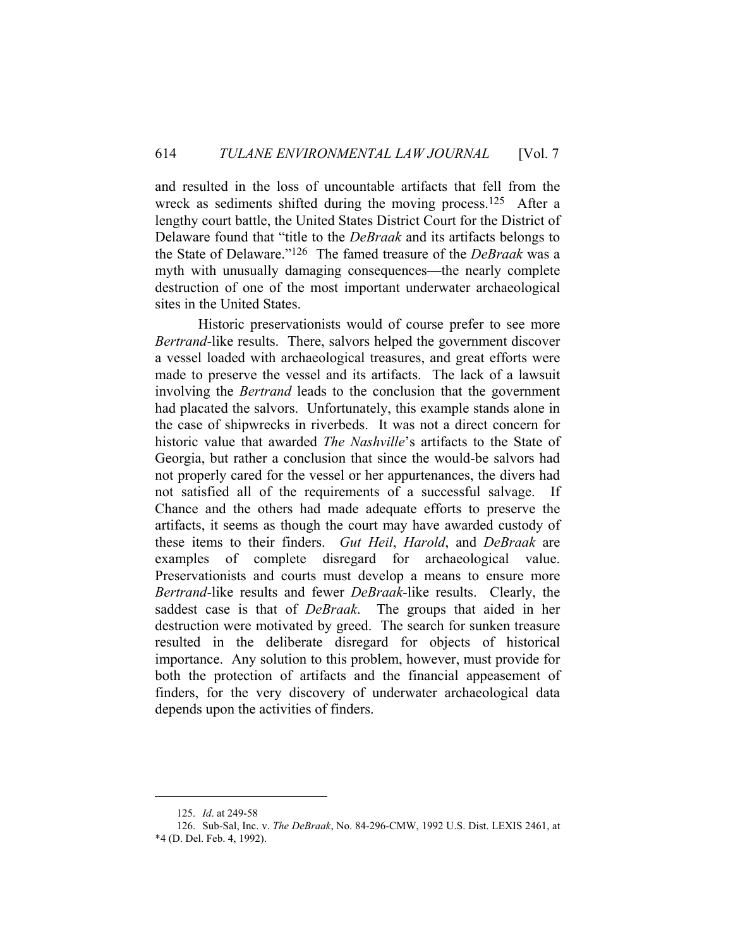and resulted in the loss of uncountable artifacts that fell from the wreck as sediments shifted during the moving process.125 After a lengthy court battle, the United States District Court for the District of Delaware found that "title to the *DeBraak* and its artifacts belongs to the State of Delaware."126 The famed treasure of the *DeBraak* was a myth with unusually damaging consequences—the nearly complete destruction of one of the most important underwater archaeological sites in the United States.

 Historic preservationists would of course prefer to see more *Bertrand*-like results. There, salvors helped the government discover a vessel loaded with archaeological treasures, and great efforts were made to preserve the vessel and its artifacts. The lack of a lawsuit involving the *Bertrand* leads to the conclusion that the government had placated the salvors. Unfortunately, this example stands alone in the case of shipwrecks in riverbeds. It was not a direct concern for historic value that awarded *The Nashville*'s artifacts to the State of Georgia, but rather a conclusion that since the would-be salvors had not properly cared for the vessel or her appurtenances, the divers had not satisfied all of the requirements of a successful salvage. If Chance and the others had made adequate efforts to preserve the artifacts, it seems as though the court may have awarded custody of these items to their finders. *Gut Heil*, *Harold*, and *DeBraak* are examples of complete disregard for archaeological value. Preservationists and courts must develop a means to ensure more *Bertrand*-like results and fewer *DeBraak*-like results. Clearly, the saddest case is that of *DeBraak*. The groups that aided in her destruction were motivated by greed. The search for sunken treasure resulted in the deliberate disregard for objects of historical importance. Any solution to this problem, however, must provide for both the protection of artifacts and the financial appeasement of finders, for the very discovery of underwater archaeological data depends upon the activities of finders.

 <sup>125.</sup> *Id*. at 249-58

 <sup>126.</sup> Sub-Sal, Inc. v. *The DeBraak*, No. 84-296-CMW, 1992 U.S. Dist. LEXIS 2461, at \*4 (D. Del. Feb. 4, 1992).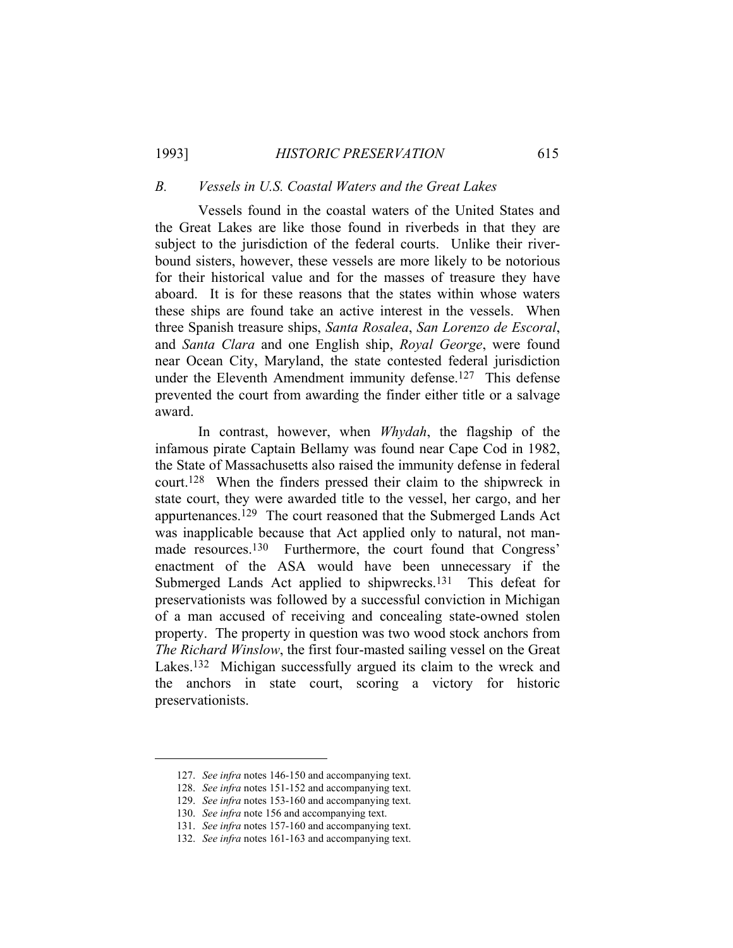1993] *HISTORIC PRESERVATION* 615

#### *B. Vessels in U.S. Coastal Waters and the Great Lakes*

 Vessels found in the coastal waters of the United States and the Great Lakes are like those found in riverbeds in that they are subject to the jurisdiction of the federal courts. Unlike their riverbound sisters, however, these vessels are more likely to be notorious for their historical value and for the masses of treasure they have aboard. It is for these reasons that the states within whose waters these ships are found take an active interest in the vessels. When three Spanish treasure ships, *Santa Rosalea*, *San Lorenzo de Escoral*, and *Santa Clara* and one English ship, *Royal George*, were found near Ocean City, Maryland, the state contested federal jurisdiction under the Eleventh Amendment immunity defense.<sup>127</sup> This defense prevented the court from awarding the finder either title or a salvage award.

 In contrast, however, when *Whydah*, the flagship of the infamous pirate Captain Bellamy was found near Cape Cod in 1982, the State of Massachusetts also raised the immunity defense in federal court.128 When the finders pressed their claim to the shipwreck in state court, they were awarded title to the vessel, her cargo, and her appurtenances.129 The court reasoned that the Submerged Lands Act was inapplicable because that Act applied only to natural, not manmade resources.<sup>130</sup> Furthermore, the court found that Congress' enactment of the ASA would have been unnecessary if the Submerged Lands Act applied to shipwrecks.<sup>131</sup> This defeat for preservationists was followed by a successful conviction in Michigan of a man accused of receiving and concealing state-owned stolen property. The property in question was two wood stock anchors from *The Richard Winslow*, the first four-masted sailing vessel on the Great Lakes.<sup>132</sup> Michigan successfully argued its claim to the wreck and the anchors in state court, scoring a victory for historic preservationists.

 <sup>127.</sup> *See infra* notes 146-150 and accompanying text.

 <sup>128.</sup> *See infra* notes 151-152 and accompanying text.

 <sup>129.</sup> *See infra* notes 153-160 and accompanying text.

 <sup>130.</sup> *See infra* note 156 and accompanying text.

 <sup>131.</sup> *See infra* notes 157-160 and accompanying text.

 <sup>132.</sup> *See infra* notes 161-163 and accompanying text.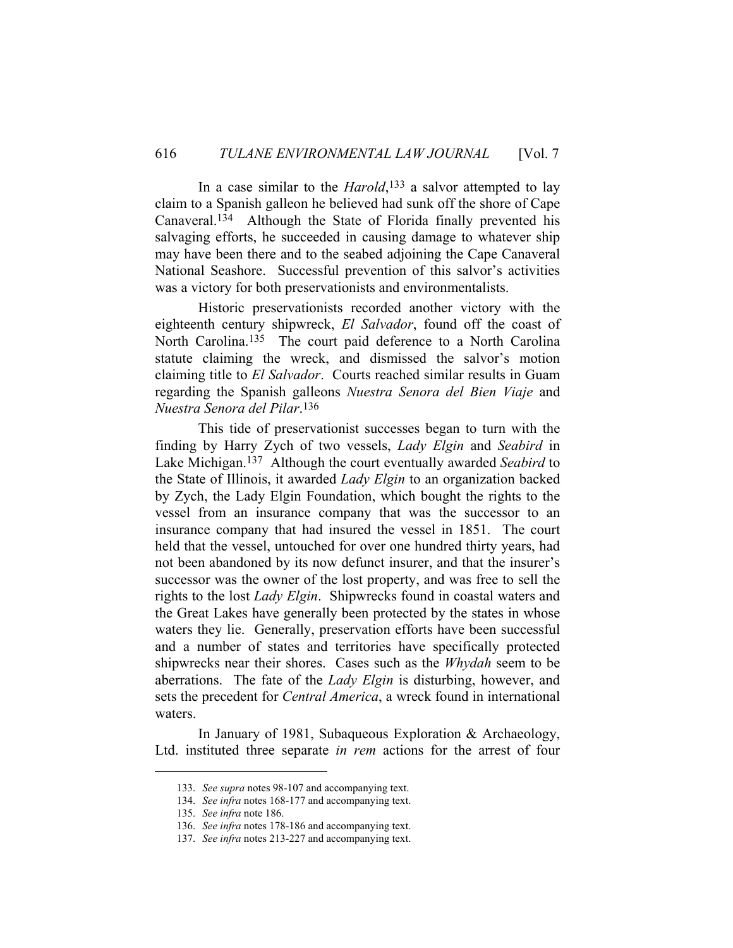In a case similar to the *Harold*,<sup>133</sup> a salvor attempted to lay claim to a Spanish galleon he believed had sunk off the shore of Cape Canaveral.134 Although the State of Florida finally prevented his salvaging efforts, he succeeded in causing damage to whatever ship may have been there and to the seabed adjoining the Cape Canaveral National Seashore. Successful prevention of this salvor's activities was a victory for both preservationists and environmentalists.

 Historic preservationists recorded another victory with the eighteenth century shipwreck, *El Salvador*, found off the coast of North Carolina.135 The court paid deference to a North Carolina statute claiming the wreck, and dismissed the salvor's motion claiming title to *El Salvador*. Courts reached similar results in Guam regarding the Spanish galleons *Nuestra Senora del Bien Viaje* and *Nuestra Senora del Pilar*.136

 This tide of preservationist successes began to turn with the finding by Harry Zych of two vessels, *Lady Elgin* and *Seabird* in Lake Michigan.137 Although the court eventually awarded *Seabird* to the State of Illinois, it awarded *Lady Elgin* to an organization backed by Zych, the Lady Elgin Foundation, which bought the rights to the vessel from an insurance company that was the successor to an insurance company that had insured the vessel in 1851. The court held that the vessel, untouched for over one hundred thirty years, had not been abandoned by its now defunct insurer, and that the insurer's successor was the owner of the lost property, and was free to sell the rights to the lost *Lady Elgin*. Shipwrecks found in coastal waters and the Great Lakes have generally been protected by the states in whose waters they lie. Generally, preservation efforts have been successful and a number of states and territories have specifically protected shipwrecks near their shores. Cases such as the *Whydah* seem to be aberrations. The fate of the *Lady Elgin* is disturbing, however, and sets the precedent for *Central America*, a wreck found in international waters.

 In January of 1981, Subaqueous Exploration & Archaeology, Ltd. instituted three separate *in rem* actions for the arrest of four

 <sup>133.</sup> *See supra* notes 98-107 and accompanying text.

 <sup>134.</sup> *See infra* notes 168-177 and accompanying text.

 <sup>135.</sup> *See infra* note 186.

 <sup>136.</sup> *See infra* notes 178-186 and accompanying text.

 <sup>137.</sup> *See infra* notes 213-227 and accompanying text.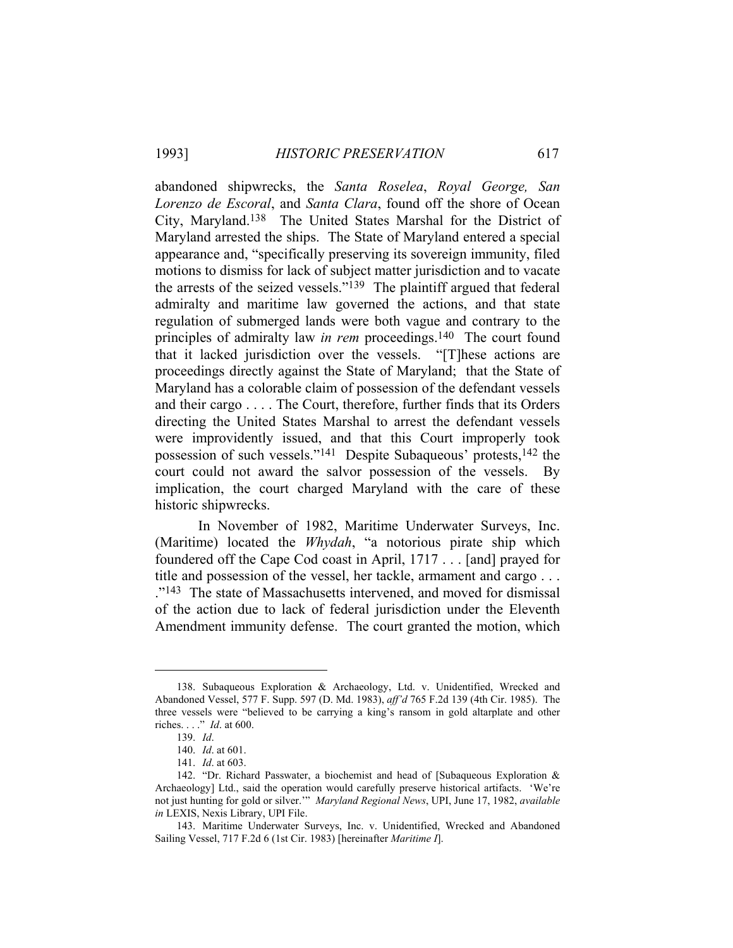abandoned shipwrecks, the *Santa Roselea*, *Royal George, San Lorenzo de Escoral*, and *Santa Clara*, found off the shore of Ocean City, Maryland.138 The United States Marshal for the District of Maryland arrested the ships. The State of Maryland entered a special appearance and, "specifically preserving its sovereign immunity, filed motions to dismiss for lack of subject matter jurisdiction and to vacate the arrests of the seized vessels."139 The plaintiff argued that federal admiralty and maritime law governed the actions, and that state regulation of submerged lands were both vague and contrary to the principles of admiralty law *in rem* proceedings.140 The court found that it lacked jurisdiction over the vessels. "[T]hese actions are proceedings directly against the State of Maryland; that the State of Maryland has a colorable claim of possession of the defendant vessels and their cargo . . . . The Court, therefore, further finds that its Orders directing the United States Marshal to arrest the defendant vessels were improvidently issued, and that this Court improperly took possession of such vessels."141 Despite Subaqueous' protests,142 the court could not award the salvor possession of the vessels. By implication, the court charged Maryland with the care of these historic shipwrecks.

 In November of 1982, Maritime Underwater Surveys, Inc. (Maritime) located the *Whydah*, "a notorious pirate ship which foundered off the Cape Cod coast in April, 1717 . . . [and] prayed for title and possession of the vessel, her tackle, armament and cargo . . . ."143 The state of Massachusetts intervened, and moved for dismissal of the action due to lack of federal jurisdiction under the Eleventh Amendment immunity defense. The court granted the motion, which

 <sup>138.</sup> Subaqueous Exploration & Archaeology, Ltd. v. Unidentified, Wrecked and Abandoned Vessel, 577 F. Supp. 597 (D. Md. 1983), *aff'd* 765 F.2d 139 (4th Cir. 1985). The three vessels were "believed to be carrying a king's ransom in gold altarplate and other riches. . . ." *Id*. at 600.

 <sup>139.</sup> *Id*.

 <sup>140.</sup> *Id*. at 601.

 <sup>141.</sup> *Id*. at 603.

 <sup>142. &</sup>quot;Dr. Richard Passwater, a biochemist and head of [Subaqueous Exploration & Archaeology] Ltd., said the operation would carefully preserve historical artifacts. 'We're not just hunting for gold or silver.'" *Maryland Regional News*, UPI, June 17, 1982, *available in* LEXIS, Nexis Library, UPI File.

 <sup>143.</sup> Maritime Underwater Surveys, Inc. v. Unidentified, Wrecked and Abandoned Sailing Vessel, 717 F.2d 6 (1st Cir. 1983) [hereinafter *Maritime I*].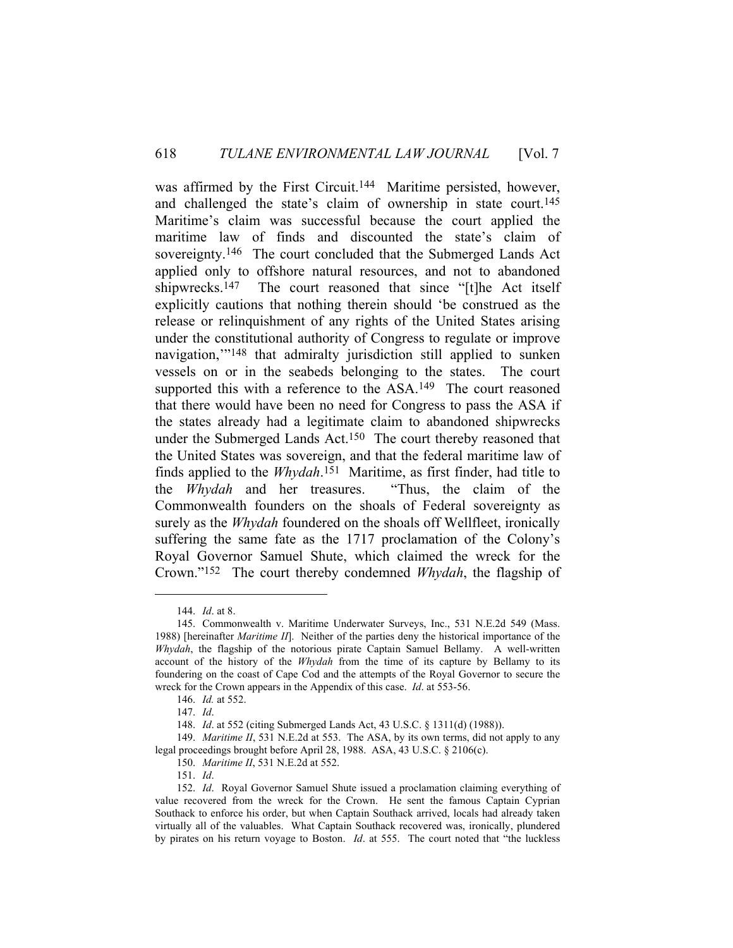was affirmed by the First Circuit.<sup>144</sup> Maritime persisted, however, and challenged the state's claim of ownership in state court.<sup>145</sup> Maritime's claim was successful because the court applied the maritime law of finds and discounted the state's claim of sovereignty.<sup>146</sup> The court concluded that the Submerged Lands Act applied only to offshore natural resources, and not to abandoned shipwrecks.<sup>147</sup> The court reasoned that since "[t]he Act itself explicitly cautions that nothing therein should 'be construed as the release or relinquishment of any rights of the United States arising under the constitutional authority of Congress to regulate or improve navigation,"<sup>148</sup> that admiralty jurisdiction still applied to sunken vessels on or in the seabeds belonging to the states. The court supported this with a reference to the ASA.<sup>149</sup> The court reasoned that there would have been no need for Congress to pass the ASA if the states already had a legitimate claim to abandoned shipwrecks under the Submerged Lands Act.<sup>150</sup> The court thereby reasoned that the United States was sovereign, and that the federal maritime law of finds applied to the *Whydah*.151 Maritime, as first finder, had title to the *Whydah* and her treasures. "Thus, the claim of the Commonwealth founders on the shoals of Federal sovereignty as surely as the *Whydah* foundered on the shoals off Wellfleet, ironically suffering the same fate as the 1717 proclamation of the Colony's Royal Governor Samuel Shute, which claimed the wreck for the Crown."152 The court thereby condemned *Whydah*, the flagship of

 <sup>144.</sup> *Id*. at 8.

 <sup>145.</sup> Commonwealth v. Maritime Underwater Surveys, Inc., 531 N.E.2d 549 (Mass. 1988) [hereinafter *Maritime II*]. Neither of the parties deny the historical importance of the *Whydah*, the flagship of the notorious pirate Captain Samuel Bellamy. A well-written account of the history of the *Whydah* from the time of its capture by Bellamy to its foundering on the coast of Cape Cod and the attempts of the Royal Governor to secure the wreck for the Crown appears in the Appendix of this case. *Id*. at 553-56.

 <sup>146.</sup> *Id.* at 552.

 <sup>147.</sup> *Id*.

 <sup>148.</sup> *Id*. at 552 (citing Submerged Lands Act, 43 U.S.C. § 1311(d) (1988)).

 <sup>149.</sup> *Maritime II*, 531 N.E.2d at 553. The ASA, by its own terms, did not apply to any legal proceedings brought before April 28, 1988. ASA, 43 U.S.C. § 2106(c).

 <sup>150.</sup> *Maritime II*, 531 N.E.2d at 552.

 <sup>151.</sup> *Id*.

 <sup>152.</sup> *Id*. Royal Governor Samuel Shute issued a proclamation claiming everything of value recovered from the wreck for the Crown. He sent the famous Captain Cyprian Southack to enforce his order, but when Captain Southack arrived, locals had already taken virtually all of the valuables. What Captain Southack recovered was, ironically, plundered by pirates on his return voyage to Boston. *Id*. at 555. The court noted that "the luckless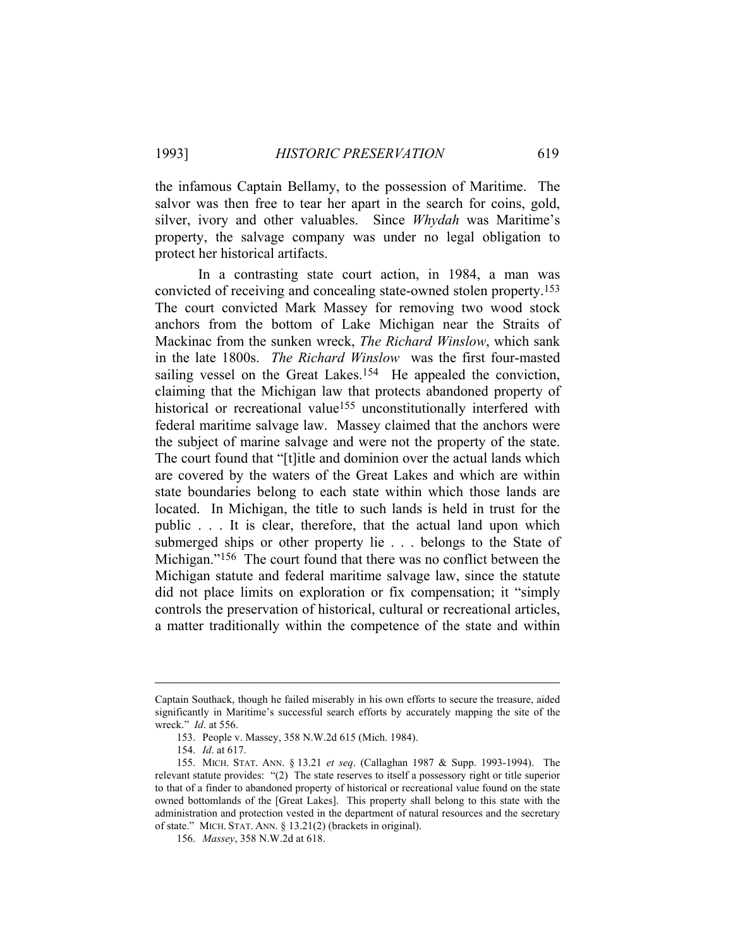the infamous Captain Bellamy, to the possession of Maritime. The salvor was then free to tear her apart in the search for coins, gold, silver, ivory and other valuables. Since *Whydah* was Maritime's property, the salvage company was under no legal obligation to protect her historical artifacts.

 In a contrasting state court action, in 1984, a man was convicted of receiving and concealing state-owned stolen property.153 The court convicted Mark Massey for removing two wood stock anchors from the bottom of Lake Michigan near the Straits of Mackinac from the sunken wreck, *The Richard Winslow*, which sank in the late 1800s. *The Richard Winslow* was the first four-masted sailing vessel on the Great Lakes.<sup>154</sup> He appealed the conviction, claiming that the Michigan law that protects abandoned property of historical or recreational value<sup>155</sup> unconstitutionally interfered with federal maritime salvage law. Massey claimed that the anchors were the subject of marine salvage and were not the property of the state. The court found that "[t]itle and dominion over the actual lands which are covered by the waters of the Great Lakes and which are within state boundaries belong to each state within which those lands are located. In Michigan, the title to such lands is held in trust for the public . . . It is clear, therefore, that the actual land upon which submerged ships or other property lie . . . belongs to the State of Michigan."156 The court found that there was no conflict between the Michigan statute and federal maritime salvage law, since the statute did not place limits on exploration or fix compensation; it "simply controls the preservation of historical, cultural or recreational articles, a matter traditionally within the competence of the state and within

Captain Southack, though he failed miserably in his own efforts to secure the treasure, aided significantly in Maritime's successful search efforts by accurately mapping the site of the wreck." *Id*. at 556.

 <sup>153.</sup> People v. Massey, 358 N.W.2d 615 (Mich. 1984).

 <sup>154.</sup> *Id*. at 617.

 <sup>155.</sup> MICH. STAT. ANN. § 13.21 *et seq*. (Callaghan 1987 & Supp. 1993-1994). The relevant statute provides: "(2) The state reserves to itself a possessory right or title superior to that of a finder to abandoned property of historical or recreational value found on the state owned bottomlands of the [Great Lakes]. This property shall belong to this state with the administration and protection vested in the department of natural resources and the secretary of state." MICH. STAT. ANN. § 13.21(2) (brackets in original).

 <sup>156.</sup> *Massey*, 358 N.W.2d at 618.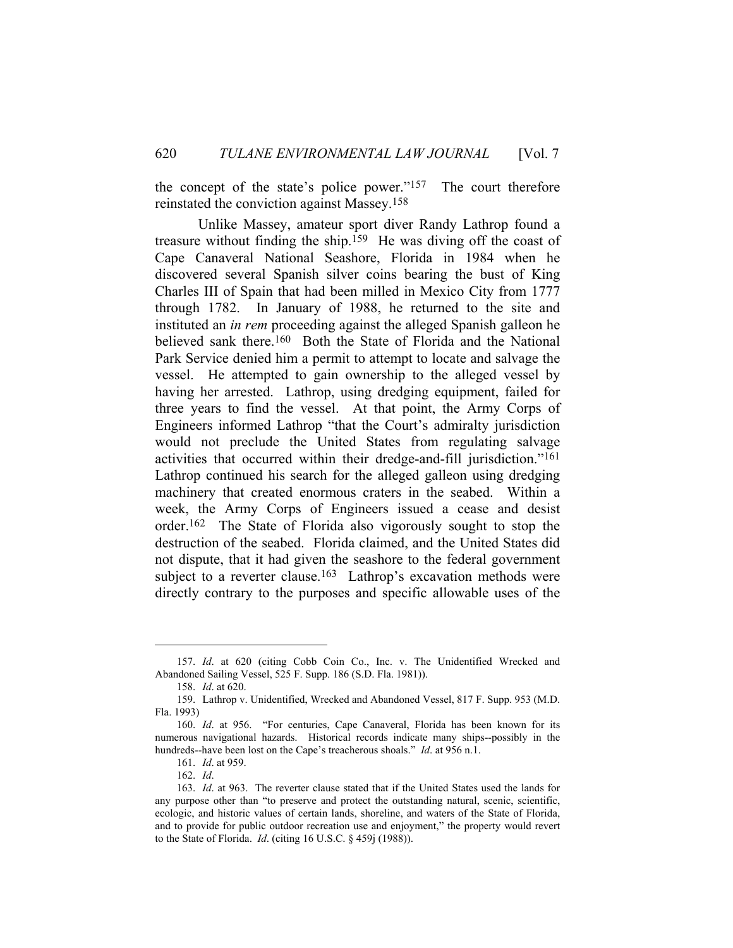the concept of the state's police power."157 The court therefore reinstated the conviction against Massey.158

 Unlike Massey, amateur sport diver Randy Lathrop found a treasure without finding the ship.159 He was diving off the coast of Cape Canaveral National Seashore, Florida in 1984 when he discovered several Spanish silver coins bearing the bust of King Charles III of Spain that had been milled in Mexico City from 1777 through 1782. In January of 1988, he returned to the site and instituted an *in rem* proceeding against the alleged Spanish galleon he believed sank there.<sup>160</sup> Both the State of Florida and the National Park Service denied him a permit to attempt to locate and salvage the vessel. He attempted to gain ownership to the alleged vessel by having her arrested. Lathrop, using dredging equipment, failed for three years to find the vessel. At that point, the Army Corps of Engineers informed Lathrop "that the Court's admiralty jurisdiction would not preclude the United States from regulating salvage activities that occurred within their dredge-and-fill jurisdiction."161 Lathrop continued his search for the alleged galleon using dredging machinery that created enormous craters in the seabed. Within a week, the Army Corps of Engineers issued a cease and desist order.162 The State of Florida also vigorously sought to stop the destruction of the seabed. Florida claimed, and the United States did not dispute, that it had given the seashore to the federal government subject to a reverter clause.<sup>163</sup> Lathrop's excavation methods were directly contrary to the purposes and specific allowable uses of the

 <sup>157.</sup> *Id*. at 620 (citing Cobb Coin Co., Inc. v. The Unidentified Wrecked and Abandoned Sailing Vessel, 525 F. Supp. 186 (S.D. Fla. 1981)).

 <sup>158.</sup> *Id*. at 620.

 <sup>159.</sup> Lathrop v. Unidentified, Wrecked and Abandoned Vessel, 817 F. Supp. 953 (M.D. Fla. 1993)

 <sup>160.</sup> *Id*. at 956. "For centuries, Cape Canaveral, Florida has been known for its numerous navigational hazards. Historical records indicate many ships--possibly in the hundreds--have been lost on the Cape's treacherous shoals." *Id*. at 956 n.1.

 <sup>161.</sup> *Id*. at 959.

 <sup>162.</sup> *Id*.

 <sup>163.</sup> *Id*. at 963. The reverter clause stated that if the United States used the lands for any purpose other than "to preserve and protect the outstanding natural, scenic, scientific, ecologic, and historic values of certain lands, shoreline, and waters of the State of Florida, and to provide for public outdoor recreation use and enjoyment," the property would revert to the State of Florida. *Id*. (citing 16 U.S.C. § 459j (1988)).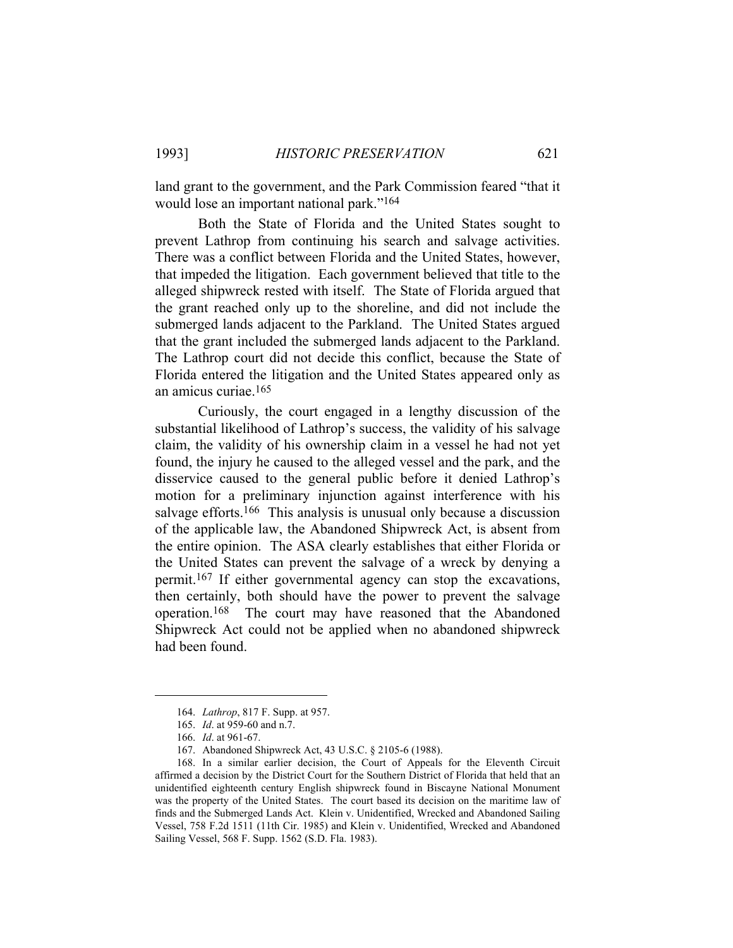land grant to the government, and the Park Commission feared "that it would lose an important national park."164

 Both the State of Florida and the United States sought to prevent Lathrop from continuing his search and salvage activities. There was a conflict between Florida and the United States, however, that impeded the litigation. Each government believed that title to the alleged shipwreck rested with itself. The State of Florida argued that the grant reached only up to the shoreline, and did not include the submerged lands adjacent to the Parkland. The United States argued that the grant included the submerged lands adjacent to the Parkland. The Lathrop court did not decide this conflict, because the State of Florida entered the litigation and the United States appeared only as an amicus curiae.165

 Curiously, the court engaged in a lengthy discussion of the substantial likelihood of Lathrop's success, the validity of his salvage claim, the validity of his ownership claim in a vessel he had not yet found, the injury he caused to the alleged vessel and the park, and the disservice caused to the general public before it denied Lathrop's motion for a preliminary injunction against interference with his salvage efforts.<sup>166</sup> This analysis is unusual only because a discussion of the applicable law, the Abandoned Shipwreck Act, is absent from the entire opinion. The ASA clearly establishes that either Florida or the United States can prevent the salvage of a wreck by denying a permit.167 If either governmental agency can stop the excavations, then certainly, both should have the power to prevent the salvage operation.168 The court may have reasoned that the Abandoned Shipwreck Act could not be applied when no abandoned shipwreck had been found.

 <sup>164.</sup> *Lathrop*, 817 F. Supp. at 957.

 <sup>165.</sup> *Id*. at 959-60 and n.7.

 <sup>166.</sup> *Id*. at 961-67.

 <sup>167.</sup> Abandoned Shipwreck Act, 43 U.S.C. § 2105-6 (1988).

 <sup>168.</sup> In a similar earlier decision, the Court of Appeals for the Eleventh Circuit affirmed a decision by the District Court for the Southern District of Florida that held that an unidentified eighteenth century English shipwreck found in Biscayne National Monument was the property of the United States. The court based its decision on the maritime law of finds and the Submerged Lands Act. Klein v. Unidentified, Wrecked and Abandoned Sailing Vessel, 758 F.2d 1511 (11th Cir. 1985) and Klein v. Unidentified, Wrecked and Abandoned Sailing Vessel, 568 F. Supp. 1562 (S.D. Fla. 1983).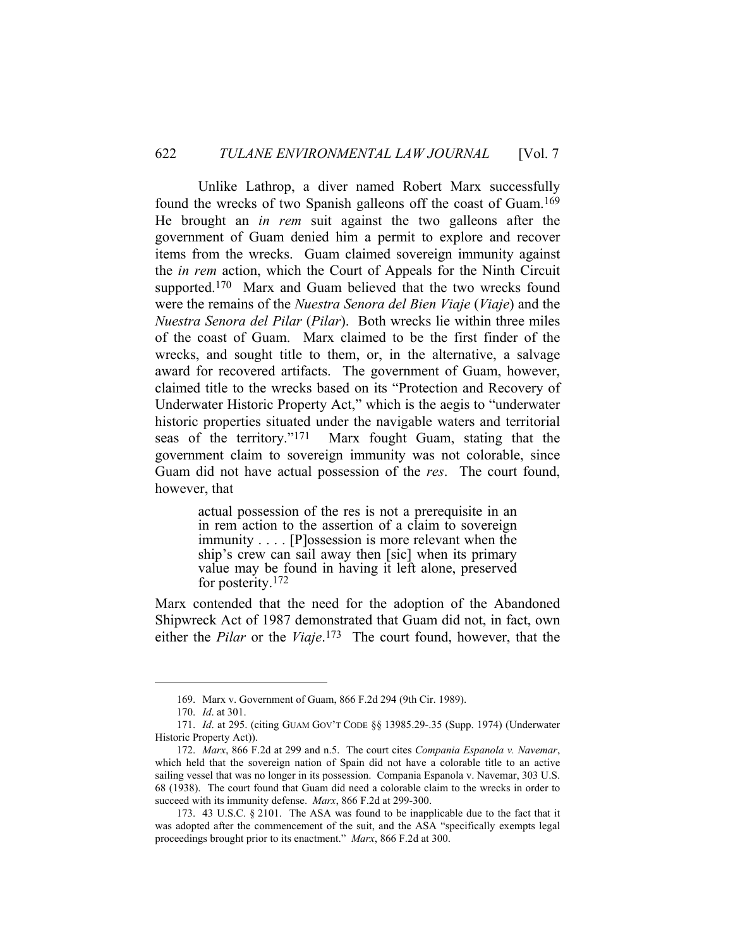Unlike Lathrop, a diver named Robert Marx successfully found the wrecks of two Spanish galleons off the coast of Guam.169 He brought an *in rem* suit against the two galleons after the government of Guam denied him a permit to explore and recover items from the wrecks. Guam claimed sovereign immunity against the *in rem* action, which the Court of Appeals for the Ninth Circuit supported.<sup>170</sup> Marx and Guam believed that the two wrecks found were the remains of the *Nuestra Senora del Bien Viaje* (*Viaje*) and the *Nuestra Senora del Pilar* (*Pilar*). Both wrecks lie within three miles of the coast of Guam. Marx claimed to be the first finder of the wrecks, and sought title to them, or, in the alternative, a salvage award for recovered artifacts. The government of Guam, however, claimed title to the wrecks based on its "Protection and Recovery of Underwater Historic Property Act," which is the aegis to "underwater historic properties situated under the navigable waters and territorial seas of the territory."171 Marx fought Guam, stating that the government claim to sovereign immunity was not colorable, since Guam did not have actual possession of the *res*. The court found, however, that

> actual possession of the res is not a prerequisite in an in rem action to the assertion of a claim to sovereign immunity . . . . [P]ossession is more relevant when the ship's crew can sail away then [sic] when its primary value may be found in having it left alone, preserved for posterity.172

Marx contended that the need for the adoption of the Abandoned Shipwreck Act of 1987 demonstrated that Guam did not, in fact, own either the *Pilar* or the *Viaje*. 173 The court found, however, that the

 <sup>169.</sup> Marx v. Government of Guam, 866 F.2d 294 (9th Cir. 1989).

 <sup>170.</sup> *Id*. at 301.

 <sup>171.</sup> *Id*. at 295. (citing GUAM GOV'T CODE §§ 13985.29-.35 (Supp. 1974) (Underwater Historic Property Act)).

 <sup>172.</sup> *Marx*, 866 F.2d at 299 and n.5. The court cites *Compania Espanola v. Navemar*, which held that the sovereign nation of Spain did not have a colorable title to an active sailing vessel that was no longer in its possession. Compania Espanola v. Navemar, 303 U.S. 68 (1938). The court found that Guam did need a colorable claim to the wrecks in order to succeed with its immunity defense. *Marx*, 866 F.2d at 299-300.

 <sup>173. 43</sup> U.S.C. § 2101. The ASA was found to be inapplicable due to the fact that it was adopted after the commencement of the suit, and the ASA "specifically exempts legal proceedings brought prior to its enactment." *Marx*, 866 F.2d at 300.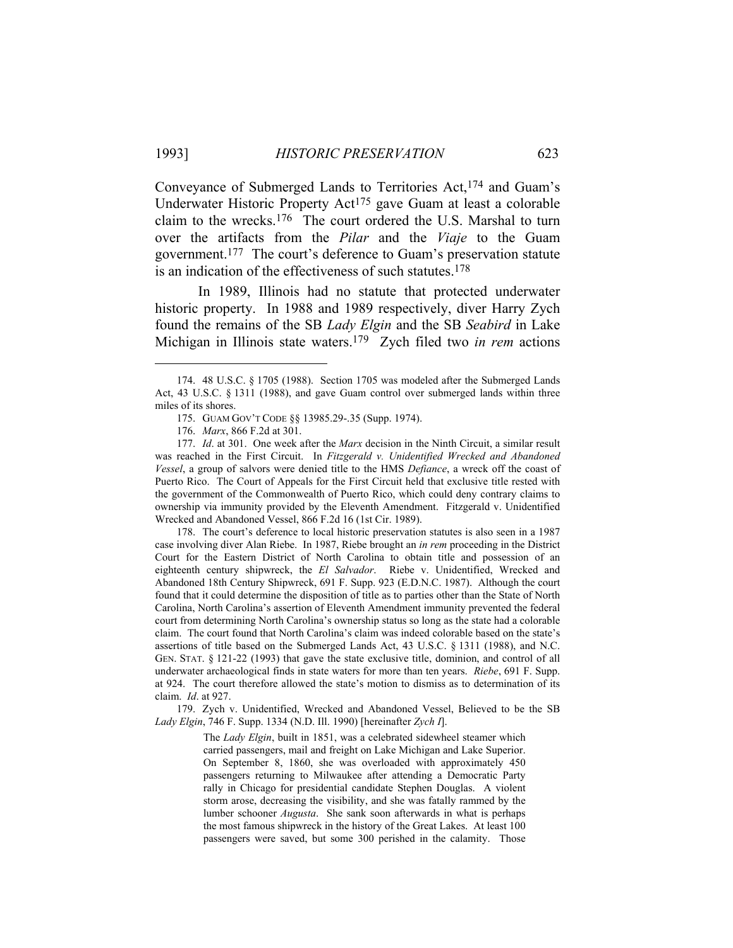Conveyance of Submerged Lands to Territories Act,<sup>174</sup> and Guam's Underwater Historic Property Act<sup>175</sup> gave Guam at least a colorable claim to the wrecks.176 The court ordered the U.S. Marshal to turn over the artifacts from the *Pilar* and the *Viaje* to the Guam government.177 The court's deference to Guam's preservation statute is an indication of the effectiveness of such statutes.178

 In 1989, Illinois had no statute that protected underwater historic property. In 1988 and 1989 respectively, diver Harry Zych found the remains of the SB *Lady Elgin* and the SB *Seabird* in Lake Michigan in Illinois state waters.179 Zych filed two *in rem* actions

 178. The court's deference to local historic preservation statutes is also seen in a 1987 case involving diver Alan Riebe. In 1987, Riebe brought an *in rem* proceeding in the District Court for the Eastern District of North Carolina to obtain title and possession of an eighteenth century shipwreck, the *El Salvador*. Riebe v. Unidentified, Wrecked and Abandoned 18th Century Shipwreck, 691 F. Supp. 923 (E.D.N.C. 1987). Although the court found that it could determine the disposition of title as to parties other than the State of North Carolina, North Carolina's assertion of Eleventh Amendment immunity prevented the federal court from determining North Carolina's ownership status so long as the state had a colorable claim. The court found that North Carolina's claim was indeed colorable based on the state's assertions of title based on the Submerged Lands Act, 43 U.S.C. § 1311 (1988), and N.C. GEN. STAT. § 121-22 (1993) that gave the state exclusive title, dominion, and control of all underwater archaeological finds in state waters for more than ten years. *Riebe*, 691 F. Supp. at 924. The court therefore allowed the state's motion to dismiss as to determination of its claim. *Id*. at 927.

 179. Zych v. Unidentified, Wrecked and Abandoned Vessel, Believed to be the SB *Lady Elgin*, 746 F. Supp. 1334 (N.D. Ill. 1990) [hereinafter *Zych I*].

> The *Lady Elgin*, built in 1851, was a celebrated sidewheel steamer which carried passengers, mail and freight on Lake Michigan and Lake Superior. On September 8, 1860, she was overloaded with approximately 450 passengers returning to Milwaukee after attending a Democratic Party rally in Chicago for presidential candidate Stephen Douglas. A violent storm arose, decreasing the visibility, and she was fatally rammed by the lumber schooner *Augusta*. She sank soon afterwards in what is perhaps the most famous shipwreck in the history of the Great Lakes. At least 100 passengers were saved, but some 300 perished in the calamity. Those

 <sup>174. 48</sup> U.S.C. § 1705 (1988). Section 1705 was modeled after the Submerged Lands Act, 43 U.S.C. § 1311 (1988), and gave Guam control over submerged lands within three miles of its shores.

 <sup>175.</sup> GUAM GOV'T CODE §§ 13985.29-.35 (Supp. 1974).

 <sup>176.</sup> *Marx*, 866 F.2d at 301.

 <sup>177.</sup> *Id*. at 301. One week after the *Marx* decision in the Ninth Circuit, a similar result was reached in the First Circuit. In *Fitzgerald v. Unidentified Wrecked and Abandoned Vessel*, a group of salvors were denied title to the HMS *Defiance*, a wreck off the coast of Puerto Rico. The Court of Appeals for the First Circuit held that exclusive title rested with the government of the Commonwealth of Puerto Rico, which could deny contrary claims to ownership via immunity provided by the Eleventh Amendment. Fitzgerald v. Unidentified Wrecked and Abandoned Vessel, 866 F.2d 16 (1st Cir. 1989).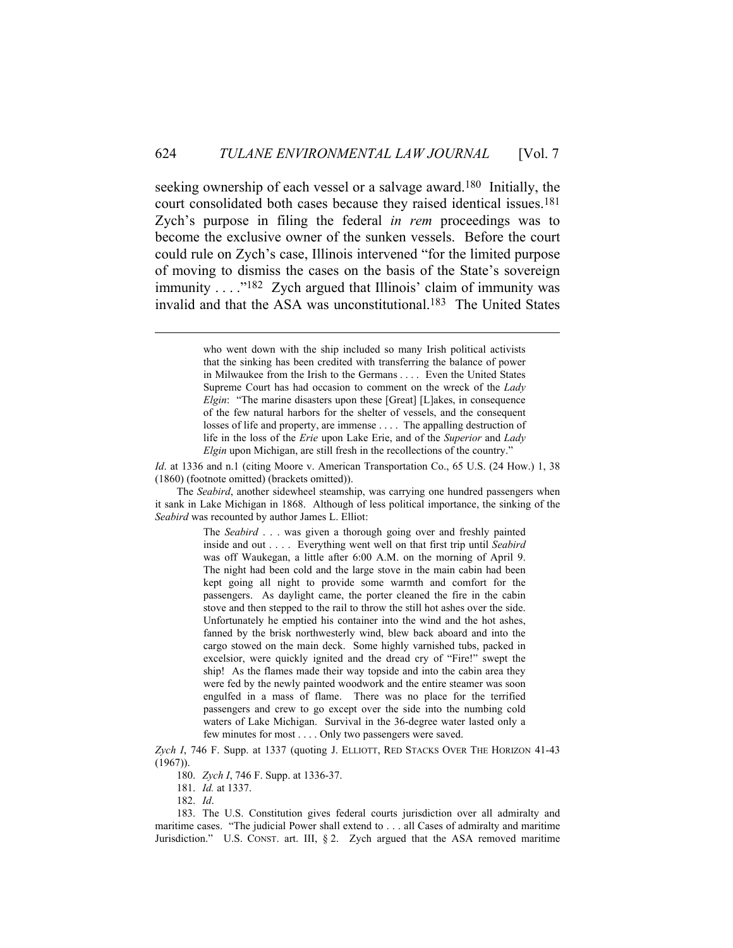seeking ownership of each vessel or a salvage award.180 Initially, the court consolidated both cases because they raised identical issues.181 Zych's purpose in filing the federal *in rem* proceedings was to become the exclusive owner of the sunken vessels. Before the court could rule on Zych's case, Illinois intervened "for the limited purpose of moving to dismiss the cases on the basis of the State's sovereign immunity  $\dots$ ."<sup>182</sup> Zych argued that Illinois' claim of immunity was invalid and that the ASA was unconstitutional.183 The United States

 The *Seabird*, another sidewheel steamship, was carrying one hundred passengers when it sank in Lake Michigan in 1868. Although of less political importance, the sinking of the *Seabird* was recounted by author James L. Elliot:

> The *Seabird* . . . was given a thorough going over and freshly painted inside and out . . . . Everything went well on that first trip until *Seabird* was off Waukegan, a little after 6:00 A.M. on the morning of April 9. The night had been cold and the large stove in the main cabin had been kept going all night to provide some warmth and comfort for the passengers. As daylight came, the porter cleaned the fire in the cabin stove and then stepped to the rail to throw the still hot ashes over the side. Unfortunately he emptied his container into the wind and the hot ashes, fanned by the brisk northwesterly wind, blew back aboard and into the cargo stowed on the main deck. Some highly varnished tubs, packed in excelsior, were quickly ignited and the dread cry of "Fire!" swept the ship! As the flames made their way topside and into the cabin area they were fed by the newly painted woodwork and the entire steamer was soon engulfed in a mass of flame. There was no place for the terrified passengers and crew to go except over the side into the numbing cold waters of Lake Michigan. Survival in the 36-degree water lasted only a few minutes for most . . . . Only two passengers were saved.

*Zych I*, 746 F. Supp. at 1337 (quoting J. ELLIOTT, RED STACKS OVER THE HORIZON 41-43  $(1967)$ ).

180. *Zych I*, 746 F. Supp. at 1336-37.

181. *Id.* at 1337.

182. *Id*.

 183. The U.S. Constitution gives federal courts jurisdiction over all admiralty and maritime cases. "The judicial Power shall extend to . . . all Cases of admiralty and maritime Jurisdiction." U.S. CONST. art. III, § 2. Zych argued that the ASA removed maritime

who went down with the ship included so many Irish political activists that the sinking has been credited with transferring the balance of power in Milwaukee from the Irish to the Germans . . . . Even the United States Supreme Court has had occasion to comment on the wreck of the *Lady Elgin*: "The marine disasters upon these [Great] [L]akes, in consequence of the few natural harbors for the shelter of vessels, and the consequent losses of life and property, are immense . . . . The appalling destruction of life in the loss of the *Erie* upon Lake Erie, and of the *Superior* and *Lady Elgin* upon Michigan, are still fresh in the recollections of the country."

*Id*. at 1336 and n.1 (citing Moore v. American Transportation Co., 65 U.S. (24 How.) 1, 38 (1860) (footnote omitted) (brackets omitted)).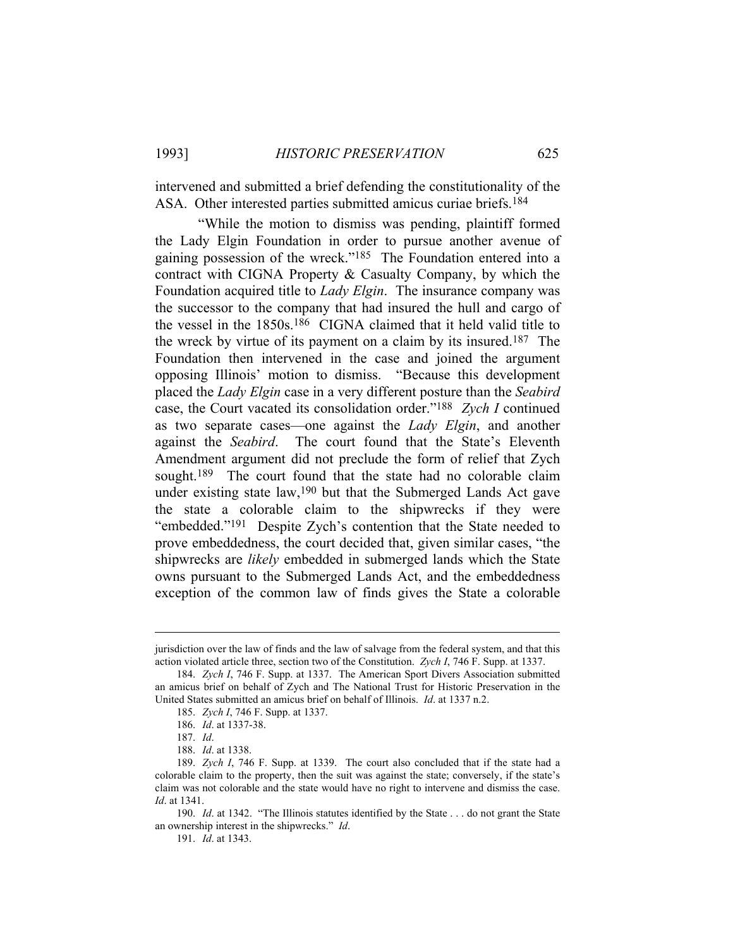intervened and submitted a brief defending the constitutionality of the ASA. Other interested parties submitted amicus curiae briefs.184

 "While the motion to dismiss was pending, plaintiff formed the Lady Elgin Foundation in order to pursue another avenue of gaining possession of the wreck."185 The Foundation entered into a contract with CIGNA Property & Casualty Company, by which the Foundation acquired title to *Lady Elgin*. The insurance company was the successor to the company that had insured the hull and cargo of the vessel in the 1850s.186 CIGNA claimed that it held valid title to the wreck by virtue of its payment on a claim by its insured.187 The Foundation then intervened in the case and joined the argument opposing Illinois' motion to dismiss. "Because this development placed the *Lady Elgin* case in a very different posture than the *Seabird* case, the Court vacated its consolidation order."188 *Zych I* continued as two separate cases—one against the *Lady Elgin*, and another against the *Seabird*. The court found that the State's Eleventh Amendment argument did not preclude the form of relief that Zych sought.<sup>189</sup> The court found that the state had no colorable claim under existing state law,190 but that the Submerged Lands Act gave the state a colorable claim to the shipwrecks if they were "embedded."191 Despite Zych's contention that the State needed to prove embeddedness, the court decided that, given similar cases, "the shipwrecks are *likely* embedded in submerged lands which the State owns pursuant to the Submerged Lands Act, and the embeddedness exception of the common law of finds gives the State a colorable

jurisdiction over the law of finds and the law of salvage from the federal system, and that this action violated article three, section two of the Constitution. *Zych I*, 746 F. Supp. at 1337.

 <sup>184.</sup> *Zych I*, 746 F. Supp. at 1337. The American Sport Divers Association submitted an amicus brief on behalf of Zych and The National Trust for Historic Preservation in the United States submitted an amicus brief on behalf of Illinois. *Id*. at 1337 n.2.

 <sup>185.</sup> *Zych I*, 746 F. Supp. at 1337.

 <sup>186.</sup> *Id*. at 1337-38.

 <sup>187.</sup> *Id*.

 <sup>188.</sup> *Id*. at 1338.

 <sup>189.</sup> *Zych I*, 746 F. Supp. at 1339. The court also concluded that if the state had a colorable claim to the property, then the suit was against the state; conversely, if the state's claim was not colorable and the state would have no right to intervene and dismiss the case. *Id*. at 1341.

 <sup>190.</sup> *Id*. at 1342. "The Illinois statutes identified by the State . . . do not grant the State an ownership interest in the shipwrecks." *Id*.

 <sup>191.</sup> *Id*. at 1343.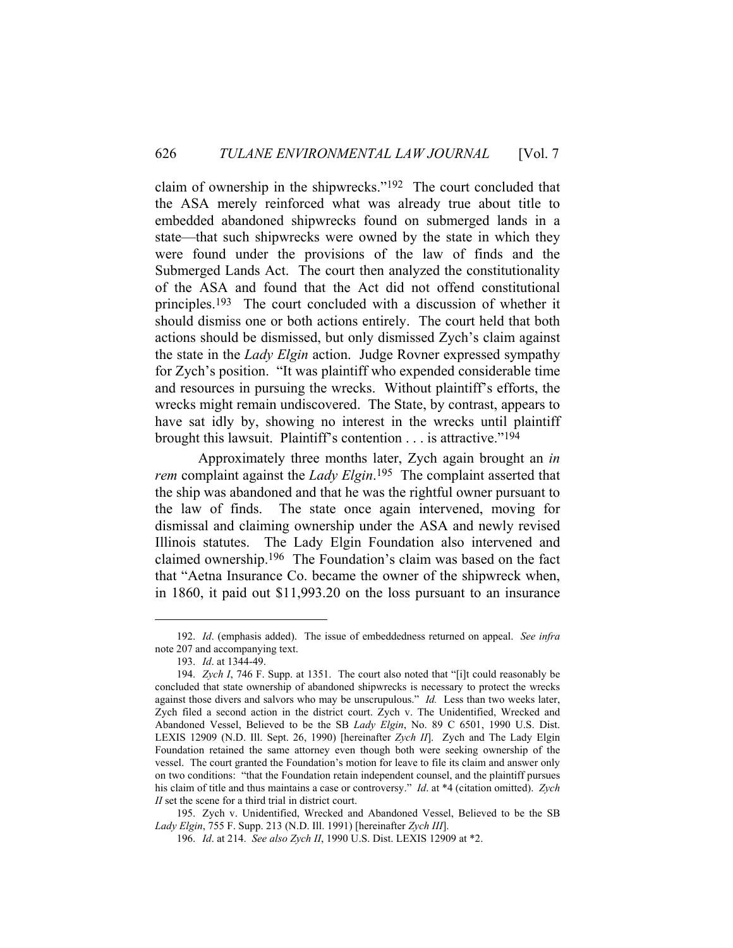claim of ownership in the shipwrecks."192 The court concluded that the ASA merely reinforced what was already true about title to embedded abandoned shipwrecks found on submerged lands in a state—that such shipwrecks were owned by the state in which they were found under the provisions of the law of finds and the Submerged Lands Act. The court then analyzed the constitutionality of the ASA and found that the Act did not offend constitutional principles.193 The court concluded with a discussion of whether it should dismiss one or both actions entirely. The court held that both actions should be dismissed, but only dismissed Zych's claim against the state in the *Lady Elgin* action. Judge Rovner expressed sympathy for Zych's position. "It was plaintiff who expended considerable time and resources in pursuing the wrecks. Without plaintiff's efforts, the wrecks might remain undiscovered. The State, by contrast, appears to have sat idly by, showing no interest in the wrecks until plaintiff brought this lawsuit. Plaintiff's contention . . . is attractive."194

 Approximately three months later, Zych again brought an *in rem* complaint against the *Lady Elgin*. 195 The complaint asserted that the ship was abandoned and that he was the rightful owner pursuant to the law of finds. The state once again intervened, moving for dismissal and claiming ownership under the ASA and newly revised Illinois statutes. The Lady Elgin Foundation also intervened and claimed ownership.196 The Foundation's claim was based on the fact that "Aetna Insurance Co. became the owner of the shipwreck when, in 1860, it paid out \$11,993.20 on the loss pursuant to an insurance

 195. Zych v. Unidentified, Wrecked and Abandoned Vessel, Believed to be the SB *Lady Elgin*, 755 F. Supp. 213 (N.D. Ill. 1991) [hereinafter *Zych III*].

196. *Id*. at 214. *See also Zych II*, 1990 U.S. Dist. LEXIS 12909 at \*2.

 <sup>192.</sup> *Id*. (emphasis added). The issue of embeddedness returned on appeal. *See infra* note 207 and accompanying text.

 <sup>193.</sup> *Id*. at 1344-49.

 <sup>194.</sup> *Zych I*, 746 F. Supp. at 1351. The court also noted that "[i]t could reasonably be concluded that state ownership of abandoned shipwrecks is necessary to protect the wrecks against those divers and salvors who may be unscrupulous." *Id.* Less than two weeks later, Zych filed a second action in the district court. Zych v. The Unidentified, Wrecked and Abandoned Vessel, Believed to be the SB *Lady Elgin*, No. 89 C 6501, 1990 U.S. Dist. LEXIS 12909 (N.D. Ill. Sept. 26, 1990) [hereinafter *Zych II*]. Zych and The Lady Elgin Foundation retained the same attorney even though both were seeking ownership of the vessel. The court granted the Foundation's motion for leave to file its claim and answer only on two conditions: "that the Foundation retain independent counsel, and the plaintiff pursues his claim of title and thus maintains a case or controversy." *Id*. at \*4 (citation omitted). *Zych II* set the scene for a third trial in district court.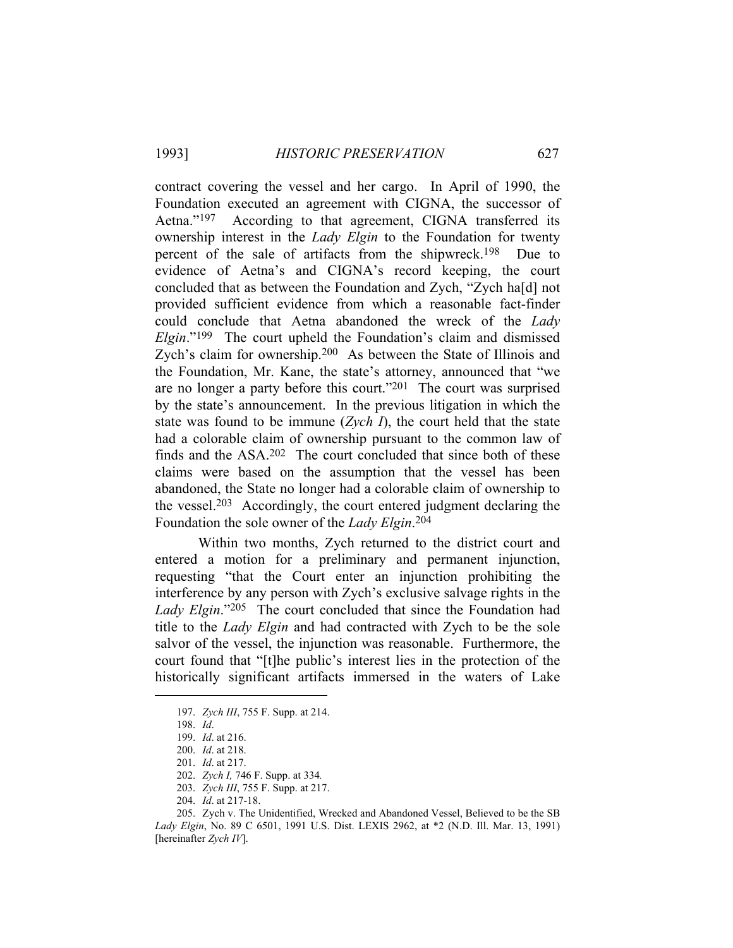contract covering the vessel and her cargo. In April of 1990, the Foundation executed an agreement with CIGNA, the successor of Aetna."197 According to that agreement, CIGNA transferred its ownership interest in the *Lady Elgin* to the Foundation for twenty percent of the sale of artifacts from the shipwreck.<sup>198</sup> Due to evidence of Aetna's and CIGNA's record keeping, the court concluded that as between the Foundation and Zych, "Zych ha[d] not provided sufficient evidence from which a reasonable fact-finder could conclude that Aetna abandoned the wreck of the *Lady Elgin*."199 The court upheld the Foundation's claim and dismissed Zych's claim for ownership.200 As between the State of Illinois and the Foundation, Mr. Kane, the state's attorney, announced that "we are no longer a party before this court."201 The court was surprised by the state's announcement. In the previous litigation in which the state was found to be immune (*Zych I*), the court held that the state had a colorable claim of ownership pursuant to the common law of finds and the ASA.202 The court concluded that since both of these claims were based on the assumption that the vessel has been abandoned, the State no longer had a colorable claim of ownership to the vessel.203 Accordingly, the court entered judgment declaring the Foundation the sole owner of the *Lady Elgin*.204

 Within two months, Zych returned to the district court and entered a motion for a preliminary and permanent injunction, requesting "that the Court enter an injunction prohibiting the interference by any person with Zych's exclusive salvage rights in the *Lady Elgin*."205 The court concluded that since the Foundation had title to the *Lady Elgin* and had contracted with Zych to be the sole salvor of the vessel, the injunction was reasonable. Furthermore, the court found that "[t]he public's interest lies in the protection of the historically significant artifacts immersed in the waters of Lake

 <sup>197.</sup> *Zych III*, 755 F. Supp. at 214.

 <sup>198.</sup> *Id*.

 <sup>199.</sup> *Id*. at 216.

 <sup>200.</sup> *Id*. at 218.

 <sup>201.</sup> *Id*. at 217.

 <sup>202.</sup> *Zych I,* 746 F. Supp. at 334*.*

 <sup>203.</sup> *Zych III*, 755 F. Supp. at 217.

 <sup>204.</sup> *Id*. at 217-18.

 <sup>205.</sup> Zych v. The Unidentified, Wrecked and Abandoned Vessel, Believed to be the SB *Lady Elgin*, No. 89 C 6501, 1991 U.S. Dist. LEXIS 2962, at \*2 (N.D. Ill. Mar. 13, 1991) [hereinafter *Zych IV*].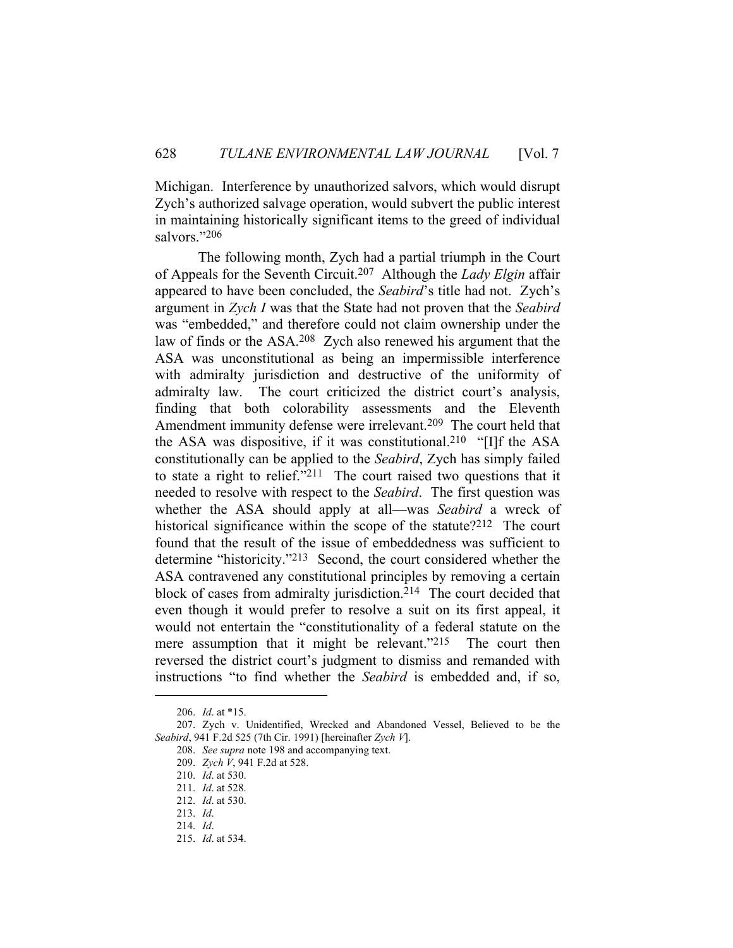Michigan. Interference by unauthorized salvors, which would disrupt Zych's authorized salvage operation, would subvert the public interest in maintaining historically significant items to the greed of individual salvors."206

 The following month, Zych had a partial triumph in the Court of Appeals for the Seventh Circuit.207 Although the *Lady Elgin* affair appeared to have been concluded, the *Seabird*'s title had not. Zych's argument in *Zych I* was that the State had not proven that the *Seabird* was "embedded," and therefore could not claim ownership under the law of finds or the ASA.208 Zych also renewed his argument that the ASA was unconstitutional as being an impermissible interference with admiralty jurisdiction and destructive of the uniformity of admiralty law. The court criticized the district court's analysis, finding that both colorability assessments and the Eleventh Amendment immunity defense were irrelevant.209 The court held that the ASA was dispositive, if it was constitutional.210 "[I]f the ASA constitutionally can be applied to the *Seabird*, Zych has simply failed to state a right to relief."211 The court raised two questions that it needed to resolve with respect to the *Seabird*. The first question was whether the ASA should apply at all—was *Seabird* a wreck of historical significance within the scope of the statute?<sup>212</sup> The court found that the result of the issue of embeddedness was sufficient to determine "historicity."213 Second, the court considered whether the ASA contravened any constitutional principles by removing a certain block of cases from admiralty jurisdiction.<sup>214</sup> The court decided that even though it would prefer to resolve a suit on its first appeal, it would not entertain the "constitutionality of a federal statute on the mere assumption that it might be relevant."<sup>215</sup> The court then reversed the district court's judgment to dismiss and remanded with instructions "to find whether the *Seabird* is embedded and, if so,

 <sup>206.</sup> *Id*. at \*15.

 <sup>207.</sup> Zych v. Unidentified, Wrecked and Abandoned Vessel, Believed to be the *Seabird*, 941 F.2d 525 (7th Cir. 1991) [hereinafter *Zych V*].

 <sup>208.</sup> *See supra* note 198 and accompanying text.

 <sup>209.</sup> *Zych V*, 941 F.2d at 528.

 <sup>210.</sup> *Id*. at 530.

 <sup>211.</sup> *Id*. at 528.

 <sup>212.</sup> *Id*. at 530.

 <sup>213.</sup> *Id*.

 <sup>214.</sup> *Id*.

 <sup>215.</sup> *Id*. at 534.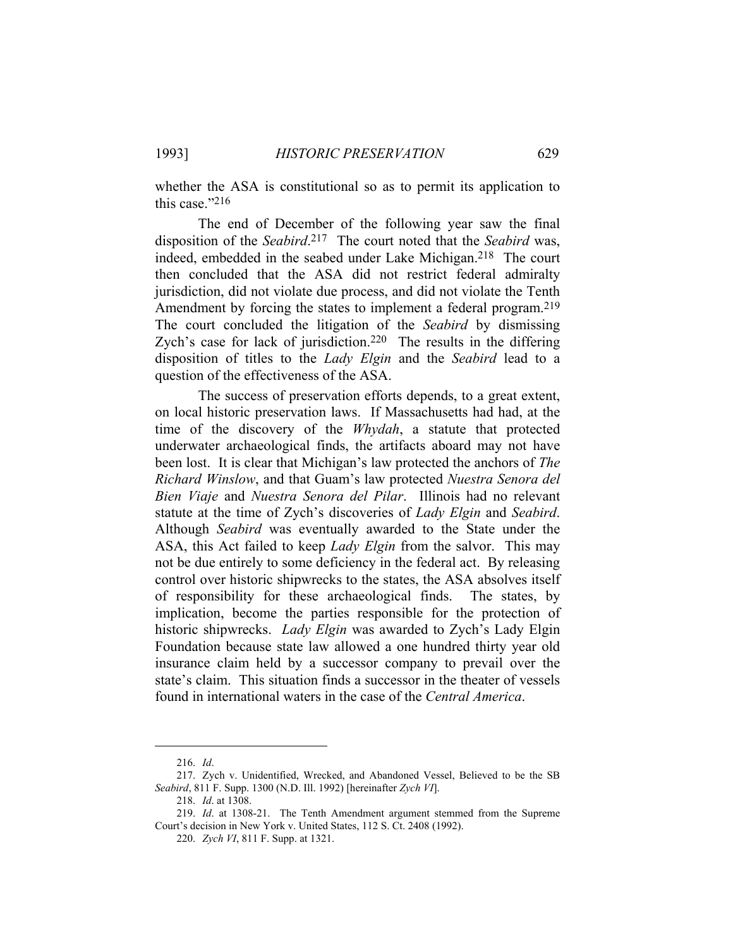whether the ASA is constitutional so as to permit its application to this case."216

 The end of December of the following year saw the final disposition of the *Seabird*.217 The court noted that the *Seabird* was, indeed, embedded in the seabed under Lake Michigan.218 The court then concluded that the ASA did not restrict federal admiralty jurisdiction, did not violate due process, and did not violate the Tenth Amendment by forcing the states to implement a federal program.<sup>219</sup> The court concluded the litigation of the *Seabird* by dismissing Zych's case for lack of jurisdiction.<sup>220</sup> The results in the differing disposition of titles to the *Lady Elgin* and the *Seabird* lead to a question of the effectiveness of the ASA.

 The success of preservation efforts depends, to a great extent, on local historic preservation laws. If Massachusetts had had, at the time of the discovery of the *Whydah*, a statute that protected underwater archaeological finds, the artifacts aboard may not have been lost. It is clear that Michigan's law protected the anchors of *The Richard Winslow*, and that Guam's law protected *Nuestra Senora del Bien Viaje* and *Nuestra Senora del Pilar*. Illinois had no relevant statute at the time of Zych's discoveries of *Lady Elgin* and *Seabird*. Although *Seabird* was eventually awarded to the State under the ASA, this Act failed to keep *Lady Elgin* from the salvor. This may not be due entirely to some deficiency in the federal act. By releasing control over historic shipwrecks to the states, the ASA absolves itself of responsibility for these archaeological finds. The states, by implication, become the parties responsible for the protection of historic shipwrecks. *Lady Elgin* was awarded to Zych's Lady Elgin Foundation because state law allowed a one hundred thirty year old insurance claim held by a successor company to prevail over the state's claim. This situation finds a successor in the theater of vessels found in international waters in the case of the *Central America*.

 <sup>216.</sup> *Id*.

 <sup>217.</sup> Zych v. Unidentified, Wrecked, and Abandoned Vessel, Believed to be the SB *Seabird*, 811 F. Supp. 1300 (N.D. Ill. 1992) [hereinafter *Zych VI*].

 <sup>218.</sup> *Id*. at 1308.

 <sup>219.</sup> *Id*. at 1308-21. The Tenth Amendment argument stemmed from the Supreme Court's decision in New York v. United States, 112 S. Ct. 2408 (1992).

 <sup>220.</sup> *Zych VI*, 811 F. Supp. at 1321.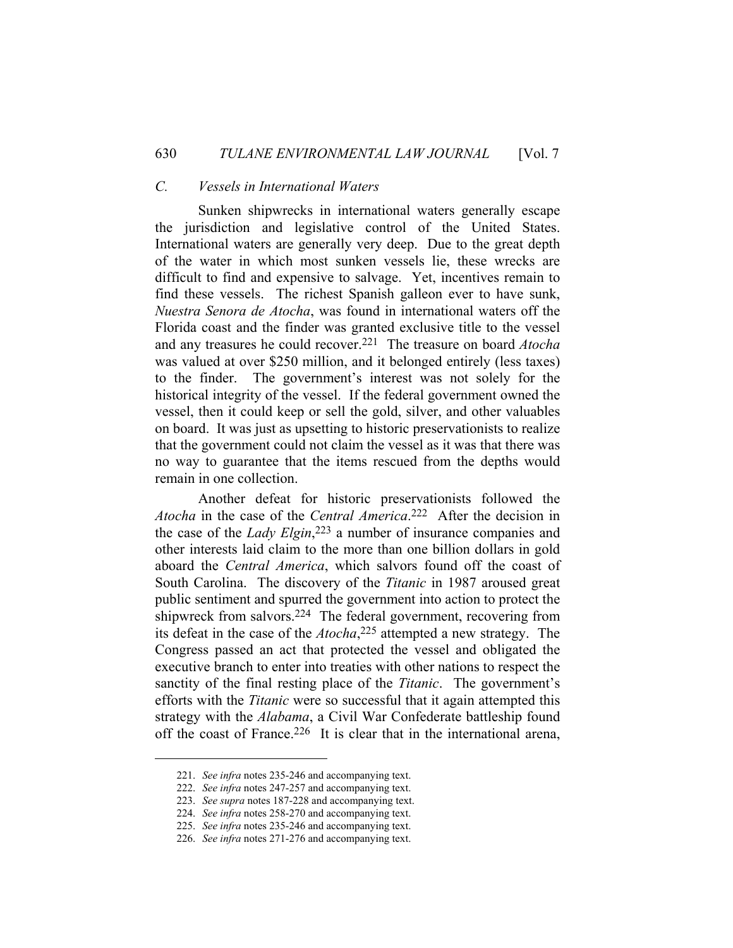## *C. Vessels in International Waters*

 Sunken shipwrecks in international waters generally escape the jurisdiction and legislative control of the United States. International waters are generally very deep. Due to the great depth of the water in which most sunken vessels lie, these wrecks are difficult to find and expensive to salvage. Yet, incentives remain to find these vessels. The richest Spanish galleon ever to have sunk, *Nuestra Senora de Atocha*, was found in international waters off the Florida coast and the finder was granted exclusive title to the vessel and any treasures he could recover.221 The treasure on board *Atocha* was valued at over \$250 million, and it belonged entirely (less taxes) to the finder. The government's interest was not solely for the historical integrity of the vessel. If the federal government owned the vessel, then it could keep or sell the gold, silver, and other valuables on board. It was just as upsetting to historic preservationists to realize that the government could not claim the vessel as it was that there was no way to guarantee that the items rescued from the depths would remain in one collection.

 Another defeat for historic preservationists followed the *Atocha* in the case of the *Central America*. 222 After the decision in the case of the *Lady Elgin*, 223 a number of insurance companies and other interests laid claim to the more than one billion dollars in gold aboard the *Central America*, which salvors found off the coast of South Carolina. The discovery of the *Titanic* in 1987 aroused great public sentiment and spurred the government into action to protect the shipwreck from salvors.224 The federal government, recovering from its defeat in the case of the *Atocha*,225 attempted a new strategy. The Congress passed an act that protected the vessel and obligated the executive branch to enter into treaties with other nations to respect the sanctity of the final resting place of the *Titanic*. The government's efforts with the *Titanic* were so successful that it again attempted this strategy with the *Alabama*, a Civil War Confederate battleship found off the coast of France.<sup>226</sup> It is clear that in the international arena,

 <sup>221.</sup> *See infra* notes 235-246 and accompanying text.

 <sup>222.</sup> *See infra* notes 247-257 and accompanying text.

 <sup>223.</sup> *See supra* notes 187-228 and accompanying text.

 <sup>224.</sup> *See infra* notes 258-270 and accompanying text.

 <sup>225.</sup> *See infra* notes 235-246 and accompanying text.

 <sup>226.</sup> *See infra* notes 271-276 and accompanying text.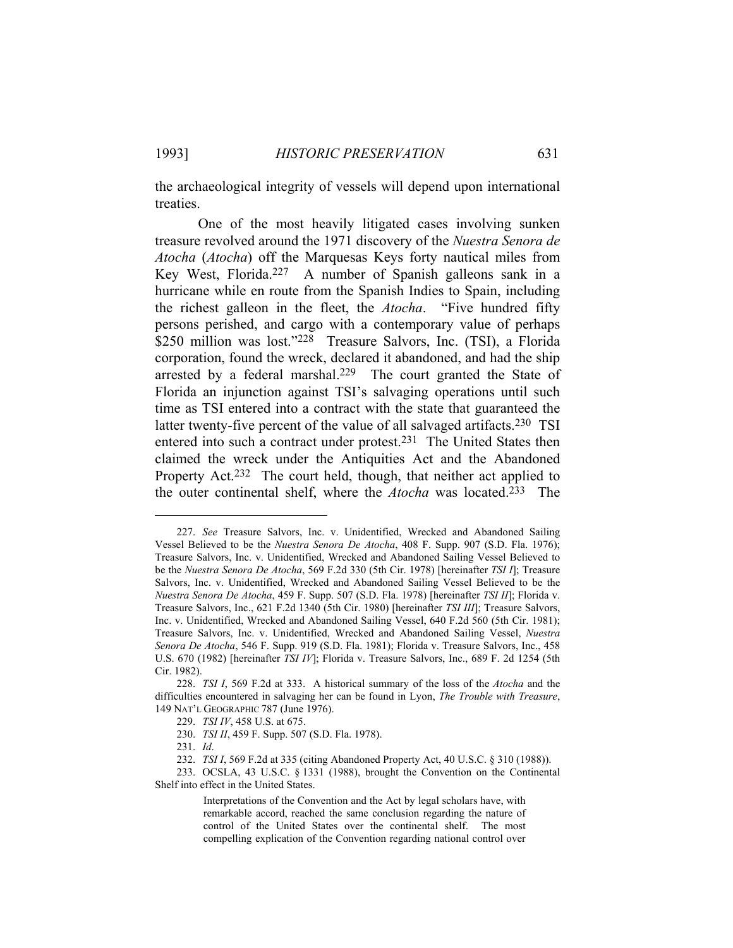the archaeological integrity of vessels will depend upon international treaties.

 One of the most heavily litigated cases involving sunken treasure revolved around the 1971 discovery of the *Nuestra Senora de Atocha* (*Atocha*) off the Marquesas Keys forty nautical miles from Key West, Florida.227 A number of Spanish galleons sank in a hurricane while en route from the Spanish Indies to Spain, including the richest galleon in the fleet, the *Atocha*. "Five hundred fifty persons perished, and cargo with a contemporary value of perhaps \$250 million was lost."<sup>228</sup> Treasure Salvors, Inc. (TSI), a Florida corporation, found the wreck, declared it abandoned, and had the ship arrested by a federal marshal.229 The court granted the State of Florida an injunction against TSI's salvaging operations until such time as TSI entered into a contract with the state that guaranteed the latter twenty-five percent of the value of all salvaged artifacts.<sup>230</sup> TSI entered into such a contract under protest.231 The United States then claimed the wreck under the Antiquities Act and the Abandoned Property Act.<sup>232</sup> The court held, though, that neither act applied to the outer continental shelf, where the *Atocha* was located.233 The

 233. OCSLA, 43 U.S.C. § 1331 (1988), brought the Convention on the Continental Shelf into effect in the United States.

 <sup>227.</sup> *See* Treasure Salvors, Inc. v. Unidentified, Wrecked and Abandoned Sailing Vessel Believed to be the *Nuestra Senora De Atocha*, 408 F. Supp. 907 (S.D. Fla. 1976); Treasure Salvors, Inc. v. Unidentified, Wrecked and Abandoned Sailing Vessel Believed to be the *Nuestra Senora De Atocha*, 569 F.2d 330 (5th Cir. 1978) [hereinafter *TSI I*]; Treasure Salvors, Inc. v. Unidentified, Wrecked and Abandoned Sailing Vessel Believed to be the *Nuestra Senora De Atocha*, 459 F. Supp. 507 (S.D. Fla. 1978) [hereinafter *TSI II*]; Florida v. Treasure Salvors, Inc., 621 F.2d 1340 (5th Cir. 1980) [hereinafter *TSI III*]; Treasure Salvors, Inc. v. Unidentified, Wrecked and Abandoned Sailing Vessel, 640 F.2d 560 (5th Cir. 1981); Treasure Salvors, Inc. v. Unidentified, Wrecked and Abandoned Sailing Vessel, *Nuestra Senora De Atocha*, 546 F. Supp. 919 (S.D. Fla. 1981); Florida v. Treasure Salvors, Inc., 458 U.S. 670 (1982) [hereinafter *TSI IV*]; Florida v. Treasure Salvors, Inc., 689 F. 2d 1254 (5th Cir. 1982).

 <sup>228.</sup> *TSI I*, 569 F.2d at 333. A historical summary of the loss of the *Atocha* and the difficulties encountered in salvaging her can be found in Lyon, *The Trouble with Treasure*, 149 NAT'L GEOGRAPHIC 787 (June 1976).

 <sup>229.</sup> *TSI IV*, 458 U.S. at 675.

 <sup>230.</sup> *TSI II*, 459 F. Supp. 507 (S.D. Fla. 1978).

 <sup>231.</sup> *Id*.

 <sup>232.</sup> *TSI I*, 569 F.2d at 335 (citing Abandoned Property Act, 40 U.S.C. § 310 (1988)).

Interpretations of the Convention and the Act by legal scholars have, with remarkable accord, reached the same conclusion regarding the nature of control of the United States over the continental shelf. The most compelling explication of the Convention regarding national control over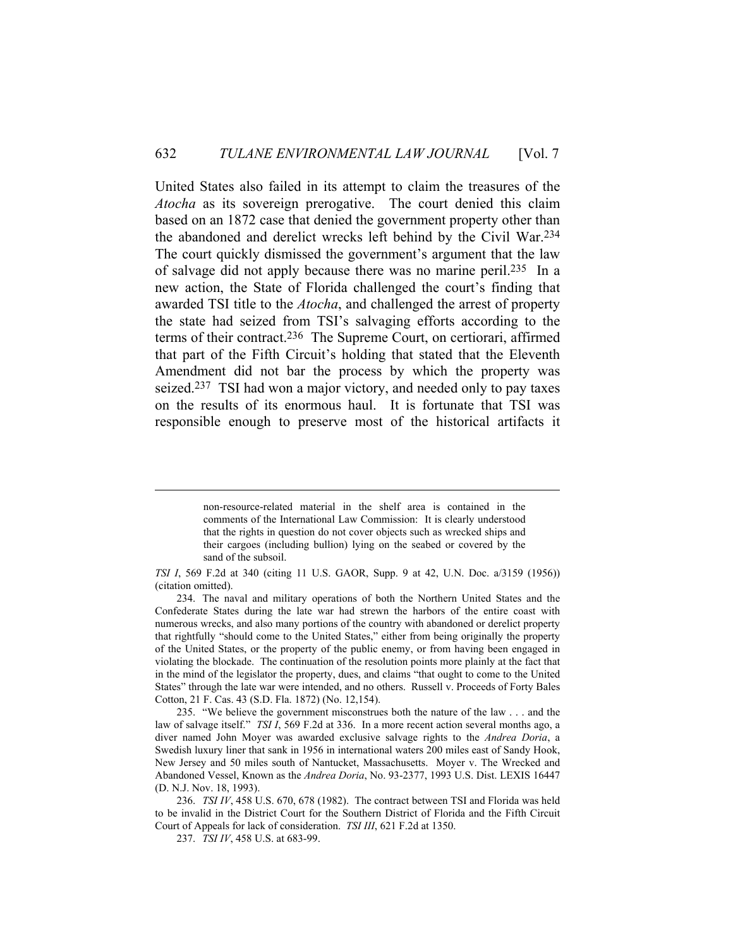United States also failed in its attempt to claim the treasures of the *Atocha* as its sovereign prerogative. The court denied this claim based on an 1872 case that denied the government property other than the abandoned and derelict wrecks left behind by the Civil War.234 The court quickly dismissed the government's argument that the law of salvage did not apply because there was no marine peril.235 In a new action, the State of Florida challenged the court's finding that awarded TSI title to the *Atocha*, and challenged the arrest of property the state had seized from TSI's salvaging efforts according to the terms of their contract.236 The Supreme Court, on certiorari, affirmed that part of the Fifth Circuit's holding that stated that the Eleventh Amendment did not bar the process by which the property was seized.<sup>237</sup> TSI had won a major victory, and needed only to pay taxes on the results of its enormous haul. It is fortunate that TSI was responsible enough to preserve most of the historical artifacts it

non-resource-related material in the shelf area is contained in the comments of the International Law Commission: It is clearly understood that the rights in question do not cover objects such as wrecked ships and their cargoes (including bullion) lying on the seabed or covered by the sand of the subsoil.

*TSI I*, 569 F.2d at 340 (citing 11 U.S. GAOR, Supp. 9 at 42, U.N. Doc. a/3159 (1956)) (citation omitted).

 <sup>234.</sup> The naval and military operations of both the Northern United States and the Confederate States during the late war had strewn the harbors of the entire coast with numerous wrecks, and also many portions of the country with abandoned or derelict property that rightfully "should come to the United States," either from being originally the property of the United States, or the property of the public enemy, or from having been engaged in violating the blockade. The continuation of the resolution points more plainly at the fact that in the mind of the legislator the property, dues, and claims "that ought to come to the United States" through the late war were intended, and no others. Russell v. Proceeds of Forty Bales Cotton, 21 F. Cas. 43 (S.D. Fla. 1872) (No. 12,154).

 <sup>235. &</sup>quot;We believe the government misconstrues both the nature of the law . . . and the law of salvage itself." *TSI I*, 569 F.2d at 336. In a more recent action several months ago, a diver named John Moyer was awarded exclusive salvage rights to the *Andrea Doria*, a Swedish luxury liner that sank in 1956 in international waters 200 miles east of Sandy Hook, New Jersey and 50 miles south of Nantucket, Massachusetts. Moyer v. The Wrecked and Abandoned Vessel, Known as the *Andrea Doria*, No. 93-2377, 1993 U.S. Dist. LEXIS 16447 (D. N.J. Nov. 18, 1993).

 <sup>236.</sup> *TSI IV*, 458 U.S. 670, 678 (1982). The contract between TSI and Florida was held to be invalid in the District Court for the Southern District of Florida and the Fifth Circuit Court of Appeals for lack of consideration. *TSI III*, 621 F.2d at 1350.

 <sup>237.</sup> *TSI IV*, 458 U.S. at 683-99.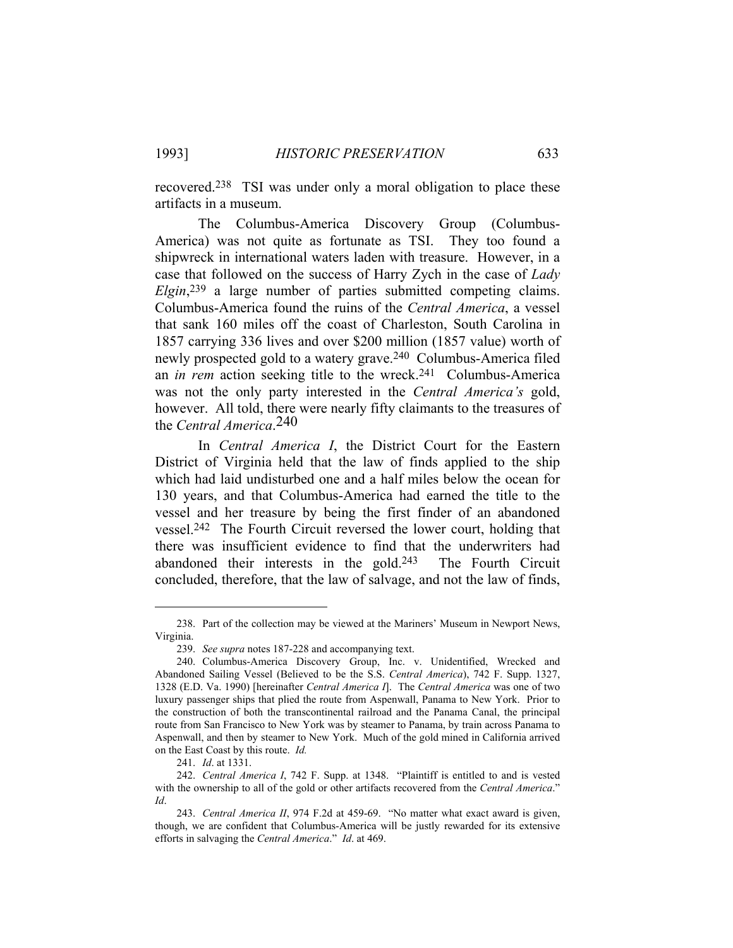recovered.238 TSI was under only a moral obligation to place these artifacts in a museum.

 The Columbus-America Discovery Group (Columbus-America) was not quite as fortunate as TSI. They too found a shipwreck in international waters laden with treasure. However, in a case that followed on the success of Harry Zych in the case of *Lady Elgin*,239 a large number of parties submitted competing claims. Columbus-America found the ruins of the *Central America*, a vessel that sank 160 miles off the coast of Charleston, South Carolina in 1857 carrying 336 lives and over \$200 million (1857 value) worth of newly prospected gold to a watery grave.240 Columbus-America filed an *in rem* action seeking title to the wreck.241 Columbus-America was not the only party interested in the *Central America's* gold, however. All told, there were nearly fifty claimants to the treasures of the *Central America*.240

 In *Central America I*, the District Court for the Eastern District of Virginia held that the law of finds applied to the ship which had laid undisturbed one and a half miles below the ocean for 130 years, and that Columbus-America had earned the title to the vessel and her treasure by being the first finder of an abandoned vessel.242 The Fourth Circuit reversed the lower court, holding that there was insufficient evidence to find that the underwriters had abandoned their interests in the gold.243 The Fourth Circuit concluded, therefore, that the law of salvage, and not the law of finds,

 <sup>238.</sup> Part of the collection may be viewed at the Mariners' Museum in Newport News, Virginia.

 <sup>239.</sup> *See supra* notes 187-228 and accompanying text.

 <sup>240.</sup> Columbus-America Discovery Group, Inc. v. Unidentified, Wrecked and Abandoned Sailing Vessel (Believed to be the S.S. *Central America*), 742 F. Supp. 1327, 1328 (E.D. Va. 1990) [hereinafter *Central America I*]. The *Central America* was one of two luxury passenger ships that plied the route from Aspenwall, Panama to New York. Prior to the construction of both the transcontinental railroad and the Panama Canal, the principal route from San Francisco to New York was by steamer to Panama, by train across Panama to Aspenwall, and then by steamer to New York. Much of the gold mined in California arrived on the East Coast by this route. *Id.*

 <sup>241.</sup> *Id*. at 1331.

 <sup>242.</sup> *Central America I*, 742 F. Supp. at 1348. "Plaintiff is entitled to and is vested with the ownership to all of the gold or other artifacts recovered from the *Central America*." *Id*.

 <sup>243.</sup> *Central America II*, 974 F.2d at 459-69. "No matter what exact award is given, though, we are confident that Columbus-America will be justly rewarded for its extensive efforts in salvaging the *Central America*." *Id*. at 469.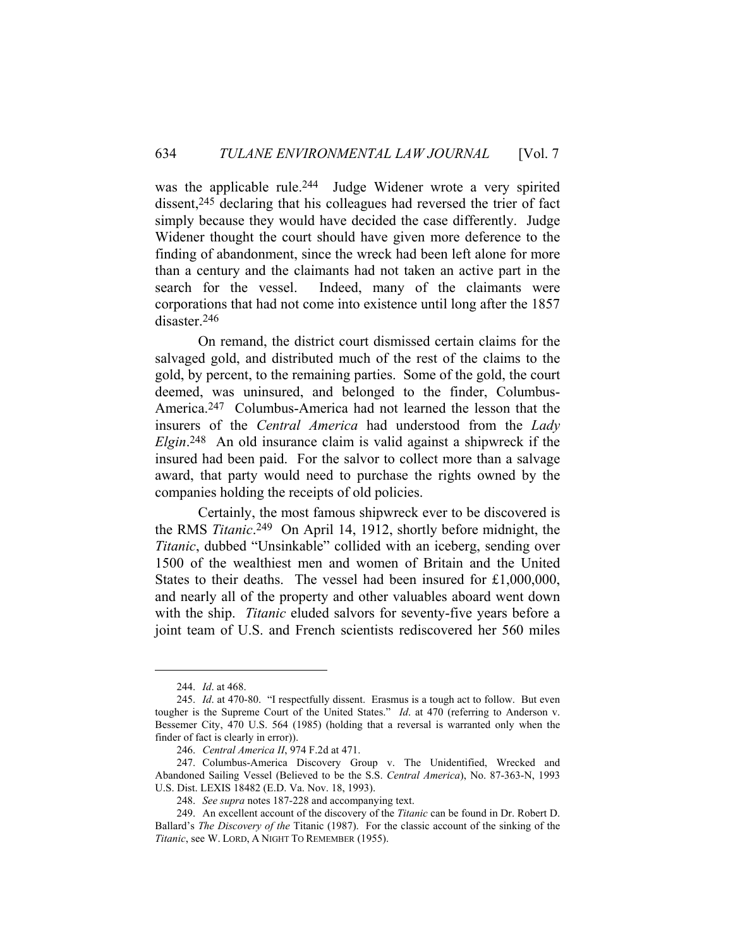was the applicable rule.<sup>244</sup> Judge Widener wrote a very spirited dissent,245 declaring that his colleagues had reversed the trier of fact simply because they would have decided the case differently. Judge Widener thought the court should have given more deference to the finding of abandonment, since the wreck had been left alone for more than a century and the claimants had not taken an active part in the search for the vessel. Indeed, many of the claimants were corporations that had not come into existence until long after the 1857 disaster.246

 On remand, the district court dismissed certain claims for the salvaged gold, and distributed much of the rest of the claims to the gold, by percent, to the remaining parties. Some of the gold, the court deemed, was uninsured, and belonged to the finder, Columbus-America.247 Columbus-America had not learned the lesson that the insurers of the *Central America* had understood from the *Lady Elgin*. 248 An old insurance claim is valid against a shipwreck if the insured had been paid. For the salvor to collect more than a salvage award, that party would need to purchase the rights owned by the companies holding the receipts of old policies.

 Certainly, the most famous shipwreck ever to be discovered is the RMS *Titanic*.249 On April 14, 1912, shortly before midnight, the *Titanic*, dubbed "Unsinkable" collided with an iceberg, sending over 1500 of the wealthiest men and women of Britain and the United States to their deaths. The vessel had been insured for £1,000,000, and nearly all of the property and other valuables aboard went down with the ship. *Titanic* eluded salvors for seventy-five years before a joint team of U.S. and French scientists rediscovered her 560 miles

 <sup>244.</sup> *Id*. at 468.

 <sup>245.</sup> *Id*. at 470-80. "I respectfully dissent. Erasmus is a tough act to follow. But even tougher is the Supreme Court of the United States." *Id*. at 470 (referring to Anderson v. Bessemer City, 470 U.S. 564 (1985) (holding that a reversal is warranted only when the finder of fact is clearly in error)).

 <sup>246.</sup> *Central America II*, 974 F.2d at 471.

 <sup>247.</sup> Columbus-America Discovery Group v. The Unidentified, Wrecked and Abandoned Sailing Vessel (Believed to be the S.S. *Central America*), No. 87-363-N, 1993 U.S. Dist. LEXIS 18482 (E.D. Va. Nov. 18, 1993).

 <sup>248.</sup> *See supra* notes 187-228 and accompanying text.

 <sup>249.</sup> An excellent account of the discovery of the *Titanic* can be found in Dr. Robert D. Ballard's *The Discovery of the* Titanic (1987). For the classic account of the sinking of the *Titanic*, see W. LORD, A NIGHT TO REMEMBER (1955).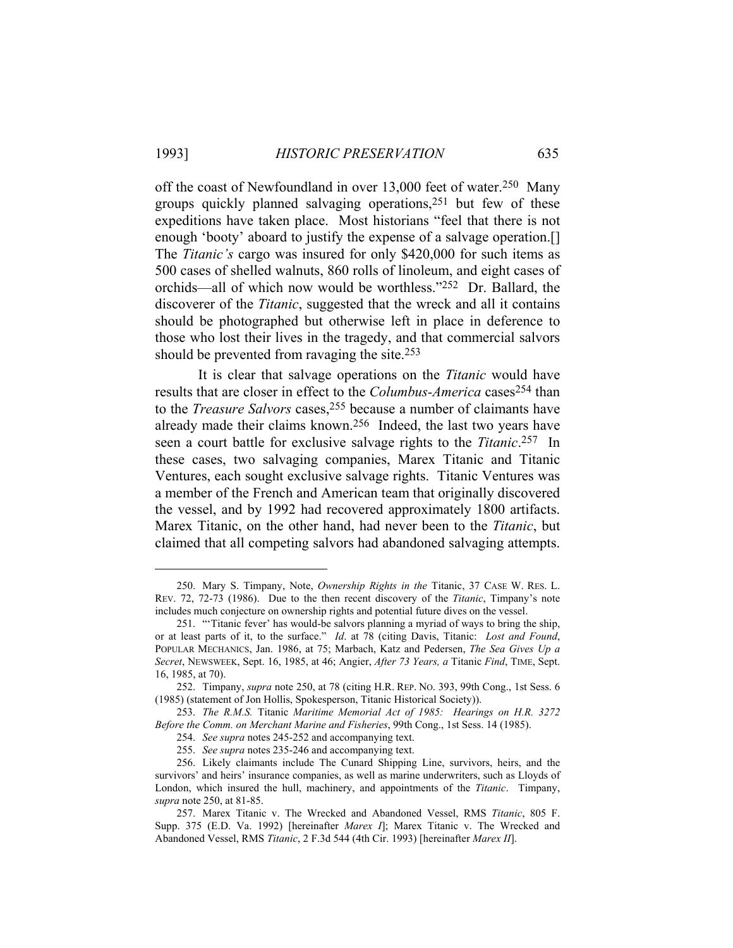off the coast of Newfoundland in over 13,000 feet of water.250 Many groups quickly planned salvaging operations,251 but few of these expeditions have taken place. Most historians "feel that there is not enough 'booty' aboard to justify the expense of a salvage operation.[] The *Titanic's* cargo was insured for only \$420,000 for such items as 500 cases of shelled walnuts, 860 rolls of linoleum, and eight cases of orchids—all of which now would be worthless."252 Dr. Ballard, the discoverer of the *Titanic*, suggested that the wreck and all it contains should be photographed but otherwise left in place in deference to those who lost their lives in the tragedy, and that commercial salvors should be prevented from ravaging the site.253

 It is clear that salvage operations on the *Titanic* would have results that are closer in effect to the *Columbus-America* cases254 than to the *Treasure Salvors* cases,<sup>255</sup> because a number of claimants have already made their claims known.256 Indeed, the last two years have seen a court battle for exclusive salvage rights to the *Titanic*.257 In these cases, two salvaging companies, Marex Titanic and Titanic Ventures, each sought exclusive salvage rights. Titanic Ventures was a member of the French and American team that originally discovered the vessel, and by 1992 had recovered approximately 1800 artifacts. Marex Titanic, on the other hand, had never been to the *Titanic*, but claimed that all competing salvors had abandoned salvaging attempts.

 <sup>250.</sup> Mary S. Timpany, Note, *Ownership Rights in the* Titanic, 37 CASE W. RES. L. REV. 72, 72-73 (1986). Due to the then recent discovery of the *Titanic*, Timpany's note includes much conjecture on ownership rights and potential future dives on the vessel.

 <sup>251. &</sup>quot;'Titanic fever' has would-be salvors planning a myriad of ways to bring the ship, or at least parts of it, to the surface." *Id*. at 78 (citing Davis, Titanic: *Lost and Found*, POPULAR MECHANICS, Jan. 1986, at 75; Marbach, Katz and Pedersen, *The Sea Gives Up a Secret*, NEWSWEEK, Sept. 16, 1985, at 46; Angier, *After 73 Years, a* Titanic *Find*, TIME, Sept. 16, 1985, at 70).

 <sup>252.</sup> Timpany, *supra* note 250, at 78 (citing H.R. REP. NO. 393, 99th Cong., 1st Sess. 6 (1985) (statement of Jon Hollis, Spokesperson, Titanic Historical Society)).

 <sup>253.</sup> *The R.M.S.* Titanic *Maritime Memorial Act of 1985: Hearings on H.R. 3272 Before the Comm. on Merchant Marine and Fisheries*, 99th Cong., 1st Sess. 14 (1985).

 <sup>254.</sup> *See supra* notes 245-252 and accompanying text.

 <sup>255.</sup> *See supra* notes 235-246 and accompanying text.

 <sup>256.</sup> Likely claimants include The Cunard Shipping Line, survivors, heirs, and the survivors' and heirs' insurance companies, as well as marine underwriters, such as Lloyds of London, which insured the hull, machinery, and appointments of the *Titanic*. Timpany, *supra* note 250, at 81-85.

 <sup>257.</sup> Marex Titanic v. The Wrecked and Abandoned Vessel, RMS *Titanic*, 805 F. Supp. 375 (E.D. Va. 1992) [hereinafter *Marex I*]; Marex Titanic v. The Wrecked and Abandoned Vessel, RMS *Titanic*, 2 F.3d 544 (4th Cir. 1993) [hereinafter *Marex II*].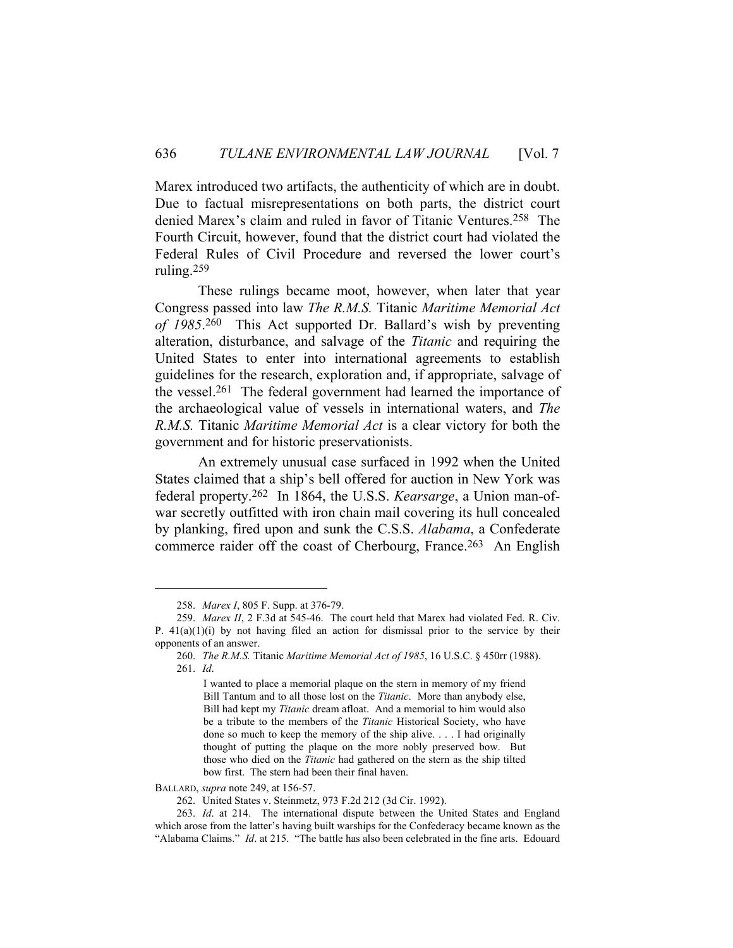Marex introduced two artifacts, the authenticity of which are in doubt. Due to factual misrepresentations on both parts, the district court denied Marex's claim and ruled in favor of Titanic Ventures.258 The Fourth Circuit, however, found that the district court had violated the Federal Rules of Civil Procedure and reversed the lower court's ruling.259

 These rulings became moot, however, when later that year Congress passed into law *The R.M.S.* Titanic *Maritime Memorial Act of 1985*. 260 This Act supported Dr. Ballard's wish by preventing alteration, disturbance, and salvage of the *Titanic* and requiring the United States to enter into international agreements to establish guidelines for the research, exploration and, if appropriate, salvage of the vessel.261 The federal government had learned the importance of the archaeological value of vessels in international waters, and *The R.M.S.* Titanic *Maritime Memorial Act* is a clear victory for both the government and for historic preservationists.

 An extremely unusual case surfaced in 1992 when the United States claimed that a ship's bell offered for auction in New York was federal property.262 In 1864, the U.S.S. *Kearsarge*, a Union man-ofwar secretly outfitted with iron chain mail covering its hull concealed by planking, fired upon and sunk the C.S.S. *Alabama*, a Confederate commerce raider off the coast of Cherbourg, France.<sup>263</sup> An English

BALLARD, *supra* note 249, at 156-57.

 <sup>258.</sup> *Marex I*, 805 F. Supp. at 376-79.

 <sup>259.</sup> *Marex II*, 2 F.3d at 545-46. The court held that Marex had violated Fed. R. Civ. P.  $41(a)(1)(i)$  by not having filed an action for dismissal prior to the service by their opponents of an answer.

 <sup>260.</sup> *The R.M.S.* Titanic *Maritime Memorial Act of 1985*, 16 U.S.C. § 450rr (1988). 261. *Id*.

I wanted to place a memorial plaque on the stern in memory of my friend Bill Tantum and to all those lost on the *Titanic*. More than anybody else, Bill had kept my *Titanic* dream afloat. And a memorial to him would also be a tribute to the members of the *Titanic* Historical Society, who have done so much to keep the memory of the ship alive. . . . I had originally thought of putting the plaque on the more nobly preserved bow. But those who died on the *Titanic* had gathered on the stern as the ship tilted bow first. The stern had been their final haven.

 <sup>262.</sup> United States v. Steinmetz, 973 F.2d 212 (3d Cir. 1992).

 <sup>263.</sup> *Id*. at 214. The international dispute between the United States and England which arose from the latter's having built warships for the Confederacy became known as the "Alabama Claims." *Id*. at 215. "The battle has also been celebrated in the fine arts. Edouard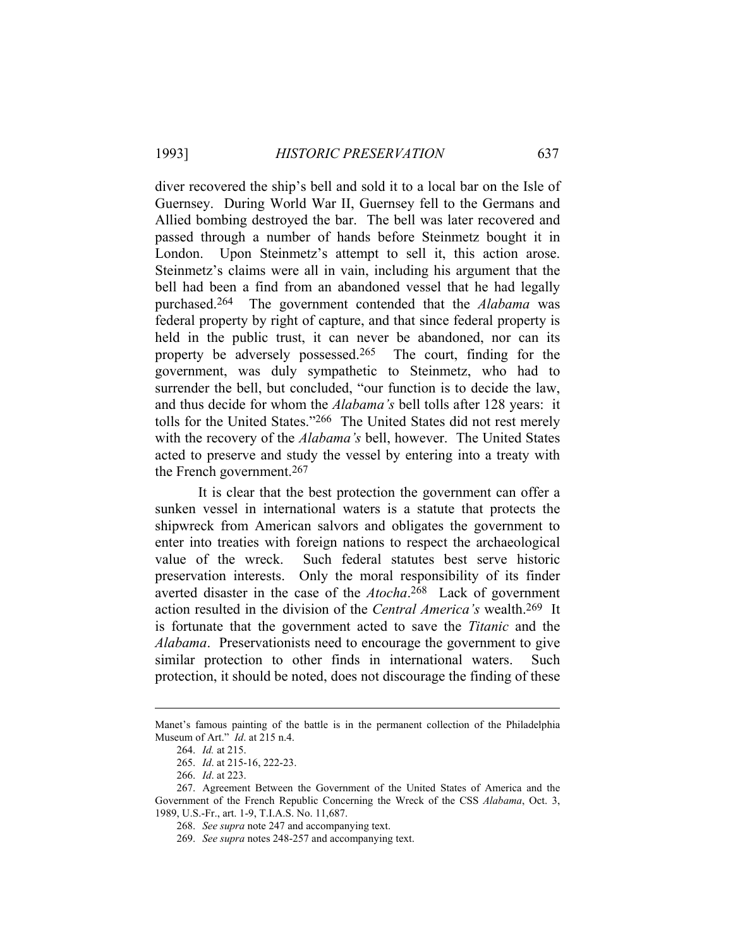diver recovered the ship's bell and sold it to a local bar on the Isle of Guernsey. During World War II, Guernsey fell to the Germans and Allied bombing destroyed the bar. The bell was later recovered and passed through a number of hands before Steinmetz bought it in London. Upon Steinmetz's attempt to sell it, this action arose. Steinmetz's claims were all in vain, including his argument that the bell had been a find from an abandoned vessel that he had legally purchased.264 The government contended that the *Alabama* was federal property by right of capture, and that since federal property is held in the public trust, it can never be abandoned, nor can its property be adversely possessed.265 The court, finding for the government, was duly sympathetic to Steinmetz, who had to surrender the bell, but concluded, "our function is to decide the law, and thus decide for whom the *Alabama's* bell tolls after 128 years: it tolls for the United States."266 The United States did not rest merely with the recovery of the *Alabama's* bell, however. The United States acted to preserve and study the vessel by entering into a treaty with the French government.267

 It is clear that the best protection the government can offer a sunken vessel in international waters is a statute that protects the shipwreck from American salvors and obligates the government to enter into treaties with foreign nations to respect the archaeological value of the wreck. Such federal statutes best serve historic preservation interests. Only the moral responsibility of its finder averted disaster in the case of the *Atocha*. 268 Lack of government action resulted in the division of the *Central America's* wealth.269 It is fortunate that the government acted to save the *Titanic* and the *Alabama*. Preservationists need to encourage the government to give similar protection to other finds in international waters. Such protection, it should be noted, does not discourage the finding of these

Manet's famous painting of the battle is in the permanent collection of the Philadelphia Museum of Art." *Id*. at 215 n.4.

 <sup>264.</sup> *Id.* at 215.

 <sup>265.</sup> *Id*. at 215-16, 222-23.

 <sup>266.</sup> *Id*. at 223.

 <sup>267.</sup> Agreement Between the Government of the United States of America and the Government of the French Republic Concerning the Wreck of the CSS *Alabama*, Oct. 3, 1989, U.S.-Fr., art. 1-9, T.I.A.S. No. 11,687.

 <sup>268.</sup> *See supra* note 247 and accompanying text.

 <sup>269.</sup> *See supra* notes 248-257 and accompanying text.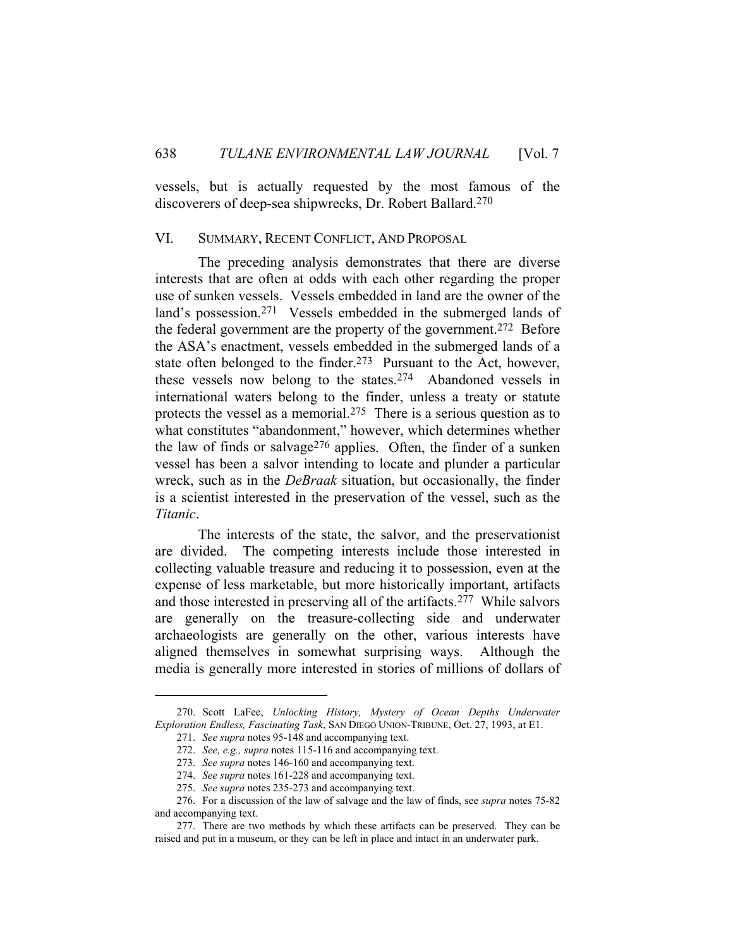vessels, but is actually requested by the most famous of the discoverers of deep-sea shipwrecks, Dr. Robert Ballard.270

### VI. SUMMARY, RECENT CONFLICT, AND PROPOSAL

 The preceding analysis demonstrates that there are diverse interests that are often at odds with each other regarding the proper use of sunken vessels. Vessels embedded in land are the owner of the land's possession.271 Vessels embedded in the submerged lands of the federal government are the property of the government.272 Before the ASA's enactment, vessels embedded in the submerged lands of a state often belonged to the finder.<sup>273</sup> Pursuant to the Act, however, these vessels now belong to the states.274 Abandoned vessels in international waters belong to the finder, unless a treaty or statute protects the vessel as a memorial.275 There is a serious question as to what constitutes "abandonment," however, which determines whether the law of finds or salvage<sup>276</sup> applies. Often, the finder of a sunken vessel has been a salvor intending to locate and plunder a particular wreck, such as in the *DeBraak* situation, but occasionally, the finder is a scientist interested in the preservation of the vessel, such as the *Titanic*.

 The interests of the state, the salvor, and the preservationist are divided. The competing interests include those interested in collecting valuable treasure and reducing it to possession, even at the expense of less marketable, but more historically important, artifacts and those interested in preserving all of the artifacts.277 While salvors are generally on the treasure-collecting side and underwater archaeologists are generally on the other, various interests have aligned themselves in somewhat surprising ways. Although the media is generally more interested in stories of millions of dollars of

 <sup>270.</sup> Scott LaFee, *Unlocking History, Mystery of Ocean Depths Underwater Exploration Endless, Fascinating Task*, SAN DIEGO UNION-TRIBUNE, Oct. 27, 1993, at E1.

 <sup>271.</sup> *See supra* notes 95-148 and accompanying text.

 <sup>272.</sup> *See, e.g., supra* notes 115-116 and accompanying text.

 <sup>273.</sup> *See supra* notes 146-160 and accompanying text.

 <sup>274.</sup> *See supra* notes 161-228 and accompanying text.

 <sup>275.</sup> *See supra* notes 235-273 and accompanying text.

 <sup>276.</sup> For a discussion of the law of salvage and the law of finds, see *supra* notes 75-82 and accompanying text.

 <sup>277.</sup> There are two methods by which these artifacts can be preserved. They can be raised and put in a museum, or they can be left in place and intact in an underwater park.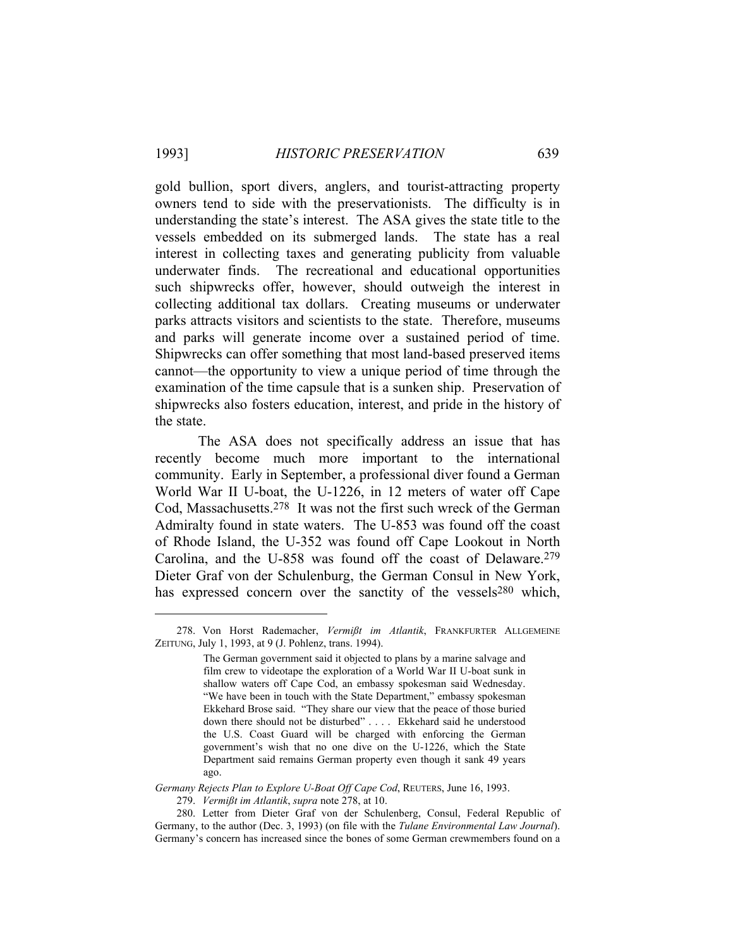gold bullion, sport divers, anglers, and tourist-attracting property owners tend to side with the preservationists. The difficulty is in understanding the state's interest. The ASA gives the state title to the vessels embedded on its submerged lands. The state has a real interest in collecting taxes and generating publicity from valuable underwater finds. The recreational and educational opportunities such shipwrecks offer, however, should outweigh the interest in collecting additional tax dollars. Creating museums or underwater parks attracts visitors and scientists to the state. Therefore, museums and parks will generate income over a sustained period of time. Shipwrecks can offer something that most land-based preserved items cannot—the opportunity to view a unique period of time through the examination of the time capsule that is a sunken ship. Preservation of shipwrecks also fosters education, interest, and pride in the history of the state.

 The ASA does not specifically address an issue that has recently become much more important to the international community. Early in September, a professional diver found a German World War II U-boat, the U-1226, in 12 meters of water off Cape Cod, Massachusetts.278 It was not the first such wreck of the German Admiralty found in state waters. The U-853 was found off the coast of Rhode Island, the U-352 was found off Cape Lookout in North Carolina, and the U-858 was found off the coast of Delaware.279 Dieter Graf von der Schulenburg, the German Consul in New York, has expressed concern over the sanctity of the vessels<sup>280</sup> which,

 <sup>278.</sup> Von Horst Rademacher, *Vermißt im Atlantik*, FRANKFURTER ALLGEMEINE ZEITUNG, July 1, 1993, at 9 (J. Pohlenz, trans. 1994).

The German government said it objected to plans by a marine salvage and film crew to videotape the exploration of a World War II U-boat sunk in shallow waters off Cape Cod, an embassy spokesman said Wednesday. "We have been in touch with the State Department," embassy spokesman Ekkehard Brose said. "They share our view that the peace of those buried down there should not be disturbed" . . . . Ekkehard said he understood the U.S. Coast Guard will be charged with enforcing the German government's wish that no one dive on the U-1226, which the State Department said remains German property even though it sank 49 years ago.

*Germany Rejects Plan to Explore U-Boat Off Cape Cod*, REUTERS, June 16, 1993. 279. *Vermißt im Atlantik*, *supra* note 278, at 10.

 <sup>280.</sup> Letter from Dieter Graf von der Schulenberg, Consul, Federal Republic of Germany, to the author (Dec. 3, 1993) (on file with the *Tulane Environmental Law Journal*). Germany's concern has increased since the bones of some German crewmembers found on a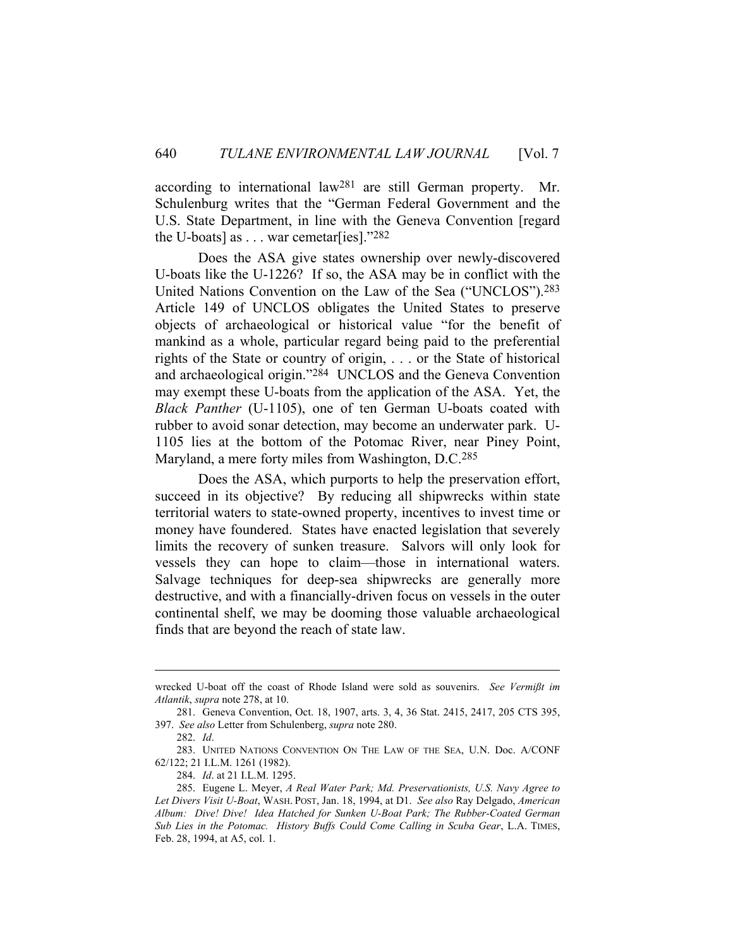according to international law281 are still German property. Mr. Schulenburg writes that the "German Federal Government and the U.S. State Department, in line with the Geneva Convention [regard the U-boats] as  $\dots$  war cemetar[ies]."282

 Does the ASA give states ownership over newly-discovered U-boats like the U-1226? If so, the ASA may be in conflict with the United Nations Convention on the Law of the Sea ("UNCLOS").283 Article 149 of UNCLOS obligates the United States to preserve objects of archaeological or historical value "for the benefit of mankind as a whole, particular regard being paid to the preferential rights of the State or country of origin, . . . or the State of historical and archaeological origin."284 UNCLOS and the Geneva Convention may exempt these U-boats from the application of the ASA. Yet, the *Black Panther* (U-1105), one of ten German U-boats coated with rubber to avoid sonar detection, may become an underwater park. U-1105 lies at the bottom of the Potomac River, near Piney Point, Maryland, a mere forty miles from Washington, D.C.285

 Does the ASA, which purports to help the preservation effort, succeed in its objective? By reducing all shipwrecks within state territorial waters to state-owned property, incentives to invest time or money have foundered. States have enacted legislation that severely limits the recovery of sunken treasure. Salvors will only look for vessels they can hope to claim—those in international waters. Salvage techniques for deep-sea shipwrecks are generally more destructive, and with a financially-driven focus on vessels in the outer continental shelf, we may be dooming those valuable archaeological finds that are beyond the reach of state law.

wrecked U-boat off the coast of Rhode Island were sold as souvenirs. *See Vermißt im Atlantik*, *supra* note 278, at 10.

 <sup>281.</sup> Geneva Convention, Oct. 18, 1907, arts. 3, 4, 36 Stat. 2415, 2417, 205 CTS 395, 397. *See also* Letter from Schulenberg, *supra* note 280.

 <sup>282.</sup> *Id*.

 <sup>283.</sup> UNITED NATIONS CONVENTION ON THE LAW OF THE SEA, U.N. Doc. A/CONF 62/122; 21 I.L.M. 1261 (1982).

 <sup>284.</sup> *Id*. at 21 I.L.M. 1295.

 <sup>285.</sup> Eugene L. Meyer, *A Real Water Park; Md. Preservationists, U.S. Navy Agree to Let Divers Visit U-Boat*, WASH. POST, Jan. 18, 1994, at D1. *See also* Ray Delgado, *American Album: Dive! Dive! Idea Hatched for Sunken U-Boat Park; The Rubber-Coated German Sub Lies in the Potomac. History Buffs Could Come Calling in Scuba Gear*, L.A. TIMES, Feb. 28, 1994, at A5, col. 1.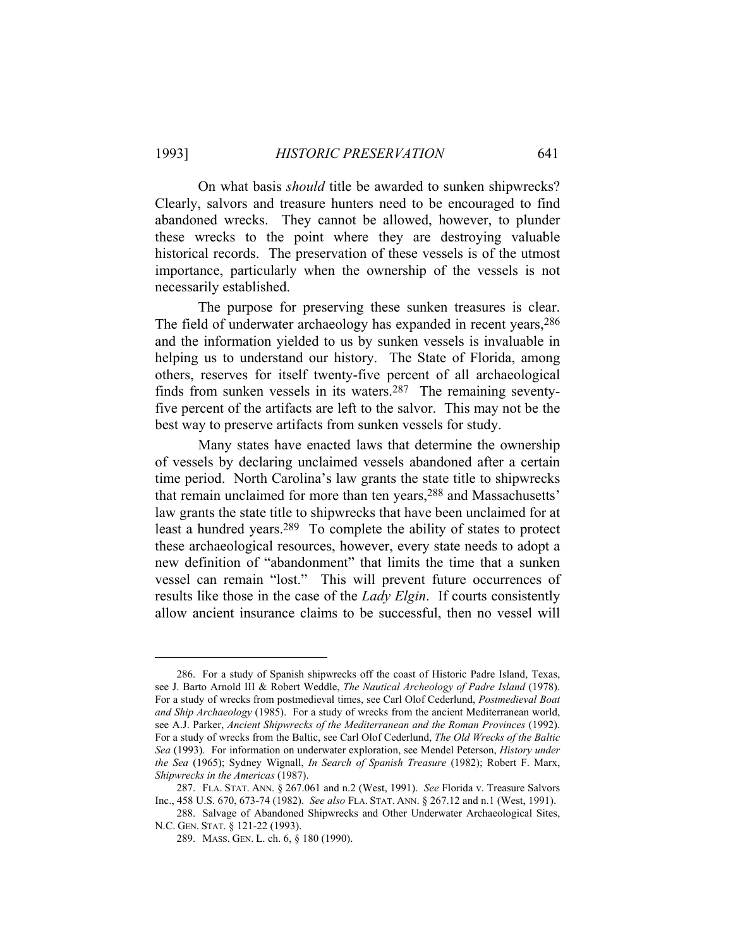On what basis *should* title be awarded to sunken shipwrecks? Clearly, salvors and treasure hunters need to be encouraged to find abandoned wrecks. They cannot be allowed, however, to plunder these wrecks to the point where they are destroying valuable historical records. The preservation of these vessels is of the utmost importance, particularly when the ownership of the vessels is not necessarily established.

 The purpose for preserving these sunken treasures is clear. The field of underwater archaeology has expanded in recent years,  $286$ and the information yielded to us by sunken vessels is invaluable in helping us to understand our history. The State of Florida, among others, reserves for itself twenty-five percent of all archaeological finds from sunken vessels in its waters.287 The remaining seventyfive percent of the artifacts are left to the salvor. This may not be the best way to preserve artifacts from sunken vessels for study.

 Many states have enacted laws that determine the ownership of vessels by declaring unclaimed vessels abandoned after a certain time period. North Carolina's law grants the state title to shipwrecks that remain unclaimed for more than ten years,<sup>288</sup> and Massachusetts' law grants the state title to shipwrecks that have been unclaimed for at least a hundred years.289 To complete the ability of states to protect these archaeological resources, however, every state needs to adopt a new definition of "abandonment" that limits the time that a sunken vessel can remain "lost." This will prevent future occurrences of results like those in the case of the *Lady Elgin*. If courts consistently allow ancient insurance claims to be successful, then no vessel will

 <sup>286.</sup> For a study of Spanish shipwrecks off the coast of Historic Padre Island, Texas, see J. Barto Arnold III & Robert Weddle, *The Nautical Archeology of Padre Island* (1978). For a study of wrecks from postmedieval times, see Carl Olof Cederlund, *Postmedieval Boat and Ship Archaeology* (1985). For a study of wrecks from the ancient Mediterranean world, see A.J. Parker, *Ancient Shipwrecks of the Mediterranean and the Roman Provinces* (1992). For a study of wrecks from the Baltic, see Carl Olof Cederlund, *The Old Wrecks of the Baltic Sea* (1993). For information on underwater exploration, see Mendel Peterson, *History under the Sea* (1965); Sydney Wignall, *In Search of Spanish Treasure* (1982); Robert F. Marx, *Shipwrecks in the Americas* (1987).

 <sup>287.</sup> FLA. STAT. ANN. § 267.061 and n.2 (West, 1991). *See* Florida v. Treasure Salvors Inc., 458 U.S. 670, 673-74 (1982). *See also* FLA. STAT. ANN. § 267.12 and n.1 (West, 1991).

 <sup>288.</sup> Salvage of Abandoned Shipwrecks and Other Underwater Archaeological Sites, N.C. GEN. STAT. § 121-22 (1993).

 <sup>289.</sup> MASS. GEN. L. ch. 6, § 180 (1990).